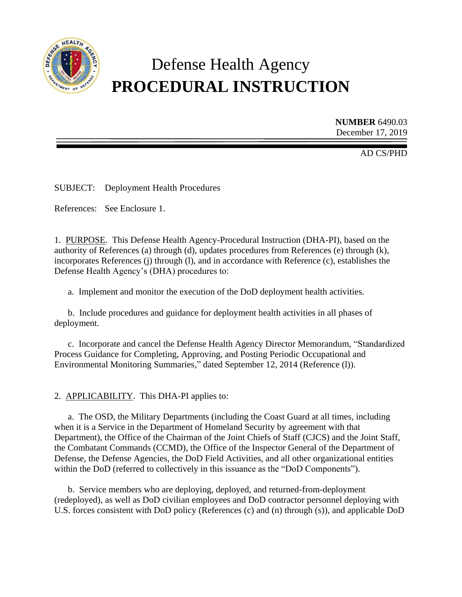

# Defense Health Agency **PROCEDURAL INSTRUCTION**

**NUMBER** 6490.03 December 17, 2019

AD CS/PHD

SUBJECT: Deployment Health Procedures

References: See Enclosure 1.

1. PURPOSE. This Defense Health Agency-Procedural Instruction (DHA-PI), based on the authority of References (a) through (d), updates procedures from References (e) through (k), incorporates References (j) through (l), and in accordance with Reference (c), establishes the Defense Health Agency's (DHA) procedures to:

a. Implement and monitor the execution of the DoD deployment health activities.

b. Include procedures and guidance for deployment health activities in all phases of deployment.

c. Incorporate and cancel the Defense Health Agency Director Memorandum, "Standardized Process Guidance for Completing, Approving, and Posting Periodic Occupational and Environmental Monitoring Summaries," dated September 12, 2014 (Reference (l)).

2. APPLICABILITY. This DHA-PI applies to:

a. The OSD, the Military Departments (including the Coast Guard at all times, including when it is a Service in the Department of Homeland Security by agreement with that Department), the Office of the Chairman of the Joint Chiefs of Staff (CJCS) and the Joint Staff, the Combatant Commands (CCMD), the Office of the Inspector General of the Department of Defense, the Defense Agencies, the DoD Field Activities, and all other organizational entities within the DoD (referred to collectively in this issuance as the "DoD Components").

b. Service members who are deploying, deployed, and returned-from-deployment (redeployed), as well as DoD civilian employees and DoD contractor personnel deploying with U.S. forces consistent with DoD policy (References (c) and (n) through (s)), and applicable DoD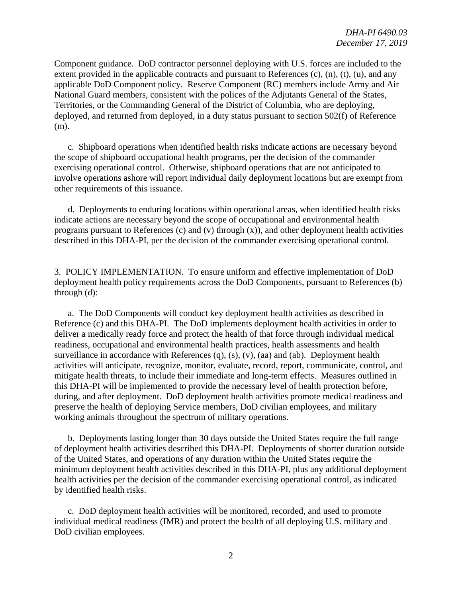Component guidance. DoD contractor personnel deploying with U.S. forces are included to the extent provided in the applicable contracts and pursuant to References (c), (n), (t), (u), and any applicable DoD Component policy. Reserve Component (RC) members include Army and Air National Guard members, consistent with the polices of the Adjutants General of the States, Territories, or the Commanding General of the District of Columbia, who are deploying, deployed, and returned from deployed, in a duty status pursuant to section 502(f) of Reference (m).

c. Shipboard operations when identified health risks indicate actions are necessary beyond the scope of shipboard occupational health programs, per the decision of the commander exercising operational control. Otherwise, shipboard operations that are not anticipated to involve operations ashore will report individual daily deployment locations but are exempt from other requirements of this issuance.

d. Deployments to enduring locations within operational areas, when identified health risks indicate actions are necessary beyond the scope of occupational and environmental health programs pursuant to References (c) and (v) through  $(x)$ ), and other deployment health activities described in this DHA-PI, per the decision of the commander exercising operational control.

3. POLICY IMPLEMENTATION. To ensure uniform and effective implementation of DoD deployment health policy requirements across the DoD Components, pursuant to References (b) through (d):

a. The DoD Components will conduct key deployment health activities as described in Reference (c) and this DHA-PI. The DoD implements deployment health activities in order to deliver a medically ready force and protect the health of that force through individual medical readiness, occupational and environmental health practices, health assessments and health surveillance in accordance with References (q), (s), (v), (aa) and (ab). Deployment health activities will anticipate, recognize, monitor, evaluate, record, report, communicate, control, and mitigate health threats, to include their immediate and long-term effects. Measures outlined in this DHA-PI will be implemented to provide the necessary level of health protection before, during, and after deployment. DoD deployment health activities promote medical readiness and preserve the health of deploying Service members, DoD civilian employees, and military working animals throughout the spectrum of military operations.

b. Deployments lasting longer than 30 days outside the United States require the full range of deployment health activities described this DHA-PI. Deployments of shorter duration outside of the United States, and operations of any duration within the United States require the minimum deployment health activities described in this DHA-PI, plus any additional deployment health activities per the decision of the commander exercising operational control, as indicated by identified health risks.

c. DoD deployment health activities will be monitored, recorded, and used to promote individual medical readiness (IMR) and protect the health of all deploying U.S. military and DoD civilian employees.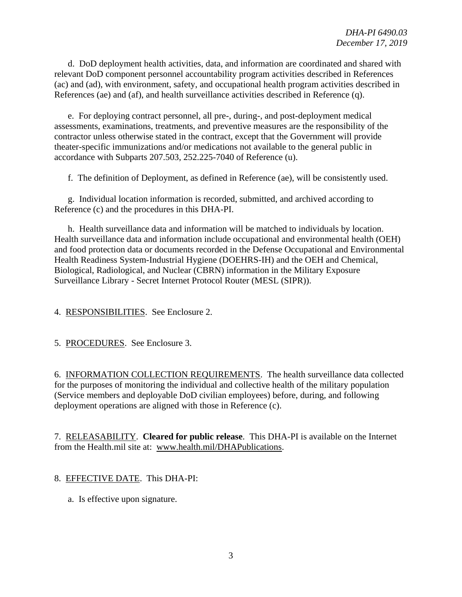d. DoD deployment health activities, data, and information are coordinated and shared with relevant DoD component personnel accountability program activities described in References (ac) and (ad), with environment, safety, and occupational health program activities described in References (ae) and (af), and health surveillance activities described in Reference (q).

e. For deploying contract personnel, all pre-, during-, and post-deployment medical assessments, examinations, treatments, and preventive measures are the responsibility of the contractor unless otherwise stated in the contract, except that the Government will provide theater-specific immunizations and/or medications not available to the general public in accordance with Subparts 207.503, 252.225-7040 of Reference (u).

f. The definition of Deployment, as defined in Reference (ae), will be consistently used.

g. Individual location information is recorded, submitted, and archived according to Reference (c) and the procedures in this DHA-PI.

h. Health surveillance data and information will be matched to individuals by location. Health surveillance data and information include occupational and environmental health (OEH) and food protection data or documents recorded in the Defense Occupational and Environmental Health Readiness System-Industrial Hygiene (DOEHRS-IH) and the OEH and Chemical, Biological, Radiological, and Nuclear (CBRN) information in the Military Exposure Surveillance Library - Secret Internet Protocol Router (MESL (SIPR)).

4. RESPONSIBILITIES. See Enclosure 2.

5. PROCEDURES. See Enclosure 3.

6. INFORMATION COLLECTION REQUIREMENTS. The health surveillance data collected for the purposes of monitoring the individual and collective health of the military population (Service members and deployable DoD civilian employees) before, during, and following deployment operations are aligned with those in Reference (c).

7. RELEASABILITY. **Cleared for public release**. This DHA-PI is available on the Internet from the Health.mil site at: [www.health.mil/DHAPublications.](http://www.health.mil/DHAPublications)

# 8. EFFECTIVE DATE. This DHA-PI:

a. Is effective upon signature.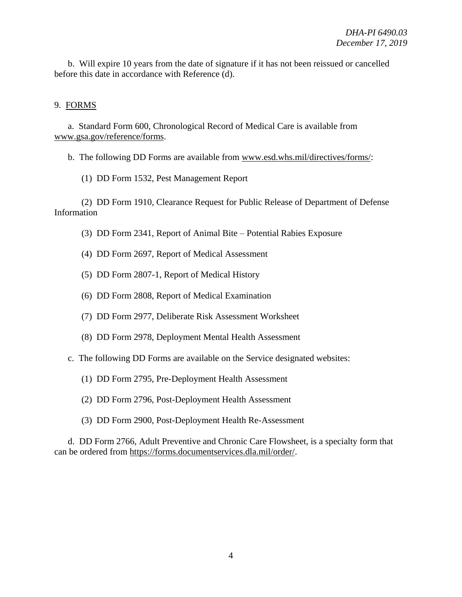b. Will expire 10 years from the date of signature if it has not been reissued or cancelled before this date in accordance with Reference (d).

#### 9. FORMS

a. Standard Form 600, Chronological Record of Medical Care is available from [www.gsa.gov/reference/forms.](http://www.gsa.gov/reference/forms)

b. The following DD Forms are available from [www.esd.whs.mil/directives/forms/:](http://www.esd.whs.mil/directives/forms/)

(1) DD Form 1532, Pest Management Report

(2) DD Form 1910, Clearance Request for Public Release of Department of Defense Information

- (3) DD Form 2341, Report of Animal Bite Potential Rabies Exposure
- (4) DD Form 2697, Report of Medical Assessment
- (5) DD Form 2807-1, Report of Medical History
- (6) DD Form 2808, Report of Medical Examination
- (7) DD Form 2977, Deliberate Risk Assessment Worksheet
- (8) DD Form 2978, Deployment Mental Health Assessment
- c. The following DD Forms are available on the Service designated websites:
	- (1) DD Form 2795, Pre-Deployment Health Assessment
	- (2) DD Form 2796, Post-Deployment Health Assessment
	- (3) DD Form 2900, Post-Deployment Health Re-Assessment

d. DD Form 2766, Adult Preventive and Chronic Care Flowsheet, is a specialty form that can be ordered from [https://forms.documentservices.dla.mil/order/.](https://forms.documentservices.dla.mil/order/)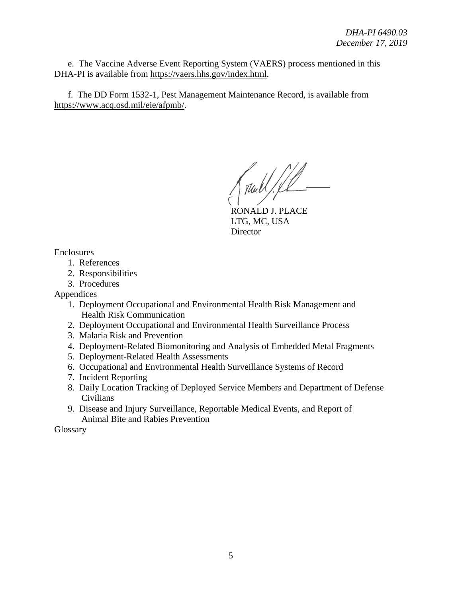e. The Vaccine Adverse Event Reporting System (VAERS) process mentioned in this DHA-PI is available from [https://vaers.hhs.gov/index.html.](https://vaers.hhs.gov/index.html)

f. The DD Form 1532-1, Pest Management Maintenance Record, is available from [https://www.acq.osd.mil/eie/afpmb/.](https://www.acq.osd.mil/eie/afpmb/)

RONALD J. PLACE LTG, MC, USA **Director** 

Enclosures

- 1. References
- 2. Responsibilities
- 3. Procedures

Appendices

- 1. Deployment Occupational and Environmental Health Risk Management and Health Risk Communication
- 2. Deployment Occupational and Environmental Health Surveillance Process
- 3. Malaria Risk and Prevention
- 4. Deployment-Related Biomonitoring and Analysis of Embedded Metal Fragments
- 5. Deployment-Related Health Assessments
- 6. Occupational and Environmental Health Surveillance Systems of Record
- 7. Incident Reporting
- 8. Daily Location Tracking of Deployed Service Members and Department of Defense Civilians
- 9. Disease and Injury Surveillance, Reportable Medical Events, and Report of Animal Bite and Rabies Prevention

Glossary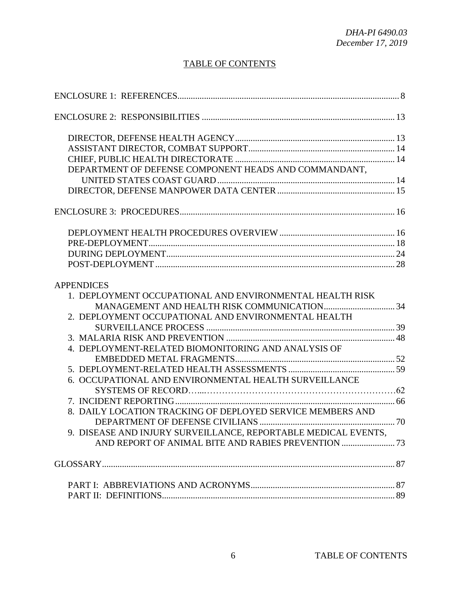# TABLE OF CONTENTS

| DEPARTMENT OF DEFENSE COMPONENT HEADS AND COMMANDANT.          |  |
|----------------------------------------------------------------|--|
|                                                                |  |
|                                                                |  |
|                                                                |  |
|                                                                |  |
|                                                                |  |
|                                                                |  |
|                                                                |  |
| <b>APPENDICES</b>                                              |  |
| 1. DEPLOYMENT OCCUPATIONAL AND ENVIRONMENTAL HEALTH RISK       |  |
|                                                                |  |
| 2. DEPLOYMENT OCCUPATIONAL AND ENVIRONMENTAL HEALTH            |  |
|                                                                |  |
|                                                                |  |
| 4. DEPLOYMENT-RELATED BIOMONITORING AND ANALYSIS OF            |  |
|                                                                |  |
|                                                                |  |
| 6. OCCUPATIONAL AND ENVIRONMENTAL HEALTH SURVEILLANCE          |  |
|                                                                |  |
|                                                                |  |
| 8. DAILY LOCATION TRACKING OF DEPLOYED SERVICE MEMBERS AND     |  |
|                                                                |  |
| 9. DISEASE AND INJURY SURVEILLANCE, REPORTABLE MEDICAL EVENTS, |  |
|                                                                |  |
|                                                                |  |
|                                                                |  |
|                                                                |  |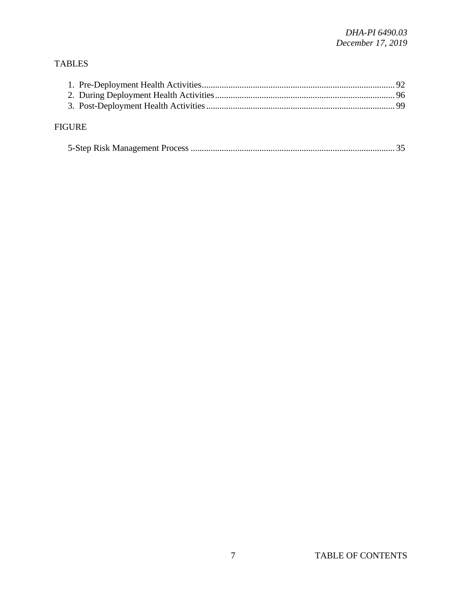# TABLES

| <b>FIGURE</b> |  |
|---------------|--|

|--|--|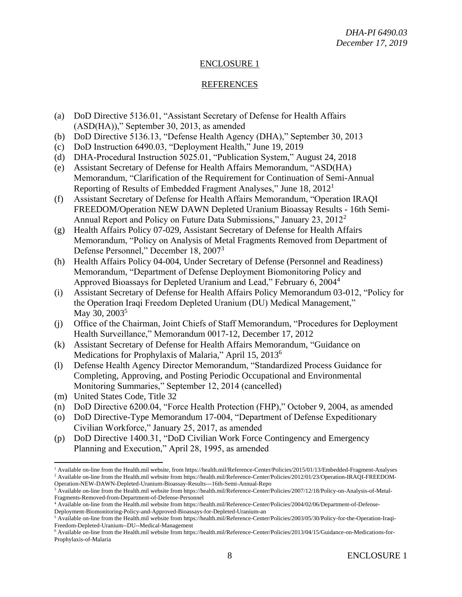# ENCLOSURE 1

## REFERENCES

- (a) DoD Directive 5136.01, "Assistant Secretary of Defense for Health Affairs (ASD(HA))," September 30, 2013, as amended
- (b) DoD Directive 5136.13, "Defense Health Agency (DHA)," September 30, 2013
- (c) DoD Instruction 6490.03, "Deployment Health," June 19, 2019
- (d) DHA-Procedural Instruction 5025.01, "Publication System," August 24, 2018
- (e) Assistant Secretary of Defense for Health Affairs Memorandum, "ASD(HA) Memorandum, "Clarification of the Requirement for Continuation of Semi-Annual Reporting of Results of Embedded Fragment Analyses," June 18, 2012<sup>1</sup>
- (f) Assistant Secretary of Defense for Health Affairs Memorandum, "Operation IRAQI FREEDOM/Operation NEW DAWN Depleted Uranium Bioassay Results - 16th Semi-Annual Report and Policy on Future Data Submissions," January 23, 2012<sup>2</sup>
- (g) Health Affairs Policy 07-029, Assistant Secretary of Defense for Health Affairs Memorandum, "Policy on Analysis of Metal Fragments Removed from Department of Defense Personnel," December 18, 2007<sup>3</sup>
- (h) Health Affairs Policy 04-004, Under Secretary of Defense (Personnel and Readiness) Memorandum, "Department of Defense Deployment Biomonitoring Policy and Approved Bioassays for Depleted Uranium and Lead," February 6, 2004<sup>4</sup>
- (i) Assistant Secretary of Defense for Health Affairs Policy Memorandum 03-012, "Policy for the Operation Iraqi Freedom Depleted Uranium (DU) Medical Management," May 30,  $2003^5$
- (j) Office of the Chairman, Joint Chiefs of Staff Memorandum, "Procedures for Deployment Health Surveillance," Memorandum 0017-12, December 17, 2012
- (k) Assistant Secretary of Defense for Health Affairs Memorandum, "Guidance on Medications for Prophylaxis of Malaria," April 15, 2013<sup>6</sup>
- (l) Defense Health Agency Director Memorandum, "Standardized Process Guidance for Completing, Approving, and Posting Periodic Occupational and Environmental Monitoring Summaries," September 12, 2014 (cancelled)
- (m) United States Code, Title 32
- (n) DoD Directive 6200.04, "Force Health Protection (FHP)," October 9, 2004, as amended
- (o) DoD Directive-Type Memorandum 17-004, "Department of Defense Expeditionary Civilian Workforce," January 25, 2017, as amended
- (p) DoD Directive 1400.31, "DoD Civilian Work Force Contingency and Emergency Planning and Execution," April 28, 1995, as amended

 $\overline{\phantom{a}}$ <sup>1</sup> Available on-line from the Health.mil website, from https://health.mil/Reference-Center/Policies/2015/01/13/Embedded-Fragment-Analyses <sup>2</sup> Available on-line from the Health.mil website from https://health.mil/Reference-Center/Policies/2012/01/23/Operation-IRAQI-FREEDOM-Operation-NEW-DAWN-Depleted-Uranium-Bioassay-Results---16th-Semi-Annual-Repo

<sup>3</sup> Available on-line from the Health.mil website from https://health.mil/Reference-Center/Policies/2007/12/18/Policy-on-Analysis-of-Metal-Fragments-Removed-from-Department-of-Defense-Personnel

<sup>&</sup>lt;sup>4</sup> Available on-line from the Health.mil website from https://health.mil/Reference-Center/Policies/2004/02/06/Department-of-Defense-Deployment-Biomonitoring-Policy-and-Approved-Bioassays-for-Depleted-Uranium-an

<sup>5</sup> Available on-line from the Health.mil website from https://health.mil/Reference-Center/Policies/2003/05/30/Policy-for-the-Operation-Iraqi-Freedom-Depleted-Uranium--DU--Medical-Management

<sup>6</sup> Available on-line from the Health.mil website from https://health.mil/Reference-Center/Policies/2013/04/15/Guidance-on-Medications-for-Prophylaxis-of-Malaria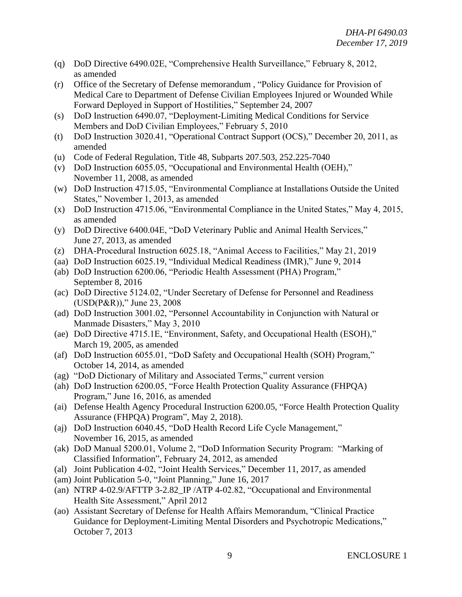- (q) DoD Directive 6490.02E, "Comprehensive Health Surveillance," February 8, 2012, as amended
- (r) Office of the Secretary of Defense memorandum , "Policy Guidance for Provision of Medical Care to Department of Defense Civilian Employees Injured or Wounded While Forward Deployed in Support of Hostilities," September 24, 2007
- (s) DoD Instruction 6490.07, "Deployment-Limiting Medical Conditions for Service Members and DoD Civilian Employees," February 5, 2010
- (t) DoD Instruction 3020.41, "Operational Contract Support (OCS)," December 20, 2011, as amended
- (u) Code of Federal Regulation, Title 48, Subparts 207.503, 252.225-7040
- (v) DoD Instruction 6055.05, "Occupational and Environmental Health (OEH)," November 11, 2008, as amended
- (w) DoD Instruction 4715.05, "Environmental Compliance at Installations Outside the United States," November 1, 2013, as amended
- (x) DoD Instruction 4715.06, "Environmental Compliance in the United States," May 4, 2015, as amended
- (y) DoD Directive 6400.04E, "DoD Veterinary Public and Animal Health Services," June 27, 2013, as amended
- (z) DHA-Procedural Instruction 6025.18, "Animal Access to Facilities," May 21, 2019
- (aa) DoD Instruction 6025.19, "Individual Medical Readiness (IMR)," June 9, 2014
- (ab) DoD Instruction 6200.06, "Periodic Health Assessment (PHA) Program," September 8, 2016
- (ac) DoD Directive 5124.02, "Under Secretary of Defense for Personnel and Readiness (USD(P&R))," June 23, 2008
- (ad) DoD Instruction 3001.02, "Personnel Accountability in Conjunction with Natural or Manmade Disasters," May 3, 2010
- (ae) DoD Directive 4715.1E, "Environment, Safety, and Occupational Health (ESOH)," March 19, 2005, as amended
- (af) DoD Instruction 6055.01, "DoD Safety and Occupational Health (SOH) Program," October 14, 2014, as amended
- (ag) "DoD Dictionary of Military and Associated Terms," current version
- (ah) DoD Instruction 6200.05, "Force Health Protection Quality Assurance (FHPQA) Program," June 16, 2016, as amended
- (ai) Defense Health Agency Procedural Instruction 6200.05, "Force Health Protection Quality Assurance (FHPQA) Program", May 2, 2018).
- (aj) DoD Instruction 6040.45, "DoD Health Record Life Cycle Management," November 16, 2015, as amended
- (ak) DoD Manual 5200.01, Volume 2, "DoD Information Security Program: "Marking of Classified Information", February 24, 2012, as amended
- (al) Joint Publication 4-02, "Joint Health Services," December 11, 2017, as amended
- (am) Joint Publication 5-0, "Joint Planning," June 16, 2017
- (an) NTRP 4-02.9/AFTTP 3-2.82\_IP /ATP 4-02.82, "Occupational and Environmental Health Site Assessment," April 2012
- (ao) Assistant Secretary of Defense for Health Affairs Memorandum, "Clinical Practice Guidance for Deployment-Limiting Mental Disorders and Psychotropic Medications," October 7, 2013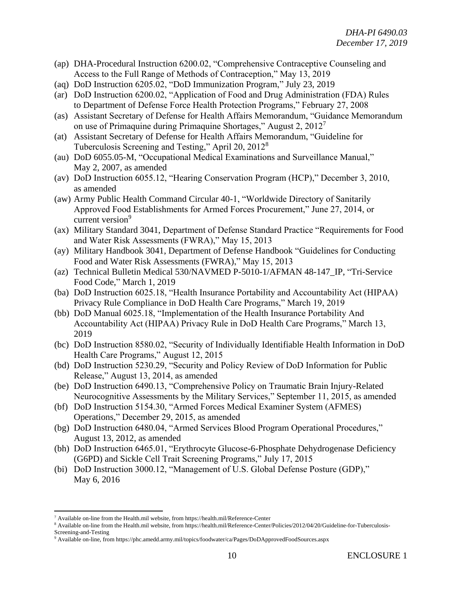- (ap) DHA-Procedural Instruction 6200.02, "Comprehensive Contraceptive Counseling and Access to the Full Range of Methods of Contraception," May 13, 2019
- (aq) DoD Instruction 6205.02, "DoD Immunization Program," July 23, 2019
- (ar) DoD Instruction 6200.02, "Application of Food and Drug Administration (FDA) Rules to Department of Defense Force Health Protection Programs," February 27, 2008
- (as) Assistant Secretary of Defense for Health Affairs Memorandum, "Guidance Memorandum on use of Primaquine during Primaquine Shortages," August 2, 2012<sup>7</sup>
- (at) Assistant Secretary of Defense for Health Affairs Memorandum, "Guideline for Tuberculosis Screening and Testing," April 20, 2012<sup>8</sup>
- (au) DoD 6055.05-M, "Occupational Medical Examinations and Surveillance Manual," May 2, 2007, as amended
- (av) DoD Instruction 6055.12, "Hearing Conservation Program (HCP)," December 3, 2010, as amended
- (aw) Army Public Health Command Circular 40-1, "Worldwide Directory of Sanitarily Approved Food Establishments for Armed Forces Procurement," June 27, 2014, or current version<sup>9</sup>
- (ax) Military Standard 3041, Department of Defense Standard Practice "Requirements for Food and Water Risk Assessments (FWRA)," May 15, 2013
- (ay) Military Handbook 3041, Department of Defense Handbook "Guidelines for Conducting Food and Water Risk Assessments (FWRA)," May 15, 2013
- (az) Technical Bulletin Medical 530/NAVMED P-5010-1/AFMAN 48-147\_IP, "Tri-Service Food Code," March 1, 2019
- (ba) DoD Instruction 6025.18, "Health Insurance Portability and Accountability Act (HIPAA) Privacy Rule Compliance in DoD Health Care Programs," March 19, 2019
- (bb) DoD Manual 6025.18, "Implementation of the Health Insurance Portability And Accountability Act (HIPAA) Privacy Rule in DoD Health Care Programs," March 13, 2019
- (bc) DoD Instruction 8580.02, "Security of Individually Identifiable Health Information in DoD Health Care Programs," August 12, 2015
- (bd) DoD Instruction 5230.29, "Security and Policy Review of DoD Information for Public Release," August 13, 2014, as amended
- (be) DoD Instruction 6490.13, "Comprehensive Policy on Traumatic Brain Injury-Related Neurocognitive Assessments by the Military Services," September 11, 2015, as amended
- (bf) DoD Instruction 5154.30, "Armed Forces Medical Examiner System (AFMES) Operations," December 29, 2015, as amended
- (bg) DoD Instruction 6480.04, "Armed Services Blood Program Operational Procedures," August 13, 2012, as amended
- (bh) DoD Instruction 6465.01, "Erythrocyte Glucose-6-Phosphate Dehydrogenase Deficiency (G6PD) and Sickle Cell Trait Screening Programs," July 17, 2015
- (bi) DoD Instruction 3000.12, "Management of U.S. Global Defense Posture (GDP)," May 6, 2016

 $\overline{\phantom{a}}$ 

<sup>7</sup> Available on-line from the Health.mil website, from https://health.mil/Reference-Center

<sup>8</sup> Available on-line from the Health.mil website, from https://health.mil/Reference-Center/Policies/2012/04/20/Guideline-for-Tuberculosis-Screening-and-Testing

<sup>9</sup> Available on-line, from https://phc.amedd.army.mil/topics/foodwater/ca/Pages/DoDApprovedFoodSources.aspx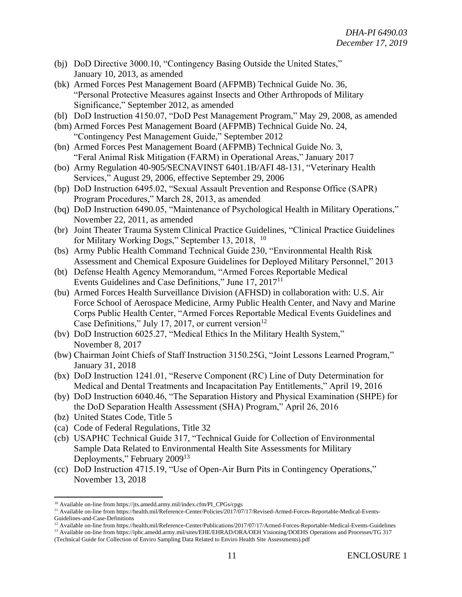- (bj) DoD Directive 3000.10, "Contingency Basing Outside the United States," January 10, 2013, as amended
- (bk) Armed Forces Pest Management Board (AFPMB) Technical Guide No. 36, "Personal Protective Measures against Insects and Other Arthropods of Military Significance," September 2012, as amended
- (bl) DoD Instruction 4150.07, "DoD Pest Management Program," May 29, 2008, as amended
- (bm) Armed Forces Pest Management Board (AFPMB) Technical Guide No. 24, "Contingency Pest Management Guide," September 2012
- (bn) Armed Forces Pest Management Board (AFPMB) Technical Guide No. 3, "Feral Animal Risk Mitigation (FARM) in Operational Areas," January 2017
- (bo) Army Regulation 40-905/SECNAVINST 6401.1B/AFI 48-131, "Veterinary Health Services," August 29, 2006, effective September 29, 2006
- (bp) DoD Instruction 6495.02, "Sexual Assault Prevention and Response Office (SAPR) Program Procedures," March 28, 2013, as amended
- (bq) DoD Instruction 6490.05, "Maintenance of Psychological Health in Military Operations," November 22, 2011, as amended
- (br) Joint Theater Trauma System Clinical Practice Guidelines, "Clinical Practice Guidelines for Military Working Dogs," September 13, 2018, <sup>10</sup>
- (bs) Army Public Health Command Technical Guide 230, "Environmental Health Risk Assessment and Chemical Exposure Guidelines for Deployed Military Personnel," 2013
- (bt) Defense Health Agency Memorandum, "Armed Forces Reportable Medical Events Guidelines and Case Definitions," June 17, 2017<sup>11</sup>
- (bu) Armed Forces Health Surveillance Division (AFHSD) in collaboration with: U.S. Air Force School of Aerospace Medicine, Army Public Health Center, and Navy and Marine Corps Public Health Center, "Armed Forces Reportable Medical Events Guidelines and Case Definitions," July 17, 2017, or current version<sup>12</sup>
- (bv) DoD Instruction 6025.27, "Medical Ethics In the Military Health System," November 8, 2017
- (bw) Chairman Joint Chiefs of Staff Instruction 3150.25G, "Joint Lessons Learned Program," January 31, 2018
- (bx) DoD Instruction 1241.01, "Reserve Component (RC) Line of Duty Determination for Medical and Dental Treatments and Incapacitation Pay Entitlements," April 19, 2016
- (by) DoD Instruction 6040.46, "The Separation History and Physical Examination (SHPE) for the DoD Separation Health Assessment (SHA) Program," April 26, 2016
- (bz) United States Code, Title 5

l

- (ca) Code of Federal Regulations, Title 32
- (cb) USAPHC Technical Guide 317, "Technical Guide for Collection of Environmental Sample Data Related to Environmental Health Site Assessments for Military Deployments," February 2009<sup>13</sup>
- (cc) DoD Instruction 4715.19, "Use of Open-Air Burn Pits in Contingency Operations," November 13, 2018

<sup>10</sup> Available on-line from https://jts.amedd.army.mil/index.cfm/PI\_CPGs/cpgs

<sup>&</sup>lt;sup>11</sup> Available on-line from https://health.mil/Reference-Center/Policies/2017/07/17/Revised-Armed-Forces-Reportable-Medical-Events-Guidelines-and-Case-Definitions

<sup>&</sup>lt;sup>12</sup> Available on-line from https://health.mil/Reference-Center/Publications/2017/07/17/Armed-Forces-Reportable-Medical-Events-Guidelines

<sup>13</sup> Available on-line from https://iphc.amedd.army.mil/sites/EHE/EHRAD/ORA/OEH Visioning/DOEHS Operations and Processes/TG 317 (Technical Guide for Collection of Enviro Sampling Data Related to Enviro Health Site Assessments).pdf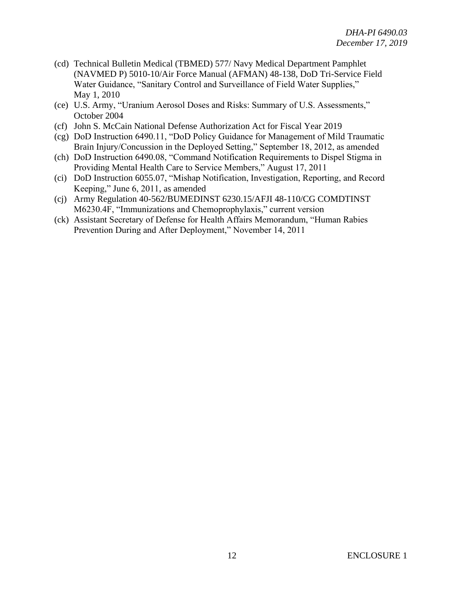- (cd) Technical Bulletin Medical (TBMED) 577/ Navy Medical Department Pamphlet (NAVMED P) 5010-10/Air Force Manual (AFMAN) 48-138, DoD Tri-Service Field Water Guidance, "Sanitary Control and Surveillance of Field Water Supplies," May 1, 2010
- (ce) U.S. Army, "Uranium Aerosol Doses and Risks: Summary of U.S. Assessments," October 2004
- (cf) John S. McCain National Defense Authorization Act for Fiscal Year 2019
- (cg) DoD Instruction 6490.11, "DoD Policy Guidance for Management of Mild Traumatic Brain Injury/Concussion in the Deployed Setting," September 18, 2012, as amended
- (ch) DoD Instruction 6490.08, "Command Notification Requirements to Dispel Stigma in Providing Mental Health Care to Service Members," August 17, 2011
- (ci) DoD Instruction 6055.07, "Mishap Notification, Investigation, Reporting, and Record Keeping," June 6, 2011, as amended
- (cj) Army Regulation 40-562/BUMEDINST 6230.15/AFJI 48-110/CG COMDTINST M6230.4F, "Immunizations and Chemoprophylaxis," current version
- (ck) Assistant Secretary of Defense for Health Affairs Memorandum, "Human Rabies Prevention During and After Deployment," November 14, 2011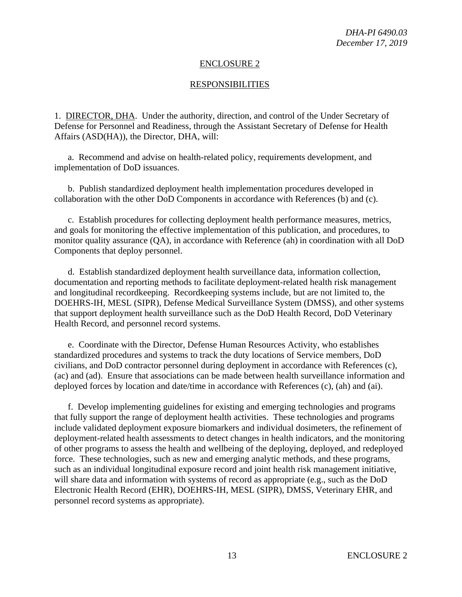#### ENCLOSURE 2

#### RESPONSIBILITIES

1. DIRECTOR, DHA. Under the authority, direction, and control of the Under Secretary of Defense for Personnel and Readiness, through the Assistant Secretary of Defense for Health Affairs (ASD(HA)), the Director, DHA, will:

a. Recommend and advise on health-related policy, requirements development, and implementation of DoD issuances.

b. Publish standardized deployment health implementation procedures developed in collaboration with the other DoD Components in accordance with References (b) and (c).

c. Establish procedures for collecting deployment health performance measures, metrics, and goals for monitoring the effective implementation of this publication, and procedures, to monitor quality assurance (QA), in accordance with Reference (ah) in coordination with all DoD Components that deploy personnel.

d. Establish standardized deployment health surveillance data, information collection, documentation and reporting methods to facilitate deployment-related health risk management and longitudinal recordkeeping. Recordkeeping systems include, but are not limited to, the DOEHRS-IH, MESL (SIPR), Defense Medical Surveillance System (DMSS), and other systems that support deployment health surveillance such as the DoD Health Record, DoD Veterinary Health Record, and personnel record systems.

e. Coordinate with the Director, Defense Human Resources Activity, who establishes standardized procedures and systems to track the duty locations of Service members, DoD civilians, and DoD contractor personnel during deployment in accordance with References (c), (ac) and (ad). Ensure that associations can be made between health surveillance information and deployed forces by location and date/time in accordance with References (c), (ah) and (ai).

f. Develop implementing guidelines for existing and emerging technologies and programs that fully support the range of deployment health activities. These technologies and programs include validated deployment exposure biomarkers and individual dosimeters, the refinement of deployment-related health assessments to detect changes in health indicators, and the monitoring of other programs to assess the health and wellbeing of the deploying, deployed, and redeployed force. These technologies, such as new and emerging analytic methods, and these programs, such as an individual longitudinal exposure record and joint health risk management initiative, will share data and information with systems of record as appropriate (e.g., such as the DoD Electronic Health Record (EHR), DOEHRS-IH, MESL (SIPR), DMSS, Veterinary EHR, and personnel record systems as appropriate).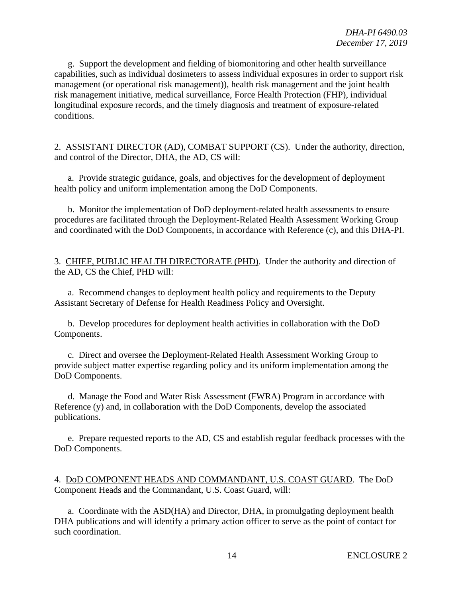g. Support the development and fielding of biomonitoring and other health surveillance capabilities, such as individual dosimeters to assess individual exposures in order to support risk management (or operational risk management)), health risk management and the joint health risk management initiative, medical surveillance, Force Health Protection (FHP), individual longitudinal exposure records, and the timely diagnosis and treatment of exposure-related conditions.

2. ASSISTANT DIRECTOR (AD), COMBAT SUPPORT (CS). Under the authority, direction, and control of the Director, DHA, the AD, CS will:

a. Provide strategic guidance, goals, and objectives for the development of deployment health policy and uniform implementation among the DoD Components.

b. Monitor the implementation of DoD deployment-related health assessments to ensure procedures are facilitated through the Deployment-Related Health Assessment Working Group and coordinated with the DoD Components, in accordance with Reference (c), and this DHA-PI.

3. CHIEF, PUBLIC HEALTH DIRECTORATE (PHD). Under the authority and direction of the AD, CS the Chief, PHD will:

a. Recommend changes to deployment health policy and requirements to the Deputy Assistant Secretary of Defense for Health Readiness Policy and Oversight.

b. Develop procedures for deployment health activities in collaboration with the DoD Components.

c. Direct and oversee the Deployment-Related Health Assessment Working Group to provide subject matter expertise regarding policy and its uniform implementation among the DoD Components.

d. Manage the Food and Water Risk Assessment (FWRA) Program in accordance with Reference (y) and, in collaboration with the DoD Components, develop the associated publications.

e. Prepare requested reports to the AD, CS and establish regular feedback processes with the DoD Components.

4. DoD COMPONENT HEADS AND COMMANDANT, U.S. COAST GUARD. The DoD Component Heads and the Commandant, U.S. Coast Guard, will:

a. Coordinate with the ASD(HA) and Director, DHA, in promulgating deployment health DHA publications and will identify a primary action officer to serve as the point of contact for such coordination.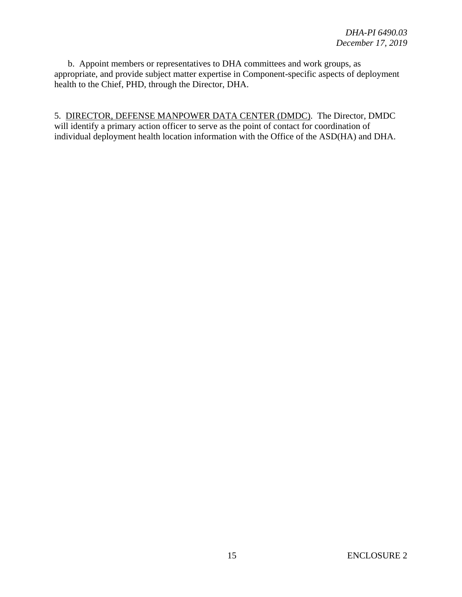b. Appoint members or representatives to DHA committees and work groups, as appropriate, and provide subject matter expertise in Component-specific aspects of deployment health to the Chief, PHD, through the Director, DHA.

5. DIRECTOR, DEFENSE MANPOWER DATA CENTER (DMDC). The Director, DMDC will identify a primary action officer to serve as the point of contact for coordination of individual deployment health location information with the Office of the ASD(HA) and DHA.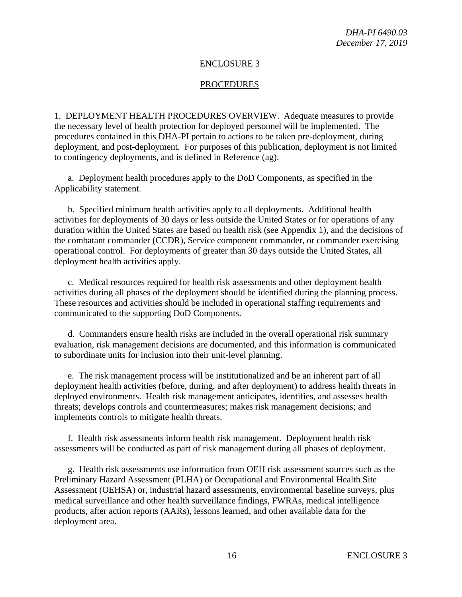#### ENCLOSURE 3

#### PROCEDURES

1. DEPLOYMENT HEALTH PROCEDURES OVERVIEW. Adequate measures to provide the necessary level of health protection for deployed personnel will be implemented. The procedures contained in this DHA-PI pertain to actions to be taken pre-deployment, during deployment, and post-deployment. For purposes of this publication, deployment is not limited to contingency deployments, and is defined in Reference (ag).

a. Deployment health procedures apply to the DoD Components, as specified in the Applicability statement.

b. Specified minimum health activities apply to all deployments. Additional health activities for deployments of 30 days or less outside the United States or for operations of any duration within the United States are based on health risk (see Appendix 1), and the decisions of the combatant commander (CCDR), Service component commander, or commander exercising operational control. For deployments of greater than 30 days outside the United States, all deployment health activities apply.

c. Medical resources required for health risk assessments and other deployment health activities during all phases of the deployment should be identified during the planning process. These resources and activities should be included in operational staffing requirements and communicated to the supporting DoD Components.

d. Commanders ensure health risks are included in the overall operational risk summary evaluation, risk management decisions are documented, and this information is communicated to subordinate units for inclusion into their unit-level planning.

e. The risk management process will be institutionalized and be an inherent part of all deployment health activities (before, during, and after deployment) to address health threats in deployed environments. Health risk management anticipates, identifies, and assesses health threats; develops controls and countermeasures; makes risk management decisions; and implements controls to mitigate health threats.

f. Health risk assessments inform health risk management. Deployment health risk assessments will be conducted as part of risk management during all phases of deployment.

g. Health risk assessments use information from OEH risk assessment sources such as the Preliminary Hazard Assessment (PLHA) or Occupational and Environmental Health Site Assessment (OEHSA) or, industrial hazard assessments, environmental baseline surveys, plus medical surveillance and other health surveillance findings, FWRAs, medical intelligence products, after action reports (AARs), lessons learned, and other available data for the deployment area.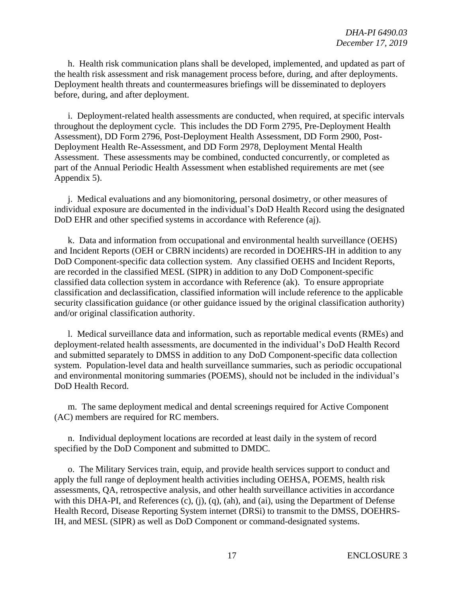h. Health risk communication plans shall be developed, implemented, and updated as part of the health risk assessment and risk management process before, during, and after deployments. Deployment health threats and countermeasures briefings will be disseminated to deployers before, during, and after deployment.

i. Deployment-related health assessments are conducted, when required, at specific intervals throughout the deployment cycle. This includes the DD Form 2795, Pre-Deployment Health Assessment), DD Form 2796, Post-Deployment Health Assessment, DD Form 2900, Post-Deployment Health Re-Assessment, and DD Form 2978, Deployment Mental Health Assessment. These assessments may be combined, conducted concurrently, or completed as part of the Annual Periodic Health Assessment when established requirements are met (see Appendix 5).

j. Medical evaluations and any biomonitoring, personal dosimetry, or other measures of individual exposure are documented in the individual's DoD Health Record using the designated DoD EHR and other specified systems in accordance with Reference (aj).

k. Data and information from occupational and environmental health surveillance (OEHS) and Incident Reports (OEH or CBRN incidents) are recorded in DOEHRS-IH in addition to any DoD Component-specific data collection system. Any classified OEHS and Incident Reports, are recorded in the classified MESL (SIPR) in addition to any DoD Component-specific classified data collection system in accordance with Reference (ak). To ensure appropriate classification and declassification, classified information will include reference to the applicable security classification guidance (or other guidance issued by the original classification authority) and/or original classification authority.

l. Medical surveillance data and information, such as reportable medical events (RMEs) and deployment-related health assessments, are documented in the individual's DoD Health Record and submitted separately to DMSS in addition to any DoD Component-specific data collection system. Population-level data and health surveillance summaries, such as periodic occupational and environmental monitoring summaries (POEMS), should not be included in the individual's DoD Health Record.

m. The same deployment medical and dental screenings required for Active Component (AC) members are required for RC members.

n. Individual deployment locations are recorded at least daily in the system of record specified by the DoD Component and submitted to DMDC.

o. The Military Services train, equip, and provide health services support to conduct and apply the full range of deployment health activities including OEHSA, POEMS, health risk assessments, QA, retrospective analysis, and other health surveillance activities in accordance with this DHA-PI, and References (c), (j), (q), (ah), and (ai), using the Department of Defense Health Record, Disease Reporting System internet (DRSi) to transmit to the DMSS, DOEHRS-IH, and MESL (SIPR) as well as DoD Component or command-designated systems.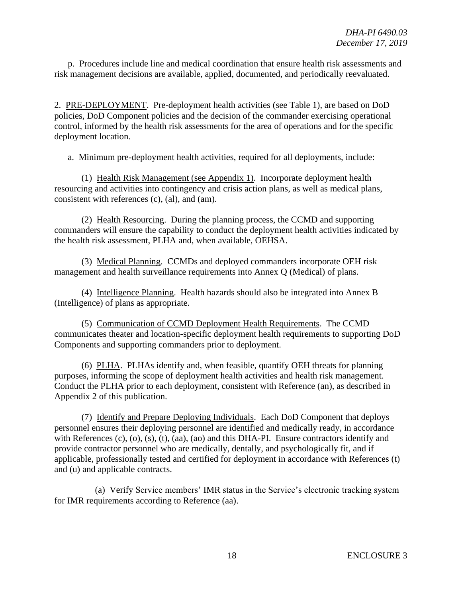p. Procedures include line and medical coordination that ensure health risk assessments and risk management decisions are available, applied, documented, and periodically reevaluated.

2. PRE-DEPLOYMENT. Pre-deployment health activities (see Table 1), are based on DoD policies, DoD Component policies and the decision of the commander exercising operational control, informed by the health risk assessments for the area of operations and for the specific deployment location.

a. Minimum pre-deployment health activities, required for all deployments, include:

(1) Health Risk Management (see Appendix 1). Incorporate deployment health resourcing and activities into contingency and crisis action plans, as well as medical plans, consistent with references (c), (al), and (am).

(2) Health Resourcing. During the planning process, the CCMD and supporting commanders will ensure the capability to conduct the deployment health activities indicated by the health risk assessment, PLHA and, when available, OEHSA.

(3) Medical Planning. CCMDs and deployed commanders incorporate OEH risk management and health surveillance requirements into Annex Q (Medical) of plans.

(4) Intelligence Planning. Health hazards should also be integrated into Annex B (Intelligence) of plans as appropriate.

(5) Communication of CCMD Deployment Health Requirements. The CCMD communicates theater and location-specific deployment health requirements to supporting DoD Components and supporting commanders prior to deployment.

(6) PLHA. PLHAs identify and, when feasible, quantify OEH threats for planning purposes, informing the scope of deployment health activities and health risk management. Conduct the PLHA prior to each deployment, consistent with Reference (an), as described in Appendix 2 of this publication.

(7) Identify and Prepare Deploying Individuals. Each DoD Component that deploys personnel ensures their deploying personnel are identified and medically ready, in accordance with References (c), (o), (s), (t), (aa), (ao) and this DHA-PI. Ensure contractors identify and provide contractor personnel who are medically, dentally, and psychologically fit, and if applicable, professionally tested and certified for deployment in accordance with References (t) and (u) and applicable contracts.

(a) Verify Service members' IMR status in the Service's electronic tracking system for IMR requirements according to Reference (aa).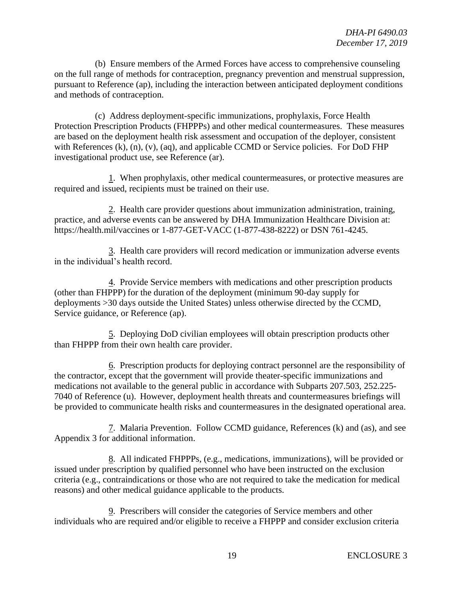(b) Ensure members of the Armed Forces have access to comprehensive counseling on the full range of methods for contraception, pregnancy prevention and menstrual suppression, pursuant to Reference (ap), including the interaction between anticipated deployment conditions and methods of contraception.

(c) Address deployment-specific immunizations, prophylaxis, Force Health Protection Prescription Products (FHPPPs) and other medical countermeasures. These measures are based on the deployment health risk assessment and occupation of the deployer, consistent with References (k), (n), (v), (aq), and applicable CCMD or Service policies. For DoD FHP investigational product use, see Reference (ar).

1. When prophylaxis, other medical countermeasures, or protective measures are required and issued, recipients must be trained on their use.

2. Health care provider questions about immunization administration, training, practice, and adverse events can be answered by DHA Immunization Healthcare Division at: https://health.mil/vaccines or 1-877-GET-VACC (1-877-438-8222) or DSN 761-4245.

3. Health care providers will record medication or immunization adverse events in the individual's health record.

4. Provide Service members with medications and other prescription products (other than FHPPP) for the duration of the deployment (minimum 90-day supply for deployments >30 days outside the United States) unless otherwise directed by the CCMD, Service guidance, or Reference (ap).

5. Deploying DoD civilian employees will obtain prescription products other than FHPPP from their own health care provider.

6. Prescription products for deploying contract personnel are the responsibility of the contractor, except that the government will provide theater-specific immunizations and medications not available to the general public in accordance with Subparts 207.503, 252.225- 7040 of Reference (u). However, deployment health threats and countermeasures briefings will be provided to communicate health risks and countermeasures in the designated operational area.

7. Malaria Prevention. Follow CCMD guidance, References (k) and (as), and see Appendix 3 for additional information.

8. All indicated FHPPPs, (e.g., medications, immunizations), will be provided or issued under prescription by qualified personnel who have been instructed on the exclusion criteria (e.g., contraindications or those who are not required to take the medication for medical reasons) and other medical guidance applicable to the products.

9. Prescribers will consider the categories of Service members and other individuals who are required and/or eligible to receive a FHPPP and consider exclusion criteria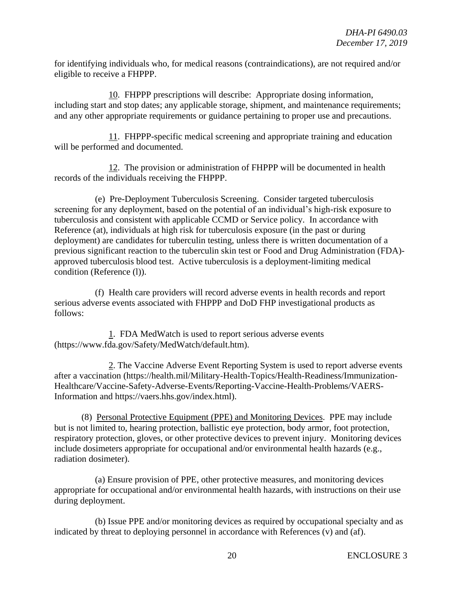for identifying individuals who, for medical reasons (contraindications), are not required and/or eligible to receive a FHPPP.

10. FHPPP prescriptions will describe: Appropriate dosing information, including start and stop dates; any applicable storage, shipment, and maintenance requirements; and any other appropriate requirements or guidance pertaining to proper use and precautions.

11. FHPPP-specific medical screening and appropriate training and education will be performed and documented.

12. The provision or administration of FHPPP will be documented in health records of the individuals receiving the FHPPP.

(e) Pre-Deployment Tuberculosis Screening. Consider targeted tuberculosis screening for any deployment, based on the potential of an individual's high-risk exposure to tuberculosis and consistent with applicable CCMD or Service policy. In accordance with Reference (at), individuals at high risk for tuberculosis exposure (in the past or during deployment) are candidates for tuberculin testing, unless there is written documentation of a previous significant reaction to the tuberculin skin test or Food and Drug Administration (FDA) approved tuberculosis blood test. Active tuberculosis is a deployment-limiting medical condition (Reference (l)).

(f) Health care providers will record adverse events in health records and report serious adverse events associated with FHPPP and DoD FHP investigational products as follows:

1. FDA MedWatch is used to report serious adverse events (https://www.fda.gov/Safety/MedWatch/default.htm).

2. The Vaccine Adverse Event Reporting System is used to report adverse events after a vaccination (https://health.mil/Military-Health-Topics/Health-Readiness/Immunization-Healthcare/Vaccine-Safety-Adverse-Events/Reporting-Vaccine-Health-Problems/VAERS-Information and https://vaers.hhs.gov/index.html).

(8) Personal Protective Equipment (PPE) and Monitoring Devices. PPE may include but is not limited to, hearing protection, ballistic eye protection, body armor, foot protection, respiratory protection, gloves, or other protective devices to prevent injury. Monitoring devices include dosimeters appropriate for occupational and/or environmental health hazards (e.g., radiation dosimeter).

(a) Ensure provision of PPE, other protective measures, and monitoring devices appropriate for occupational and/or environmental health hazards, with instructions on their use during deployment.

(b) Issue PPE and/or monitoring devices as required by occupational specialty and as indicated by threat to deploying personnel in accordance with References (v) and (af).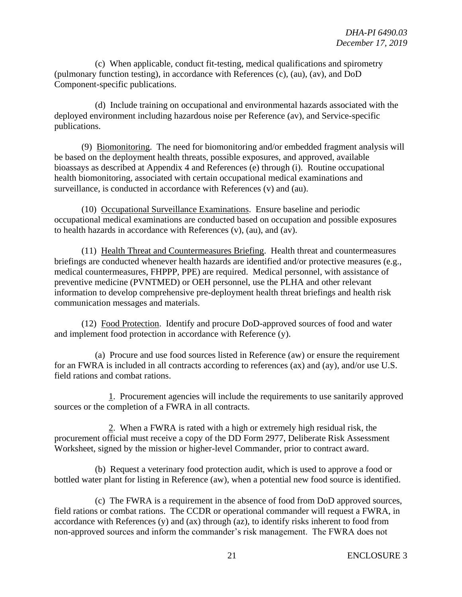(c) When applicable, conduct fit-testing, medical qualifications and spirometry (pulmonary function testing), in accordance with References (c), (au), (av), and DoD Component-specific publications.

(d) Include training on occupational and environmental hazards associated with the deployed environment including hazardous noise per Reference (av), and Service-specific publications.

(9) Biomonitoring. The need for biomonitoring and/or embedded fragment analysis will be based on the deployment health threats, possible exposures, and approved, available bioassays as described at Appendix 4 and References (e) through (i). Routine occupational health biomonitoring, associated with certain occupational medical examinations and surveillance, is conducted in accordance with References (v) and (au).

(10) Occupational Surveillance Examinations. Ensure baseline and periodic occupational medical examinations are conducted based on occupation and possible exposures to health hazards in accordance with References (v), (au), and (av).

(11) Health Threat and Countermeasures Briefing. Health threat and countermeasures briefings are conducted whenever health hazards are identified and/or protective measures (e.g., medical countermeasures, FHPPP, PPE) are required. Medical personnel, with assistance of preventive medicine (PVNTMED) or OEH personnel, use the PLHA and other relevant information to develop comprehensive pre-deployment health threat briefings and health risk communication messages and materials.

(12) Food Protection. Identify and procure DoD-approved sources of food and water and implement food protection in accordance with Reference (y).

(a) Procure and use food sources listed in Reference (aw) or ensure the requirement for an FWRA is included in all contracts according to references (ax) and (ay), and/or use U.S. field rations and combat rations.

1. Procurement agencies will include the requirements to use sanitarily approved sources or the completion of a FWRA in all contracts.

2. When a FWRA is rated with a high or extremely high residual risk, the procurement official must receive a copy of the DD Form 2977, Deliberate Risk Assessment Worksheet, signed by the mission or higher-level Commander, prior to contract award.

(b) Request a veterinary food protection audit, which is used to approve a food or bottled water plant for listing in Reference (aw), when a potential new food source is identified.

(c) The FWRA is a requirement in the absence of food from DoD approved sources, field rations or combat rations. The CCDR or operational commander will request a FWRA, in accordance with References (y) and (ax) through (az), to identify risks inherent to food from non-approved sources and inform the commander's risk management. The FWRA does not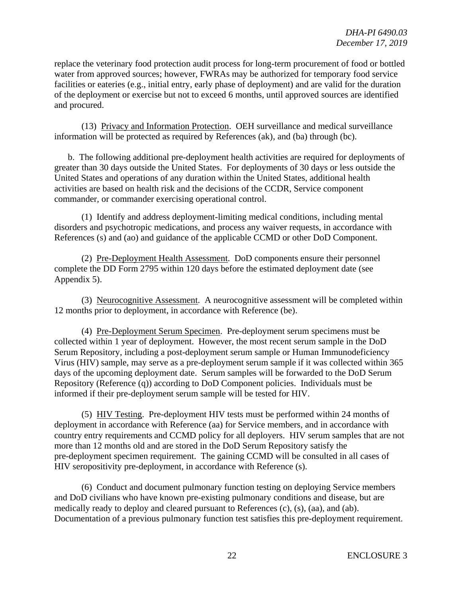replace the veterinary food protection audit process for long-term procurement of food or bottled water from approved sources; however, FWRAs may be authorized for temporary food service facilities or eateries (e.g., initial entry, early phase of deployment) and are valid for the duration of the deployment or exercise but not to exceed 6 months, until approved sources are identified and procured.

(13) Privacy and Information Protection. OEH surveillance and medical surveillance information will be protected as required by References (ak), and (ba) through (bc).

b. The following additional pre-deployment health activities are required for deployments of greater than 30 days outside the United States. For deployments of 30 days or less outside the United States and operations of any duration within the United States, additional health activities are based on health risk and the decisions of the CCDR, Service component commander, or commander exercising operational control.

(1) Identify and address deployment-limiting medical conditions, including mental disorders and psychotropic medications, and process any waiver requests, in accordance with References (s) and (ao) and guidance of the applicable CCMD or other DoD Component.

(2) Pre-Deployment Health Assessment. DoD components ensure their personnel complete the DD Form 2795 within 120 days before the estimated deployment date (see Appendix 5).

(3) Neurocognitive Assessment. A neurocognitive assessment will be completed within 12 months prior to deployment, in accordance with Reference (be).

(4) Pre-Deployment Serum Specimen. Pre-deployment serum specimens must be collected within 1 year of deployment. However, the most recent serum sample in the DoD Serum Repository, including a post-deployment serum sample or Human Immunodeficiency Virus (HIV) sample, may serve as a pre-deployment serum sample if it was collected within 365 days of the upcoming deployment date. Serum samples will be forwarded to the DoD Serum Repository (Reference (q)) according to DoD Component policies. Individuals must be informed if their pre-deployment serum sample will be tested for HIV.

(5) HIV Testing. Pre-deployment HIV tests must be performed within 24 months of deployment in accordance with Reference (aa) for Service members, and in accordance with country entry requirements and CCMD policy for all deployers. HIV serum samples that are not more than 12 months old and are stored in the DoD Serum Repository satisfy the pre-deployment specimen requirement. The gaining CCMD will be consulted in all cases of HIV seropositivity pre-deployment, in accordance with Reference (s).

(6) Conduct and document pulmonary function testing on deploying Service members and DoD civilians who have known pre-existing pulmonary conditions and disease, but are medically ready to deploy and cleared pursuant to References (c), (s), (aa), and (ab). Documentation of a previous pulmonary function test satisfies this pre-deployment requirement.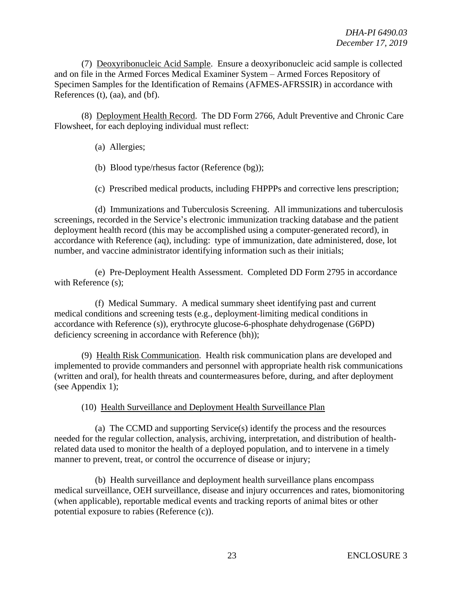(7) Deoxyribonucleic Acid Sample. Ensure a deoxyribonucleic acid sample is collected and on file in the Armed Forces Medical Examiner System – Armed Forces Repository of Specimen Samples for the Identification of Remains (AFMES-AFRSSIR) in accordance with References (t), (aa), and (bf).

(8) Deployment Health Record. The DD Form 2766, Adult Preventive and Chronic Care Flowsheet, for each deploying individual must reflect:

(a) Allergies;

(b) Blood type/rhesus factor (Reference (bg));

(c) Prescribed medical products, including FHPPPs and corrective lens prescription;

(d) Immunizations and Tuberculosis Screening. All immunizations and tuberculosis screenings, recorded in the Service's electronic immunization tracking database and the patient deployment health record (this may be accomplished using a computer-generated record), in accordance with Reference (aq), including: type of immunization, date administered, dose, lot number, and vaccine administrator identifying information such as their initials;

(e) Pre-Deployment Health Assessment. Completed DD Form 2795 in accordance with Reference (s);

(f) Medical Summary. A medical summary sheet identifying past and current medical conditions and screening tests (e.g., deployment-limiting medical conditions in accordance with Reference (s)), erythrocyte glucose-6-phosphate dehydrogenase (G6PD) deficiency screening in accordance with Reference (bh));

(9) Health Risk Communication. Health risk communication plans are developed and implemented to provide commanders and personnel with appropriate health risk communications (written and oral), for health threats and countermeasures before, during, and after deployment (see Appendix 1);

(10) Health Surveillance and Deployment Health Surveillance Plan

(a) The CCMD and supporting Service(s) identify the process and the resources needed for the regular collection, analysis, archiving, interpretation, and distribution of healthrelated data used to monitor the health of a deployed population, and to intervene in a timely manner to prevent, treat, or control the occurrence of disease or injury;

(b) Health surveillance and deployment health surveillance plans encompass medical surveillance, OEH surveillance, disease and injury occurrences and rates, biomonitoring (when applicable), reportable medical events and tracking reports of animal bites or other potential exposure to rabies (Reference (c)).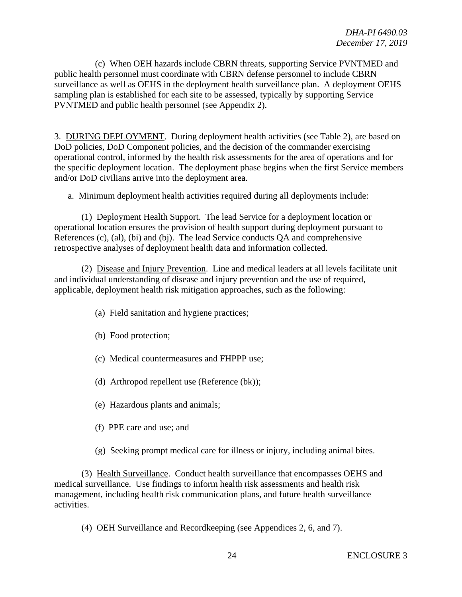(c) When OEH hazards include CBRN threats, supporting Service PVNTMED and public health personnel must coordinate with CBRN defense personnel to include CBRN surveillance as well as OEHS in the deployment health surveillance plan. A deployment OEHS sampling plan is established for each site to be assessed, typically by supporting Service PVNTMED and public health personnel (see Appendix 2).

3. DURING DEPLOYMENT. During deployment health activities (see Table 2), are based on DoD policies, DoD Component policies, and the decision of the commander exercising operational control, informed by the health risk assessments for the area of operations and for the specific deployment location. The deployment phase begins when the first Service members and/or DoD civilians arrive into the deployment area.

a. Minimum deployment health activities required during all deployments include:

(1) Deployment Health Support. The lead Service for a deployment location or operational location ensures the provision of health support during deployment pursuant to References (c), (al), (bi) and (bj). The lead Service conducts QA and comprehensive retrospective analyses of deployment health data and information collected.

(2) Disease and Injury Prevention. Line and medical leaders at all levels facilitate unit and individual understanding of disease and injury prevention and the use of required, applicable, deployment health risk mitigation approaches, such as the following:

- (a) Field sanitation and hygiene practices;
- (b) Food protection;
- (c) Medical countermeasures and FHPPP use;
- (d) Arthropod repellent use (Reference (bk));
- (e) Hazardous plants and animals;
- (f) PPE care and use; and
- (g) Seeking prompt medical care for illness or injury, including animal bites.

(3) Health Surveillance. Conduct health surveillance that encompasses OEHS and medical surveillance. Use findings to inform health risk assessments and health risk management, including health risk communication plans, and future health surveillance activities.

(4) OEH Surveillance and Recordkeeping (see Appendices 2, 6, and 7).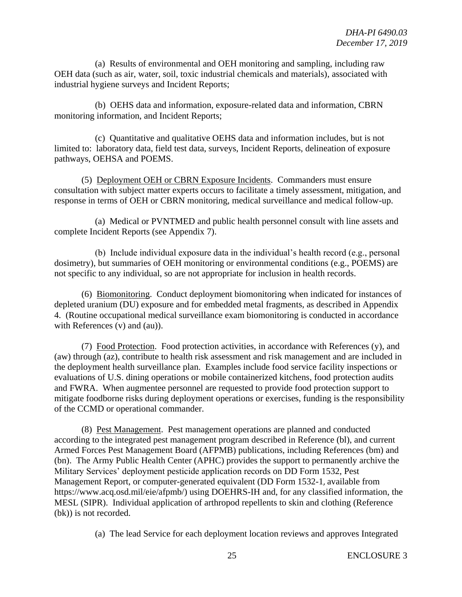(a) Results of environmental and OEH monitoring and sampling, including raw OEH data (such as air, water, soil, toxic industrial chemicals and materials), associated with industrial hygiene surveys and Incident Reports;

(b) OEHS data and information, exposure-related data and information, CBRN monitoring information, and Incident Reports;

(c) Quantitative and qualitative OEHS data and information includes, but is not limited to: laboratory data, field test data, surveys, Incident Reports, delineation of exposure pathways, OEHSA and POEMS.

(5) Deployment OEH or CBRN Exposure Incidents. Commanders must ensure consultation with subject matter experts occurs to facilitate a timely assessment, mitigation, and response in terms of OEH or CBRN monitoring, medical surveillance and medical follow-up.

(a) Medical or PVNTMED and public health personnel consult with line assets and complete Incident Reports (see Appendix 7).

(b) Include individual exposure data in the individual's health record (e.g., personal dosimetry), but summaries of OEH monitoring or environmental conditions (e.g., POEMS) are not specific to any individual, so are not appropriate for inclusion in health records.

(6) Biomonitoring. Conduct deployment biomonitoring when indicated for instances of depleted uranium (DU) exposure and for embedded metal fragments, as described in Appendix 4. (Routine occupational medical surveillance exam biomonitoring is conducted in accordance with References (v) and (au)).

(7) Food Protection. Food protection activities, in accordance with References (y), and (aw) through (az), contribute to health risk assessment and risk management and are included in the deployment health surveillance plan. Examples include food service facility inspections or evaluations of U.S. dining operations or mobile containerized kitchens, food protection audits and FWRA. When augmentee personnel are requested to provide food protection support to mitigate foodborne risks during deployment operations or exercises, funding is the responsibility of the CCMD or operational commander.

(8) Pest Management. Pest management operations are planned and conducted according to the integrated pest management program described in Reference (bl), and current Armed Forces Pest Management Board (AFPMB) publications, including References (bm) and (bn). The Army Public Health Center (APHC) provides the support to permanently archive the Military Services' deployment pesticide application records on DD Form 1532, Pest Management Report, or computer-generated equivalent (DD Form 1532-1, available from https://www.acq.osd.mil/eie/afpmb/) using DOEHRS-IH and, for any classified information, the MESL (SIPR). Individual application of arthropod repellents to skin and clothing (Reference (bk)) is not recorded.

(a) The lead Service for each deployment location reviews and approves Integrated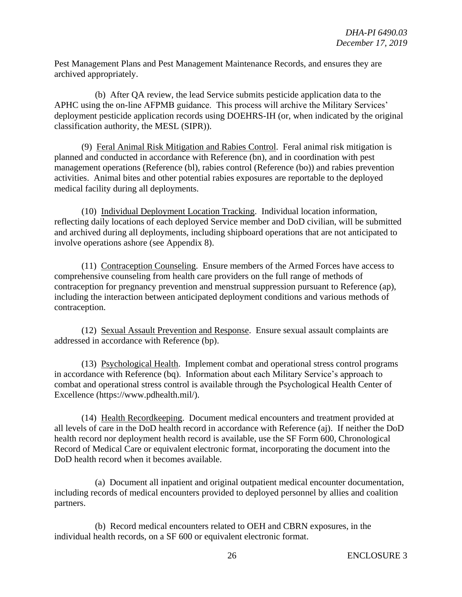Pest Management Plans and Pest Management Maintenance Records, and ensures they are archived appropriately.

(b) After QA review, the lead Service submits pesticide application data to the APHC using the on-line AFPMB guidance. This process will archive the Military Services' deployment pesticide application records using DOEHRS-IH (or, when indicated by the original classification authority, the MESL (SIPR)).

(9) Feral Animal Risk Mitigation and Rabies Control. Feral animal risk mitigation is planned and conducted in accordance with Reference (bn), and in coordination with pest management operations (Reference (bl), rabies control (Reference (bo)) and rabies prevention activities. Animal bites and other potential rabies exposures are reportable to the deployed medical facility during all deployments.

(10) Individual Deployment Location Tracking. Individual location information, reflecting daily locations of each deployed Service member and DoD civilian, will be submitted and archived during all deployments, including shipboard operations that are not anticipated to involve operations ashore (see Appendix 8).

(11) Contraception Counseling. Ensure members of the Armed Forces have access to comprehensive counseling from health care providers on the full range of methods of contraception for pregnancy prevention and menstrual suppression pursuant to Reference (ap), including the interaction between anticipated deployment conditions and various methods of contraception.

(12) Sexual Assault Prevention and Response. Ensure sexual assault complaints are addressed in accordance with Reference (bp).

(13) Psychological Health. Implement combat and operational stress control programs in accordance with Reference (bq). Information about each Military Service's approach to combat and operational stress control is available through the Psychological Health Center of Excellence (https://www.pdhealth.mil/).

(14) Health Recordkeeping. Document medical encounters and treatment provided at all levels of care in the DoD health record in accordance with Reference (aj). If neither the DoD health record nor deployment health record is available, use the SF Form 600, Chronological Record of Medical Care or equivalent electronic format, incorporating the document into the DoD health record when it becomes available.

(a) Document all inpatient and original outpatient medical encounter documentation, including records of medical encounters provided to deployed personnel by allies and coalition partners.

(b) Record medical encounters related to OEH and CBRN exposures, in the individual health records, on a SF 600 or equivalent electronic format.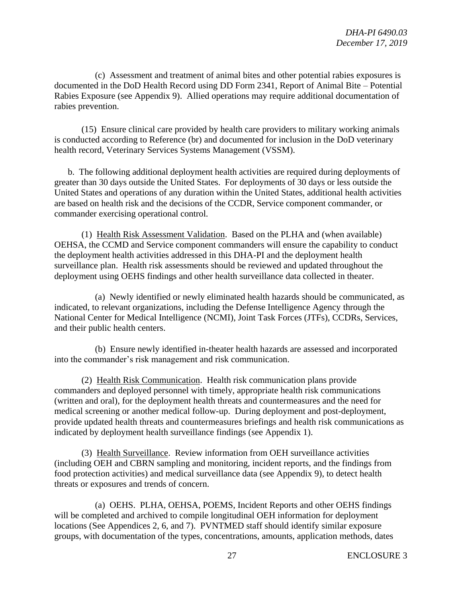(c) Assessment and treatment of animal bites and other potential rabies exposures is documented in the DoD Health Record using DD Form 2341, Report of Animal Bite – Potential Rabies Exposure (see Appendix 9). Allied operations may require additional documentation of rabies prevention.

(15) Ensure clinical care provided by health care providers to military working animals is conducted according to Reference (br) and documented for inclusion in the DoD veterinary health record, Veterinary Services Systems Management (VSSM).

b. The following additional deployment health activities are required during deployments of greater than 30 days outside the United States. For deployments of 30 days or less outside the United States and operations of any duration within the United States, additional health activities are based on health risk and the decisions of the CCDR, Service component commander, or commander exercising operational control.

(1) Health Risk Assessment Validation. Based on the PLHA and (when available) OEHSA, the CCMD and Service component commanders will ensure the capability to conduct the deployment health activities addressed in this DHA-PI and the deployment health surveillance plan. Health risk assessments should be reviewed and updated throughout the deployment using OEHS findings and other health surveillance data collected in theater.

(a) Newly identified or newly eliminated health hazards should be communicated, as indicated, to relevant organizations, including the Defense Intelligence Agency through the National Center for Medical Intelligence (NCMI), Joint Task Forces (JTFs), CCDRs, Services, and their public health centers.

(b) Ensure newly identified in-theater health hazards are assessed and incorporated into the commander's risk management and risk communication.

(2) Health Risk Communication. Health risk communication plans provide commanders and deployed personnel with timely, appropriate health risk communications (written and oral), for the deployment health threats and countermeasures and the need for medical screening or another medical follow-up. During deployment and post-deployment, provide updated health threats and countermeasures briefings and health risk communications as indicated by deployment health surveillance findings (see Appendix 1).

(3) Health Surveillance. Review information from OEH surveillance activities (including OEH and CBRN sampling and monitoring, incident reports, and the findings from food protection activities) and medical surveillance data (see Appendix 9), to detect health threats or exposures and trends of concern.

(a) OEHS. PLHA, OEHSA, POEMS, Incident Reports and other OEHS findings will be completed and archived to compile longitudinal OEH information for deployment locations (See Appendices 2, 6, and 7). PVNTMED staff should identify similar exposure groups, with documentation of the types, concentrations, amounts, application methods, dates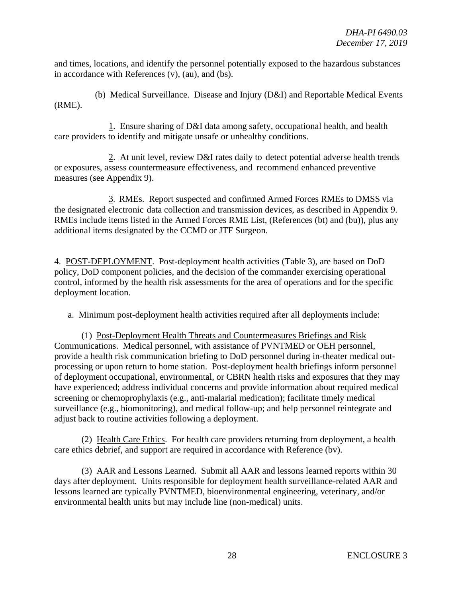and times, locations, and identify the personnel potentially exposed to the hazardous substances in accordance with References (v), (au), and (bs).

(b) Medical Surveillance. Disease and Injury (D&I) and Reportable Medical Events (RME).

1. Ensure sharing of D&I data among safety, occupational health, and health care providers to identify and mitigate unsafe or unhealthy conditions.

2. At unit level, review D&I rates daily to detect potential adverse health trends or exposures, assess countermeasure effectiveness, and recommend enhanced preventive measures (see Appendix 9).

3. RMEs. Report suspected and confirmed Armed Forces RMEs to DMSS via the designated electronic data collection and transmission devices, as described in Appendix 9. RMEs include items listed in the Armed Forces RME List, (References (bt) and (bu)), plus any additional items designated by the CCMD or JTF Surgeon.

4. POST-DEPLOYMENT. Post-deployment health activities (Table 3), are based on DoD policy, DoD component policies, and the decision of the commander exercising operational control, informed by the health risk assessments for the area of operations and for the specific deployment location.

a. Minimum post-deployment health activities required after all deployments include:

(1) Post-Deployment Health Threats and Countermeasures Briefings and Risk Communications. Medical personnel, with assistance of PVNTMED or OEH personnel, provide a health risk communication briefing to DoD personnel during in-theater medical outprocessing or upon return to home station. Post-deployment health briefings inform personnel of deployment occupational, environmental, or CBRN health risks and exposures that they may have experienced; address individual concerns and provide information about required medical screening or chemoprophylaxis (e.g., anti-malarial medication); facilitate timely medical surveillance (e.g., biomonitoring), and medical follow-up; and help personnel reintegrate and adjust back to routine activities following a deployment.

(2) Health Care Ethics. For health care providers returning from deployment, a health care ethics debrief, and support are required in accordance with Reference (bv).

(3) AAR and Lessons Learned. Submit all AAR and lessons learned reports within 30 days after deployment. Units responsible for deployment health surveillance-related AAR and lessons learned are typically PVNTMED, bioenvironmental engineering, veterinary, and/or environmental health units but may include line (non-medical) units.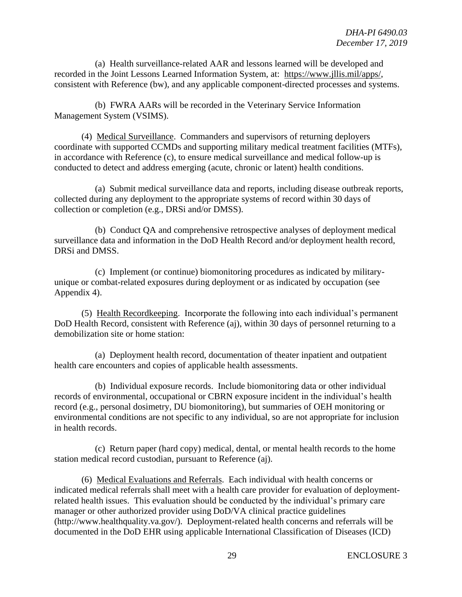(a) Health surveillance-related AAR and lessons learned will be developed and recorded in the Joint Lessons Learned Information System, at: [https://www.jllis.mil/apps/,](https://www.jllis.mil/apps/) consistent with Reference (bw), and any applicable component-directed processes and systems.

(b) FWRA AARs will be recorded in the Veterinary Service Information Management System (VSIMS).

(4) Medical Surveillance. Commanders and supervisors of returning deployers coordinate with supported CCMDs and supporting military medical treatment facilities (MTFs), in accordance with Reference (c), to ensure medical surveillance and medical follow-up is conducted to detect and address emerging (acute, chronic or latent) health conditions.

(a) Submit medical surveillance data and reports, including disease outbreak reports, collected during any deployment to the appropriate systems of record within 30 days of collection or completion (e.g., DRSi and/or DMSS).

(b) Conduct QA and comprehensive retrospective analyses of deployment medical surveillance data and information in the DoD Health Record and/or deployment health record, DRSi and DMSS.

(c) Implement (or continue) biomonitoring procedures as indicated by militaryunique or combat-related exposures during deployment or as indicated by occupation (see Appendix 4).

(5) Health Recordkeeping. Incorporate the following into each individual's permanent DoD Health Record, consistent with Reference (aj), within 30 days of personnel returning to a demobilization site or home station:

(a) Deployment health record, documentation of theater inpatient and outpatient health care encounters and copies of applicable health assessments.

(b) Individual exposure records. Include biomonitoring data or other individual records of environmental, occupational or CBRN exposure incident in the individual's health record (e.g., personal dosimetry, DU biomonitoring), but summaries of OEH monitoring or environmental conditions are not specific to any individual, so are not appropriate for inclusion in health records.

(c) Return paper (hard copy) medical, dental, or mental health records to the home station medical record custodian, pursuant to Reference (aj).

(6) Medical Evaluations and Referrals. Each individual with health concerns or indicated medical referrals shall meet with a health care provider for evaluation of deploymentrelated health issues. This evaluation should be conducted by the individual's primary care manager or other authorized provider using DoD/VA clinical practice guidelines (http://www.healthquality.va.gov/). Deployment-related health concerns and referrals will be documented in the DoD EHR using applicable International Classification of Diseases (ICD)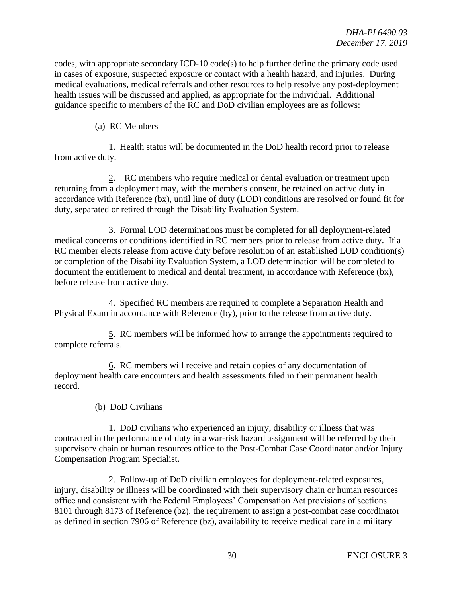codes, with appropriate secondary  $\text{ICD-10 code}(s)$  to help further define the primary code used in cases of exposure, suspected exposure or contact with a health hazard, and injuries. During medical evaluations, medical referrals and other resources to help resolve any post-deployment health issues will be discussed and applied, as appropriate for the individual. Additional guidance specific to members of the RC and DoD civilian employees are as follows:

# (a) RC Members

1. Health status will be documented in the DoD health record prior to release from active duty.

2. RC members who require medical or dental evaluation or treatment upon returning from a deployment may, with the member's consent, be retained on active duty in accordance with Reference (bx), until line of duty (LOD) conditions are resolved or found fit for duty, separated or retired through the Disability Evaluation System.

3. Formal LOD determinations must be completed for all deployment-related medical concerns or conditions identified in RC members prior to release from active duty. If a RC member elects release from active duty before resolution of an established LOD condition(s) or completion of the Disability Evaluation System, a LOD determination will be completed to document the entitlement to medical and dental treatment, in accordance with Reference (bx), before release from active duty.

4. Specified RC members are required to complete a Separation Health and Physical Exam in accordance with Reference (by), prior to the release from active duty.

5. RC members will be informed how to arrange the appointments required to complete referrals.

6. RC members will receive and retain copies of any documentation of deployment health care encounters and health assessments filed in their permanent health record.

(b) DoD Civilians

1. DoD civilians who experienced an injury, disability or illness that was contracted in the performance of duty in a war-risk hazard assignment will be referred by their supervisory chain or human resources office to the Post-Combat Case Coordinator and/or Injury Compensation Program Specialist.

2. Follow-up of DoD civilian employees for deployment-related exposures, injury, disability or illness will be coordinated with their supervisory chain or human resources office and consistent with the Federal Employees' Compensation Act provisions of sections 8101 through 8173 of Reference (bz), the requirement to assign a post-combat case coordinator as defined in section 7906 of Reference (bz), availability to receive medical care in a military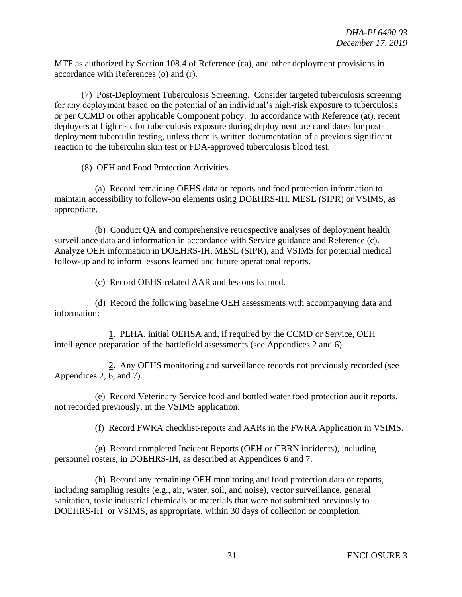MTF as authorized by Section 108.4 of Reference (ca), and other deployment provisions in accordance with References (o) and (r).

(7) Post-Deployment Tuberculosis Screening. Consider targeted tuberculosis screening for any deployment based on the potential of an individual's high-risk exposure to tuberculosis or per CCMD or other applicable Component policy. In accordance with Reference (at), recent deployers at high risk for tuberculosis exposure during deployment are candidates for postdeployment tuberculin testing, unless there is written documentation of a previous significant reaction to the tuberculin skin test or FDA-approved tuberculosis blood test.

#### (8) OEH and Food Protection Activities

(a) Record remaining OEHS data or reports and food protection information to maintain accessibility to follow-on elements using DOEHRS-IH, MESL (SIPR) or VSIMS, as appropriate.

(b) Conduct QA and comprehensive retrospective analyses of deployment health surveillance data and information in accordance with Service guidance and Reference (c). Analyze OEH information in DOEHRS-IH, MESL (SIPR), and VSIMS for potential medical follow-up and to inform lessons learned and future operational reports.

(c) Record OEHS-related AAR and lessons learned.

(d) Record the following baseline OEH assessments with accompanying data and information:

1. PLHA, initial OEHSA and, if required by the CCMD or Service, OEH intelligence preparation of the battlefield assessments (see Appendices 2 and 6).

2. Any OEHS monitoring and surveillance records not previously recorded (see Appendices 2, 6, and 7).

(e) Record Veterinary Service food and bottled water food protection audit reports, not recorded previously, in the VSIMS application.

(f) Record FWRA checklist-reports and AARs in the FWRA Application in VSIMS.

(g) Record completed Incident Reports (OEH or CBRN incidents), including personnel rosters, in DOEHRS-IH, as described at Appendices 6 and 7.

(h) Record any remaining OEH monitoring and food protection data or reports, including sampling results (e.g., air, water, soil, and noise), vector surveillance, general sanitation, toxic industrial chemicals or materials that were not submitted previously to DOEHRS-IH or VSIMS, as appropriate, within 30 days of collection or completion.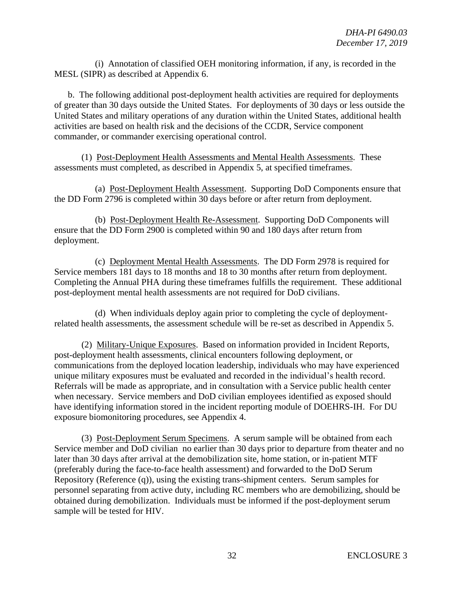(i) Annotation of classified OEH monitoring information, if any, is recorded in the MESL (SIPR) as described at Appendix 6.

b. The following additional post-deployment health activities are required for deployments of greater than 30 days outside the United States. For deployments of 30 days or less outside the United States and military operations of any duration within the United States, additional health activities are based on health risk and the decisions of the CCDR, Service component commander, or commander exercising operational control.

(1) Post-Deployment Health Assessments and Mental Health Assessments. These assessments must completed, as described in Appendix 5, at specified timeframes.

(a) Post-Deployment Health Assessment. Supporting DoD Components ensure that the DD Form 2796 is completed within 30 days before or after return from deployment.

(b) Post-Deployment Health Re-Assessment. Supporting DoD Components will ensure that the DD Form 2900 is completed within 90 and 180 days after return from deployment.

(c) Deployment Mental Health Assessments. The DD Form 2978 is required for Service members 181 days to 18 months and 18 to 30 months after return from deployment. Completing the Annual PHA during these timeframes fulfills the requirement. These additional post-deployment mental health assessments are not required for DoD civilians.

(d) When individuals deploy again prior to completing the cycle of deploymentrelated health assessments, the assessment schedule will be re-set as described in Appendix 5.

(2) Military-Unique Exposures. Based on information provided in Incident Reports, post-deployment health assessments, clinical encounters following deployment, or communications from the deployed location leadership, individuals who may have experienced unique military exposures must be evaluated and recorded in the individual's health record. Referrals will be made as appropriate, and in consultation with a Service public health center when necessary. Service members and DoD civilian employees identified as exposed should have identifying information stored in the incident reporting module of DOEHRS-IH. For DU exposure biomonitoring procedures, see Appendix 4.

(3) Post-Deployment Serum Specimens. A serum sample will be obtained from each Service member and DoD civilian no earlier than 30 days prior to departure from theater and no later than 30 days after arrival at the demobilization site, home station, or in-patient MTF (preferably during the face-to-face health assessment) and forwarded to the DoD Serum Repository (Reference (q)), using the existing trans-shipment centers. Serum samples for personnel separating from active duty, including RC members who are demobilizing, should be obtained during demobilization. Individuals must be informed if the post-deployment serum sample will be tested for HIV.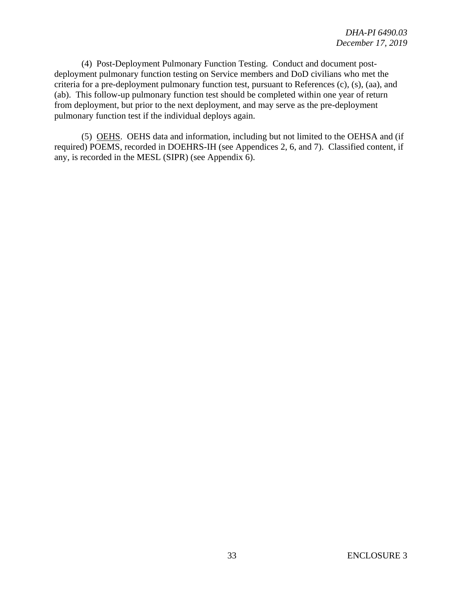(4) Post-Deployment Pulmonary Function Testing. Conduct and document postdeployment pulmonary function testing on Service members and DoD civilians who met the criteria for a pre-deployment pulmonary function test, pursuant to References (c), (s), (aa), and (ab). This follow-up pulmonary function test should be completed within one year of return from deployment, but prior to the next deployment, and may serve as the pre-deployment pulmonary function test if the individual deploys again.

(5) OEHS. OEHS data and information, including but not limited to the OEHSA and (if required) POEMS, recorded in DOEHRS-IH (see Appendices 2, 6, and 7). Classified content, if any, is recorded in the MESL (SIPR) (see Appendix 6).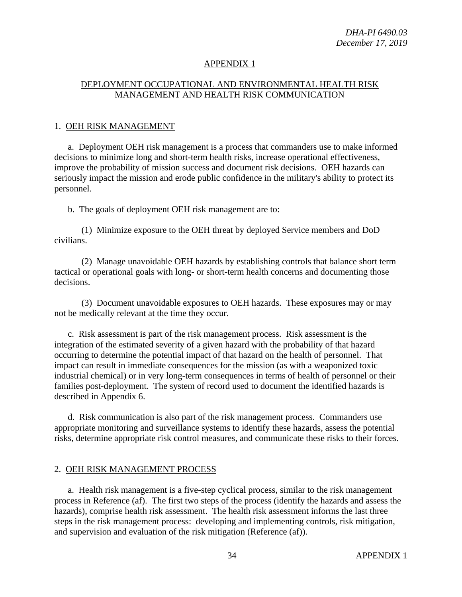# APPENDIX 1

#### DEPLOYMENT OCCUPATIONAL AND ENVIRONMENTAL HEALTH RISK MANAGEMENT AND HEALTH RISK COMMUNICATION

#### 1. OEH RISK MANAGEMENT

a. Deployment OEH risk management is a process that commanders use to make informed decisions to minimize long and short-term health risks, increase operational effectiveness, improve the probability of mission success and document risk decisions. OEH hazards can seriously impact the mission and erode public confidence in the military's ability to protect its personnel.

b. The goals of deployment OEH risk management are to:

(1) Minimize exposure to the OEH threat by deployed Service members and DoD civilians.

(2) Manage unavoidable OEH hazards by establishing controls that balance short term tactical or operational goals with long- or short-term health concerns and documenting those decisions.

(3) Document unavoidable exposures to OEH hazards. These exposures may or may not be medically relevant at the time they occur.

c. Risk assessment is part of the risk management process. Risk assessment is the integration of the estimated severity of a given hazard with the probability of that hazard occurring to determine the potential impact of that hazard on the health of personnel. That impact can result in immediate consequences for the mission (as with a weaponized toxic industrial chemical) or in very long-term consequences in terms of health of personnel or their families post-deployment. The system of record used to document the identified hazards is described in Appendix 6.

d. Risk communication is also part of the risk management process. Commanders use appropriate monitoring and surveillance systems to identify these hazards, assess the potential risks, determine appropriate risk control measures, and communicate these risks to their forces.

#### 2. OEH RISK MANAGEMENT PROCESS

a. Health risk management is a five-step cyclical process, similar to the risk management process in Reference (af). The first two steps of the process (identify the hazards and assess the hazards), comprise health risk assessment. The health risk assessment informs the last three steps in the risk management process: developing and implementing controls, risk mitigation, and supervision and evaluation of the risk mitigation (Reference (af)).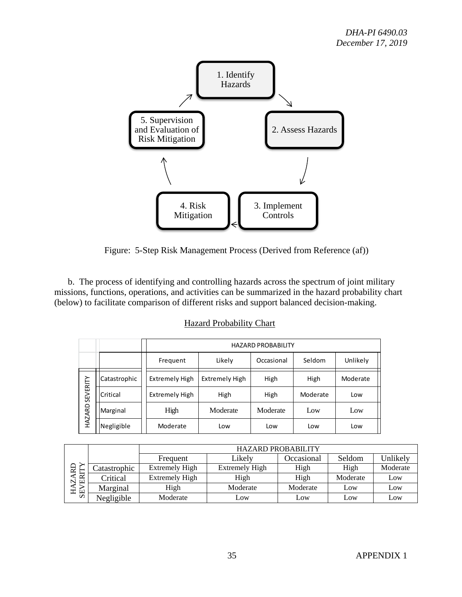

Figure: 5-Step Risk Management Process (Derived from Reference (af))

 b. The process of identifying and controlling hazards across the spectrum of joint military missions, functions, operations, and activities can be summarized in the hazard probability chart (below) to facilitate comparison of different risks and support balanced decision-making.

| <b>HAZARD PROBABILITY</b>                          |                       |            |          |          |
|----------------------------------------------------|-----------------------|------------|----------|----------|
| Frequent                                           | Likely                | Occasional | Seldom   | Unlikely |
| <b>Extremely High</b>                              | <b>Extremely High</b> | High       | High     | Moderate |
| <b>Extremely High</b>                              | High                  | High       | Moderate | Low      |
| High                                               | Moderate              | Moderate   | Low      | Low      |
| Moderate                                           | Low                   | Low        | Low      | Low      |
| Catastrophic<br>Critical<br>Marginal<br>Negligible |                       |            |          |          |

#### Hazard Probability Chart

|                                   |              | <b>HAZARD PROBABILITY</b> |                |            |          |          |
|-----------------------------------|--------------|---------------------------|----------------|------------|----------|----------|
| ≏<br>≃<br>$\mathbb{R}$<br>ェ<br>SE |              | Frequent                  | Likely         | Occasional | Seldom   | Unlikely |
|                                   | Catastrophic | <b>Extremely High</b>     | Extremely High | High       | High     | Moderate |
|                                   | Critical     | <b>Extremely High</b>     | High           | High       | Moderate | Low      |
|                                   | Marginal     | High                      | Moderate       | Moderate   | Low      | Low      |
|                                   | Negligible   | Moderate                  | Low            | Low        | Low      | Low      |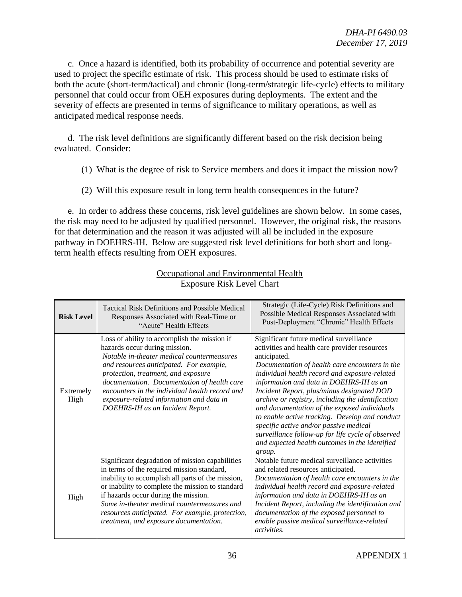c. Once a hazard is identified, both its probability of occurrence and potential severity are used to project the specific estimate of risk. This process should be used to estimate risks of both the acute (short-term/tactical) and chronic (long-term/strategic life-cycle) effects to military personnel that could occur from OEH exposures during deployments. The extent and the severity of effects are presented in terms of significance to military operations, as well as anticipated medical response needs.

d. The risk level definitions are significantly different based on the risk decision being evaluated. Consider:

- (1) What is the degree of risk to Service members and does it impact the mission now?
- (2) Will this exposure result in long term health consequences in the future?

e. In order to address these concerns, risk level guidelines are shown below. In some cases, the risk may need to be adjusted by qualified personnel. However, the original risk, the reasons for that determination and the reason it was adjusted will all be included in the exposure pathway in DOEHRS-IH. Below are suggested risk level definitions for both short and longterm health effects resulting from OEH exposures.

| <b>Risk Level</b> | <b>Tactical Risk Definitions and Possible Medical</b><br>Responses Associated with Real-Time or<br>"Acute" Health Effects                                                                                                                                                                                                                                                                      | Strategic (Life-Cycle) Risk Definitions and<br>Possible Medical Responses Associated with<br>Post-Deployment "Chronic" Health Effects                                                                                                                                                                                                                                                                                                                                                                                                                                                                                  |
|-------------------|------------------------------------------------------------------------------------------------------------------------------------------------------------------------------------------------------------------------------------------------------------------------------------------------------------------------------------------------------------------------------------------------|------------------------------------------------------------------------------------------------------------------------------------------------------------------------------------------------------------------------------------------------------------------------------------------------------------------------------------------------------------------------------------------------------------------------------------------------------------------------------------------------------------------------------------------------------------------------------------------------------------------------|
| Extremely<br>High | Loss of ability to accomplish the mission if<br>hazards occur during mission.<br>Notable in-theater medical countermeasures<br>and resources anticipated. For example,<br>protection, treatment, and exposure<br>documentation. Documentation of health care<br>encounters in the individual health record and<br>exposure-related information and data in<br>DOEHRS-IH as an Incident Report. | Significant future medical surveillance<br>activities and health care provider resources<br>anticipated.<br>Documentation of health care encounters in the<br>individual health record and exposure-related<br>information and data in DOEHRS-IH as an<br>Incident Report, plus/minus designated DOD<br>archive or registry, including the identification<br>and documentation of the exposed individuals<br>to enable active tracking. Develop and conduct<br>specific active and/or passive medical<br>surveillance follow-up for life cycle of observed<br>and expected health outcomes in the identified<br>group. |
| High              | Significant degradation of mission capabilities<br>in terms of the required mission standard,<br>inability to accomplish all parts of the mission,<br>or inability to complete the mission to standard<br>if hazards occur during the mission.<br>Some in-theater medical countermeasures and<br>resources anticipated. For example, protection,<br>treatment, and exposure documentation.     | Notable future medical surveillance activities<br>and related resources anticipated.<br>Documentation of health care encounters in the<br>individual health record and exposure-related<br>information and data in DOEHRS-IH as an<br>Incident Report, including the identification and<br>documentation of the exposed personnel to<br>enable passive medical surveillance-related<br><i>activities.</i>                                                                                                                                                                                                              |

# Occupational and Environmental Health Exposure Risk Level Chart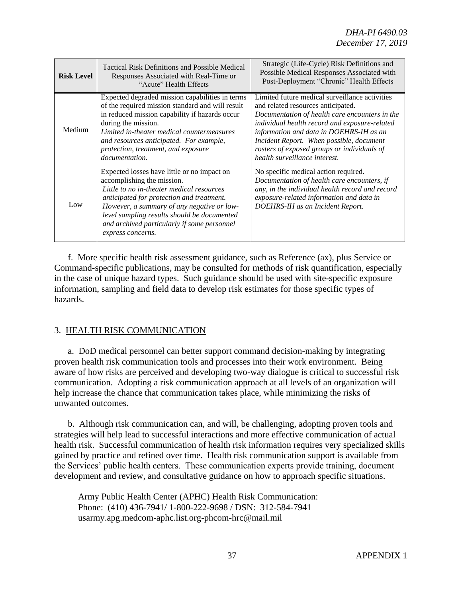| <b>Risk Level</b> | <b>Tactical Risk Definitions and Possible Medical</b><br>Responses Associated with Real-Time or<br>"Acute" Health Effects                                                                                                                                                                                                            | Strategic (Life-Cycle) Risk Definitions and<br>Possible Medical Responses Associated with<br>Post-Deployment "Chronic" Health Effects                                                                                                                                                                                                                          |
|-------------------|--------------------------------------------------------------------------------------------------------------------------------------------------------------------------------------------------------------------------------------------------------------------------------------------------------------------------------------|----------------------------------------------------------------------------------------------------------------------------------------------------------------------------------------------------------------------------------------------------------------------------------------------------------------------------------------------------------------|
| Medium            | Expected degraded mission capabilities in terms<br>of the required mission standard and will result<br>in reduced mission capability if hazards occur<br>during the mission.<br>Limited in-theater medical countermeasures<br>and resources anticipated. For example,<br>protection, treatment, and exposure<br>documentation.       | Limited future medical surveillance activities<br>and related resources anticipated.<br>Documentation of health care encounters in the<br>individual health record and exposure-related<br>information and data in DOEHRS-IH as an<br>Incident Report. When possible, document<br>rosters of exposed groups or individuals of<br>health surveillance interest. |
| Low               | Expected losses have little or no impact on<br>accomplishing the mission.<br>Little to no in-theater medical resources<br>anticipated for protection and treatment.<br>However, a summary of any negative or low-<br>level sampling results should be documented<br>and archived particularly if some personnel<br>express concerns. | No specific medical action required.<br>Documentation of health care encounters, if<br>any, in the individual health record and record<br>exposure-related information and data in<br>DOEHRS-IH as an Incident Report.                                                                                                                                         |

f. More specific health risk assessment guidance, such as Reference (ax), plus Service or Command-specific publications, may be consulted for methods of risk quantification, especially in the case of unique hazard types. Such guidance should be used with site-specific exposure information, sampling and field data to develop risk estimates for those specific types of hazards.

#### 3. HEALTH RISK COMMUNICATION

a. DoD medical personnel can better support command decision-making by integrating proven health risk communication tools and processes into their work environment. Being aware of how risks are perceived and developing two-way dialogue is critical to successful risk communication. Adopting a risk communication approach at all levels of an organization will help increase the chance that communication takes place, while minimizing the risks of unwanted outcomes.

b. Although risk communication can, and will, be challenging, adopting proven tools and strategies will help lead to successful interactions and more effective communication of actual health risk. Successful communication of health risk information requires very specialized skills gained by practice and refined over time. Health risk communication support is available from the Services' public health centers. These communication experts provide training, document development and review, and consultative guidance on how to approach specific situations.

Army Public Health Center (APHC) Health Risk Communication: Phone: (410) 436-7941/ 1-800-222-9698 / DSN: 312-584-7941 usarmy.apg.medcom-aphc.list.org-phcom-hrc@mail.mil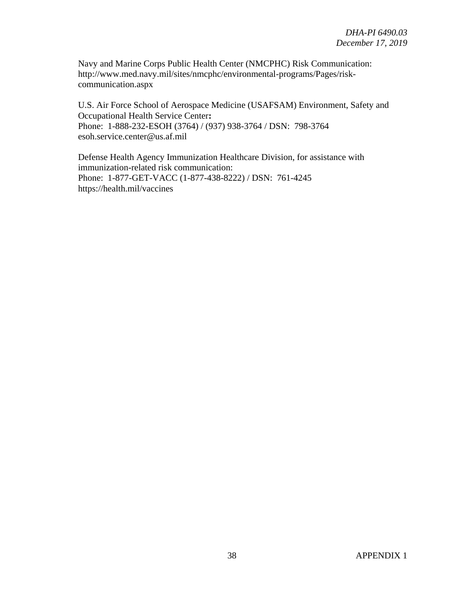Navy and Marine Corps Public Health Center (NMCPHC) Risk Communication: [http://www.med.navy.mil/sites/nmcphc/environmental-programs/Pages/risk](http://www.med.navy.mil/sites/nmcphc/environmental-programs/Pages/risk-communication.aspx)[communication.aspx](http://www.med.navy.mil/sites/nmcphc/environmental-programs/Pages/risk-communication.aspx)

U.S. Air Force School of Aerospace Medicine (USAFSAM) Environment, Safety and Occupational Health Service Center**:**  Phone: 1-888-232-ESOH (3764) / (937) 938-3764 / DSN: 798-3764 esoh.service.center@us.af.mil

Defense Health Agency Immunization Healthcare Division, for assistance with immunization-related risk communication: Phone: 1-877-GET-VACC (1-877-438-8222) / DSN: 761-4245 https://health.mil/vaccines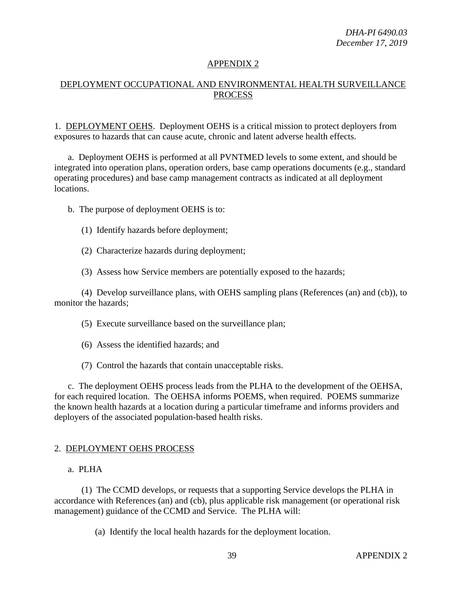# DEPLOYMENT OCCUPATIONAL AND ENVIRONMENTAL HEALTH SURVEILLANCE PROCESS

1. DEPLOYMENT OEHS. Deployment OEHS is a critical mission to protect deployers from exposures to hazards that can cause acute, chronic and latent adverse health effects.

a. Deployment OEHS is performed at all PVNTMED levels to some extent, and should be integrated into operation plans, operation orders, base camp operations documents (e.g., standard operating procedures) and base camp management contracts as indicated at all deployment locations.

b. The purpose of deployment OEHS is to:

- (1) Identify hazards before deployment;
- (2) Characterize hazards during deployment;
- (3) Assess how Service members are potentially exposed to the hazards;

(4) Develop surveillance plans, with OEHS sampling plans (References (an) and (cb)), to monitor the hazards;

- (5) Execute surveillance based on the surveillance plan;
- (6) Assess the identified hazards; and
- (7) Control the hazards that contain unacceptable risks.

c. The deployment OEHS process leads from the PLHA to the development of the OEHSA, for each required location. The OEHSA informs POEMS, when required. POEMS summarize the known health hazards at a location during a particular timeframe and informs providers and deployers of the associated population-based health risks.

#### 2. DEPLOYMENT OEHS PROCESS

#### a. PLHA

(1) The CCMD develops, or requests that a supporting Service develops the PLHA in accordance with References (an) and (cb), plus applicable risk management (or operational risk management) guidance of the CCMD and Service. The PLHA will:

(a) Identify the local health hazards for the deployment location.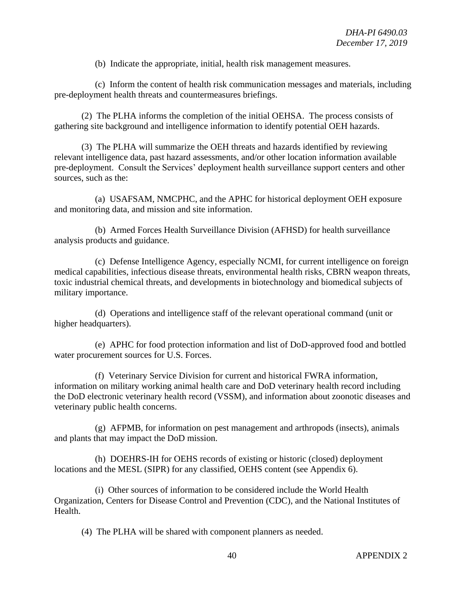(b) Indicate the appropriate, initial, health risk management measures.

(c) Inform the content of health risk communication messages and materials, including pre-deployment health threats and countermeasures briefings.

(2) The PLHA informs the completion of the initial OEHSA. The process consists of gathering site background and intelligence information to identify potential OEH hazards.

(3) The PLHA will summarize the OEH threats and hazards identified by reviewing relevant intelligence data, past hazard assessments, and/or other location information available pre-deployment. Consult the Services' deployment health surveillance support centers and other sources, such as the:

(a) USAFSAM, NMCPHC, and the APHC for historical deployment OEH exposure and monitoring data, and mission and site information.

(b) Armed Forces Health Surveillance Division (AFHSD) for health surveillance analysis products and guidance.

(c) Defense Intelligence Agency, especially NCMI, for current intelligence on foreign medical capabilities, infectious disease threats, environmental health risks, CBRN weapon threats, toxic industrial chemical threats, and developments in biotechnology and biomedical subjects of military importance.

(d) Operations and intelligence staff of the relevant operational command (unit or higher headquarters).

(e) APHC for food protection information and list of DoD-approved food and bottled water procurement sources for U.S. Forces.

(f) Veterinary Service Division for current and historical FWRA information, information on military working animal health care and DoD veterinary health record including the DoD electronic veterinary health record (VSSM), and information about zoonotic diseases and veterinary public health concerns.

(g) AFPMB, for information on pest management and arthropods (insects), animals and plants that may impact the DoD mission.

(h) DOEHRS-IH for OEHS records of existing or historic (closed) deployment locations and the MESL (SIPR) for any classified, OEHS content (see Appendix 6).

(i) Other sources of information to be considered include the World Health Organization, Centers for Disease Control and Prevention (CDC), and the National Institutes of Health.

(4) The PLHA will be shared with component planners as needed.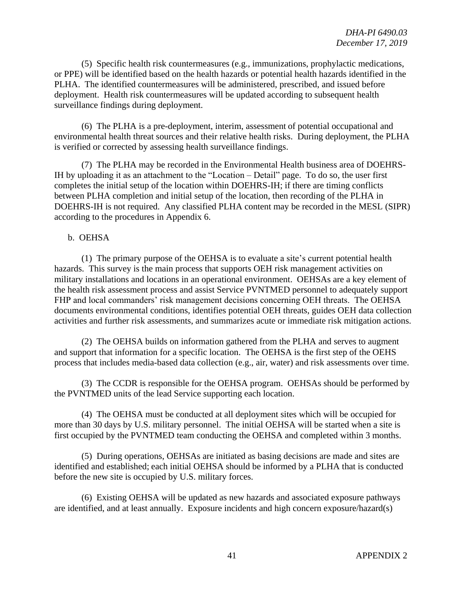(5) Specific health risk countermeasures (e.g., immunizations, prophylactic medications, or PPE) will be identified based on the health hazards or potential health hazards identified in the PLHA. The identified countermeasures will be administered, prescribed, and issued before deployment. Health risk countermeasures will be updated according to subsequent health surveillance findings during deployment.

(6) The PLHA is a pre-deployment, interim, assessment of potential occupational and environmental health threat sources and their relative health risks. During deployment, the PLHA is verified or corrected by assessing health surveillance findings.

(7) The PLHA may be recorded in the Environmental Health business area of DOEHRS-IH by uploading it as an attachment to the "Location – Detail" page. To do so, the user first completes the initial setup of the location within DOEHRS-IH; if there are timing conflicts between PLHA completion and initial setup of the location, then recording of the PLHA in DOEHRS-IH is not required. Any classified PLHA content may be recorded in the MESL (SIPR) according to the procedures in Appendix 6.

#### b. OEHSA

(1) The primary purpose of the OEHSA is to evaluate a site's current potential health hazards. This survey is the main process that supports OEH risk management activities on military installations and locations in an operational environment. OEHSAs are a key element of the health risk assessment process and assist Service PVNTMED personnel to adequately support FHP and local commanders' risk management decisions concerning OEH threats. The OEHSA documents environmental conditions, identifies potential OEH threats, guides OEH data collection activities and further risk assessments, and summarizes acute or immediate risk mitigation actions.

(2) The OEHSA builds on information gathered from the PLHA and serves to augment and support that information for a specific location. The OEHSA is the first step of the OEHS process that includes media-based data collection (e.g., air, water) and risk assessments over time.

(3) The CCDR is responsible for the OEHSA program. OEHSAs should be performed by the PVNTMED units of the lead Service supporting each location.

(4) The OEHSA must be conducted at all deployment sites which will be occupied for more than 30 days by U.S. military personnel. The initial OEHSA will be started when a site is first occupied by the PVNTMED team conducting the OEHSA and completed within 3 months.

(5) During operations, OEHSAs are initiated as basing decisions are made and sites are identified and established; each initial OEHSA should be informed by a PLHA that is conducted before the new site is occupied by U.S. military forces.

(6) Existing OEHSA will be updated as new hazards and associated exposure pathways are identified, and at least annually. Exposure incidents and high concern exposure/hazard(s)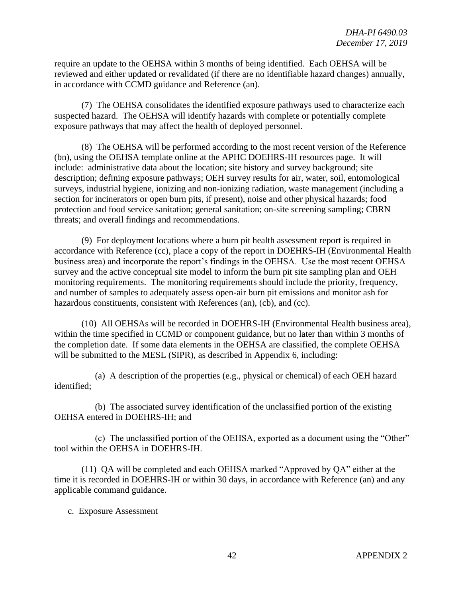require an update to the OEHSA within 3 months of being identified. Each OEHSA will be reviewed and either updated or revalidated (if there are no identifiable hazard changes) annually, in accordance with CCMD guidance and Reference (an).

(7) The OEHSA consolidates the identified exposure pathways used to characterize each suspected hazard. The OEHSA will identify hazards with complete or potentially complete exposure pathways that may affect the health of deployed personnel.

(8) The OEHSA will be performed according to the most recent version of the Reference (bn), using the OEHSA template online at the APHC DOEHRS-IH resources page. It will include: administrative data about the location; site history and survey background; site description; defining exposure pathways; OEH survey results for air, water, soil, entomological surveys, industrial hygiene, ionizing and non-ionizing radiation, waste management (including a section for incinerators or open burn pits, if present), noise and other physical hazards; food protection and food service sanitation; general sanitation; on-site screening sampling; CBRN threats; and overall findings and recommendations.

(9) For deployment locations where a burn pit health assessment report is required in accordance with Reference (cc), place a copy of the report in DOEHRS-IH (Environmental Health business area) and incorporate the report's findings in the OEHSA. Use the most recent OEHSA survey and the active conceptual site model to inform the burn pit site sampling plan and OEH monitoring requirements. The monitoring requirements should include the priority, frequency, and number of samples to adequately assess open-air burn pit emissions and monitor ash for hazardous constituents, consistent with References (an), (cb), and (cc).

(10) All OEHSAs will be recorded in DOEHRS-IH (Environmental Health business area), within the time specified in CCMD or component guidance, but no later than within 3 months of the completion date. If some data elements in the OEHSA are classified, the complete OEHSA will be submitted to the MESL (SIPR), as described in Appendix 6, including:

(a) A description of the properties (e.g., physical or chemical) of each OEH hazard identified;

(b) The associated survey identification of the unclassified portion of the existing OEHSA entered in DOEHRS-IH; and

(c) The unclassified portion of the OEHSA, exported as a document using the "Other" tool within the OEHSA in DOEHRS-IH.

(11) QA will be completed and each OEHSA marked "Approved by QA" either at the time it is recorded in DOEHRS-IH or within 30 days, in accordance with Reference (an) and any applicable command guidance.

c. Exposure Assessment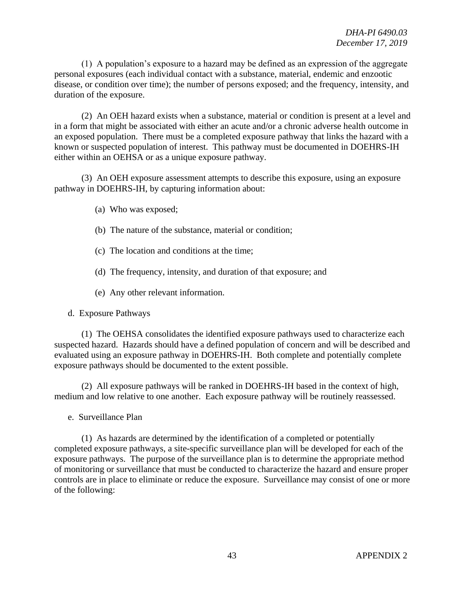(1) A population's exposure to a hazard may be defined as an expression of the aggregate personal exposures (each individual contact with a substance, material, endemic and enzootic disease, or condition over time); the number of persons exposed; and the frequency, intensity, and duration of the exposure.

(2) An OEH hazard exists when a substance, material or condition is present at a level and in a form that might be associated with either an acute and/or a chronic adverse health outcome in an exposed population. There must be a completed exposure pathway that links the hazard with a known or suspected population of interest. This pathway must be documented in DOEHRS-IH either within an OEHSA or as a unique exposure pathway.

(3) An OEH exposure assessment attempts to describe this exposure, using an exposure pathway in DOEHRS-IH, by capturing information about:

- (a) Who was exposed;
- (b) The nature of the substance, material or condition;
- (c) The location and conditions at the time;
- (d) The frequency, intensity, and duration of that exposure; and
- (e) Any other relevant information.

d. Exposure Pathways

(1) The OEHSA consolidates the identified exposure pathways used to characterize each suspected hazard. Hazards should have a defined population of concern and will be described and evaluated using an exposure pathway in DOEHRS-IH. Both complete and potentially complete exposure pathways should be documented to the extent possible.

(2) All exposure pathways will be ranked in DOEHRS-IH based in the context of high, medium and low relative to one another. Each exposure pathway will be routinely reassessed.

e. Surveillance Plan

(1) As hazards are determined by the identification of a completed or potentially completed exposure pathways, a site-specific surveillance plan will be developed for each of the exposure pathways. The purpose of the surveillance plan is to determine the appropriate method of monitoring or surveillance that must be conducted to characterize the hazard and ensure proper controls are in place to eliminate or reduce the exposure. Surveillance may consist of one or more of the following: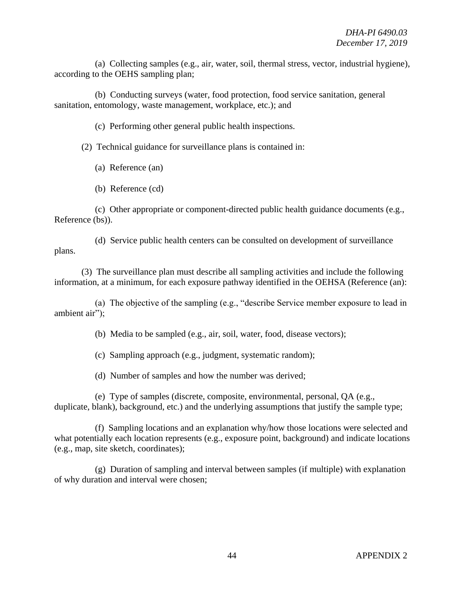(a) Collecting samples (e.g., air, water, soil, thermal stress, vector, industrial hygiene), according to the OEHS sampling plan;

(b) Conducting surveys (water, food protection, food service sanitation, general sanitation, entomology, waste management, workplace, etc.); and

(c) Performing other general public health inspections.

(2) Technical guidance for surveillance plans is contained in:

- (a) Reference (an)
- (b) Reference (cd)

(c) Other appropriate or component-directed public health guidance documents (e.g., Reference (bs)).

(d) Service public health centers can be consulted on development of surveillance plans.

(3) The surveillance plan must describe all sampling activities and include the following information, at a minimum, for each exposure pathway identified in the OEHSA (Reference (an):

(a) The objective of the sampling (e.g., "describe Service member exposure to lead in ambient air");

(b) Media to be sampled (e.g., air, soil, water, food, disease vectors);

(c) Sampling approach (e.g., judgment, systematic random);

(d) Number of samples and how the number was derived;

(e) Type of samples (discrete, composite, environmental, personal, QA (e.g., duplicate, blank), background, etc.) and the underlying assumptions that justify the sample type;

(f) Sampling locations and an explanation why/how those locations were selected and what potentially each location represents (e.g., exposure point, background) and indicate locations (e.g., map, site sketch, coordinates);

(g) Duration of sampling and interval between samples (if multiple) with explanation of why duration and interval were chosen;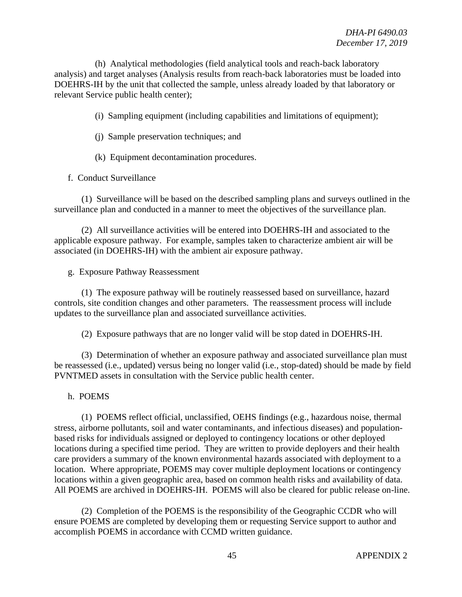(h) Analytical methodologies (field analytical tools and reach-back laboratory analysis) and target analyses (Analysis results from reach-back laboratories must be loaded into DOEHRS-IH by the unit that collected the sample, unless already loaded by that laboratory or relevant Service public health center);

(i) Sampling equipment (including capabilities and limitations of equipment);

- (j) Sample preservation techniques; and
- (k) Equipment decontamination procedures.

f. Conduct Surveillance

(1) Surveillance will be based on the described sampling plans and surveys outlined in the surveillance plan and conducted in a manner to meet the objectives of the surveillance plan.

(2) All surveillance activities will be entered into DOEHRS-IH and associated to the applicable exposure pathway. For example, samples taken to characterize ambient air will be associated (in DOEHRS-IH) with the ambient air exposure pathway.

g. Exposure Pathway Reassessment

(1) The exposure pathway will be routinely reassessed based on surveillance, hazard controls, site condition changes and other parameters. The reassessment process will include updates to the surveillance plan and associated surveillance activities.

(2) Exposure pathways that are no longer valid will be stop dated in DOEHRS-IH.

(3) Determination of whether an exposure pathway and associated surveillance plan must be reassessed (i.e., updated) versus being no longer valid (i.e., stop-dated) should be made by field PVNTMED assets in consultation with the Service public health center.

#### h. POEMS

(1) POEMS reflect official, unclassified, OEHS findings (e.g., hazardous noise, thermal stress, airborne pollutants, soil and water contaminants, and infectious diseases) and populationbased risks for individuals assigned or deployed to contingency locations or other deployed locations during a specified time period. They are written to provide deployers and their health care providers a summary of the known environmental hazards associated with deployment to a location. Where appropriate, POEMS may cover multiple deployment locations or contingency locations within a given geographic area, based on common health risks and availability of data. All POEMS are archived in DOEHRS-IH. POEMS will also be cleared for public release on-line.

(2) Completion of the POEMS is the responsibility of the Geographic CCDR who will ensure POEMS are completed by developing them or requesting Service support to author and accomplish POEMS in accordance with CCMD written guidance.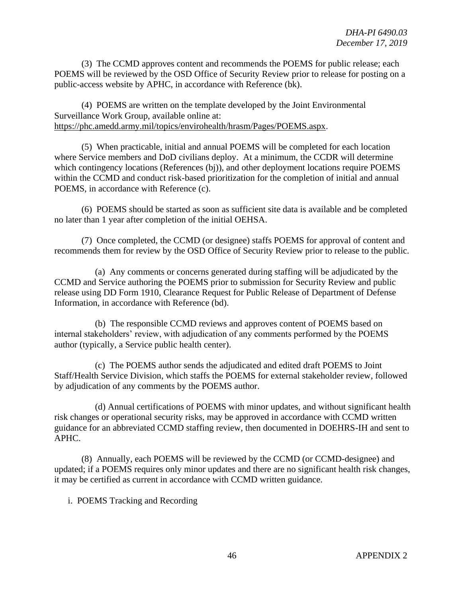(3) The CCMD approves content and recommends the POEMS for public release; each POEMS will be reviewed by the OSD Office of Security Review prior to release for posting on a public-access website by APHC, in accordance with Reference (bk).

(4) POEMS are written on the template developed by the Joint Environmental Surveillance Work Group, available online at: [https://phc.amedd.army.mil/topics/envirohealth/hrasm/Pages/POEMS.aspx.](https://phc.amedd.army.mil/topics/envirohealth/hrasm/Pages/POEMS.aspx)

(5) When practicable, initial and annual POEMS will be completed for each location where Service members and DoD civilians deploy. At a minimum, the CCDR will determine which contingency locations (References (bj)), and other deployment locations require POEMS within the CCMD and conduct risk-based prioritization for the completion of initial and annual POEMS, in accordance with Reference (c).

(6) POEMS should be started as soon as sufficient site data is available and be completed no later than 1 year after completion of the initial OEHSA.

(7) Once completed, the CCMD (or designee) staffs POEMS for approval of content and recommends them for review by the OSD Office of Security Review prior to release to the public.

(a) Any comments or concerns generated during staffing will be adjudicated by the CCMD and Service authoring the POEMS prior to submission for Security Review and public release using DD Form 1910, Clearance Request for Public Release of Department of Defense Information, in accordance with Reference (bd).

(b) The responsible CCMD reviews and approves content of POEMS based on internal stakeholders' review, with adjudication of any comments performed by the POEMS author (typically, a Service public health center).

(c) The POEMS author sends the adjudicated and edited draft POEMS to Joint Staff/Health Service Division, which staffs the POEMS for external stakeholder review, followed by adjudication of any comments by the POEMS author.

(d) Annual certifications of POEMS with minor updates, and without significant health risk changes or operational security risks, may be approved in accordance with CCMD written guidance for an abbreviated CCMD staffing review, then documented in DOEHRS-IH and sent to APHC.

(8) Annually, each POEMS will be reviewed by the CCMD (or CCMD-designee) and updated; if a POEMS requires only minor updates and there are no significant health risk changes, it may be certified as current in accordance with CCMD written guidance.

i. POEMS Tracking and Recording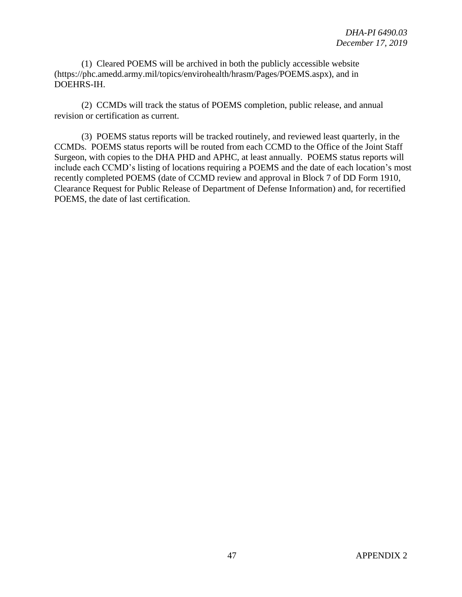(1) Cleared POEMS will be archived in both the publicly accessible website (https://phc.amedd.army.mil/topics/envirohealth/hrasm/Pages/POEMS.aspx), and in DOEHRS-IH.

(2) CCMDs will track the status of POEMS completion, public release, and annual revision or certification as current.

(3) POEMS status reports will be tracked routinely, and reviewed least quarterly, in the CCMDs. POEMS status reports will be routed from each CCMD to the Office of the Joint Staff Surgeon, with copies to the DHA PHD and APHC, at least annually. POEMS status reports will include each CCMD's listing of locations requiring a POEMS and the date of each location's most recently completed POEMS (date of CCMD review and approval in Block 7 of DD Form 1910, Clearance Request for Public Release of Department of Defense Information) and, for recertified POEMS, the date of last certification.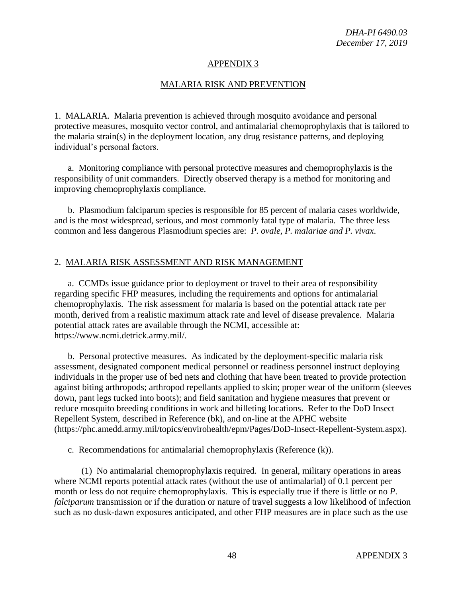### MALARIA RISK AND PREVENTION

1. MALARIA. Malaria prevention is achieved through mosquito avoidance and personal protective measures, mosquito vector control, and antimalarial chemoprophylaxis that is tailored to the malaria strain(s) in the deployment location, any drug resistance patterns, and deploying individual's personal factors.

a. Monitoring compliance with personal protective measures and chemoprophylaxis is the responsibility of unit commanders. Directly observed therapy is a method for monitoring and improving chemoprophylaxis compliance.

b. Plasmodium falciparum species is responsible for 85 percent of malaria cases worldwide, and is the most widespread, serious, and most commonly fatal type of malaria. The three less common and less dangerous Plasmodium species are: *P. ovale, P. malariae and P. vivax*.

# 2. MALARIA RISK ASSESSMENT AND RISK MANAGEMENT

a. CCMDs issue guidance prior to deployment or travel to their area of responsibility regarding specific FHP measures, including the requirements and options for antimalarial chemoprophylaxis. The risk assessment for malaria is based on the potential attack rate per month, derived from a realistic maximum attack rate and level of disease prevalence. Malaria potential attack rates are available through the NCMI, accessible at: https://www.ncmi.detrick.army.mil/.

b. Personal protective measures. As indicated by the deployment-specific malaria risk assessment, designated component medical personnel or readiness personnel instruct deploying individuals in the proper use of bed nets and clothing that have been treated to provide protection against biting arthropods; arthropod repellants applied to skin; proper wear of the uniform (sleeves down, pant legs tucked into boots); and field sanitation and hygiene measures that prevent or reduce mosquito breeding conditions in work and billeting locations. Refer to the DoD Insect Repellent System, described in Reference (bk), and on-line at the APHC website (https://phc.amedd.army.mil/topics/envirohealth/epm/Pages/DoD-Insect-Repellent-System.aspx).

c. Recommendations for antimalarial chemoprophylaxis (Reference (k)).

(1) No antimalarial chemoprophylaxis required. In general, military operations in areas where NCMI reports potential attack rates (without the use of antimalarial) of 0.1 percent per month or less do not require chemoprophylaxis. This is especially true if there is little or no *P. falciparum* transmission or if the duration or nature of travel suggests a low likelihood of infection such as no dusk-dawn exposures anticipated, and other FHP measures are in place such as the use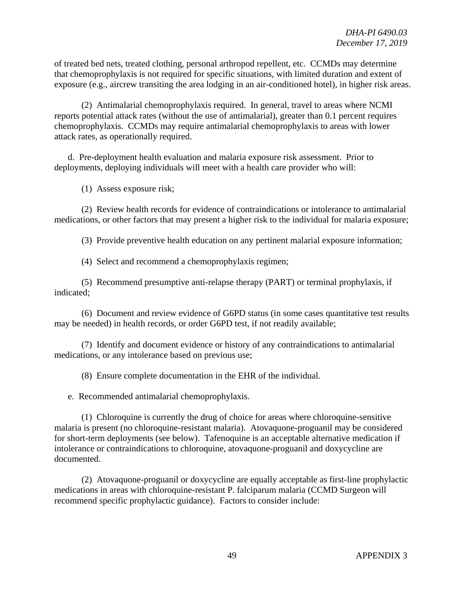of treated bed nets, treated clothing, personal arthropod repellent, etc. CCMDs may determine that chemoprophylaxis is not required for specific situations, with limited duration and extent of exposure (e.g., aircrew transiting the area lodging in an air-conditioned hotel), in higher risk areas.

(2) Antimalarial chemoprophylaxis required. In general, travel to areas where NCMI reports potential attack rates (without the use of antimalarial), greater than 0.1 percent requires chemoprophylaxis. CCMDs may require antimalarial chemoprophylaxis to areas with lower attack rates, as operationally required.

d. Pre-deployment health evaluation and malaria exposure risk assessment. Prior to deployments, deploying individuals will meet with a health care provider who will:

(1) Assess exposure risk;

(2) Review health records for evidence of contraindications or intolerance to antimalarial medications, or other factors that may present a higher risk to the individual for malaria exposure;

(3) Provide preventive health education on any pertinent malarial exposure information;

(4) Select and recommend a chemoprophylaxis regimen;

(5) Recommend presumptive anti-relapse therapy (PART) or terminal prophylaxis, if indicated;

(6) Document and review evidence of G6PD status (in some cases quantitative test results may be needed) in health records, or order G6PD test, if not readily available;

(7) Identify and document evidence or history of any contraindications to antimalarial medications, or any intolerance based on previous use;

(8) Ensure complete documentation in the EHR of the individual.

e. Recommended antimalarial chemoprophylaxis.

(1) Chloroquine is currently the drug of choice for areas where chloroquine-sensitive malaria is present (no chloroquine-resistant malaria). Atovaquone-proguanil may be considered for short-term deployments (see below). Tafenoquine is an acceptable alternative medication if intolerance or contraindications to chloroquine, atovaquone-proguanil and doxycycline are documented.

(2) Atovaquone-proguanil or doxycycline are equally acceptable as first-line prophylactic medications in areas with chloroquine-resistant P. falciparum malaria (CCMD Surgeon will recommend specific prophylactic guidance). Factors to consider include: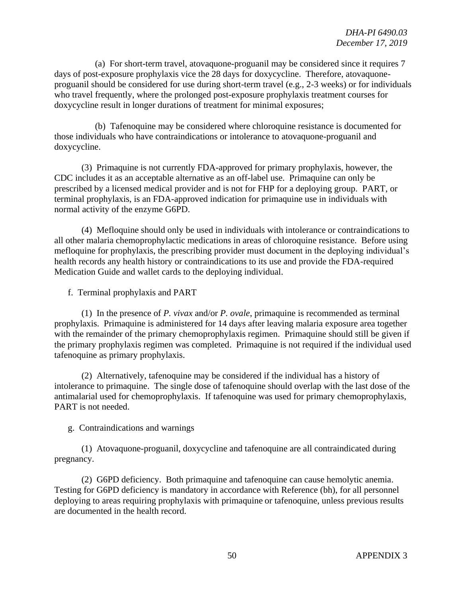(a) For short-term travel, atovaquone-proguanil may be considered since it requires 7 days of post-exposure prophylaxis vice the 28 days for doxycycline. Therefore, atovaquoneproguanil should be considered for use during short-term travel (e.g., 2-3 weeks) or for individuals who travel frequently, where the prolonged post-exposure prophylaxis treatment courses for doxycycline result in longer durations of treatment for minimal exposures;

(b) Tafenoquine may be considered where chloroquine resistance is documented for those individuals who have contraindications or intolerance to atovaquone-proguanil and doxycycline.

(3) Primaquine is not currently FDA-approved for primary prophylaxis, however, the CDC includes it as an acceptable alternative as an off-label use. Primaquine can only be prescribed by a licensed medical provider and is not for FHP for a deploying group. PART, or terminal prophylaxis, is an FDA-approved indication for primaquine use in individuals with normal activity of the enzyme G6PD.

(4) Mefloquine should only be used in individuals with intolerance or contraindications to all other malaria chemoprophylactic medications in areas of chloroquine resistance. Before using mefloquine for prophylaxis, the prescribing provider must document in the deploying individual's health records any health history or contraindications to its use and provide the FDA-required Medication Guide and wallet cards to the deploying individual.

f. Terminal prophylaxis and PART

(1) In the presence of *P. vivax* and/or *P. ovale*, primaquine is recommended as terminal prophylaxis. Primaquine is administered for 14 days after leaving malaria exposure area together with the remainder of the primary chemoprophylaxis regimen. Primaquine should still be given if the primary prophylaxis regimen was completed. Primaquine is not required if the individual used tafenoquine as primary prophylaxis.

(2) Alternatively, tafenoquine may be considered if the individual has a history of intolerance to primaquine. The single dose of tafenoquine should overlap with the last dose of the antimalarial used for chemoprophylaxis. If tafenoquine was used for primary chemoprophylaxis, PART is not needed.

g. Contraindications and warnings

(1) Atovaquone-proguanil, doxycycline and tafenoquine are all contraindicated during pregnancy.

(2) G6PD deficiency. Both primaquine and tafenoquine can cause hemolytic anemia. Testing for G6PD deficiency is mandatory in accordance with Reference (bh), for all personnel deploying to areas requiring prophylaxis with primaquine or tafenoquine, unless previous results are documented in the health record.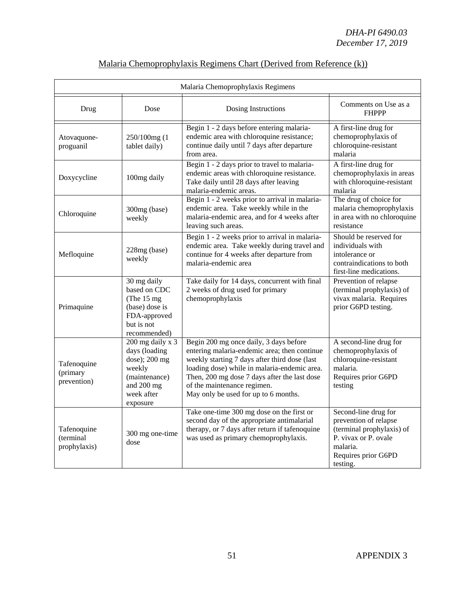| Malaria Chemoprophylaxis Regimens        |                                                                                                                       |                                                                                                                                                                                                                                                                                                                |                                                                                                                                                   |
|------------------------------------------|-----------------------------------------------------------------------------------------------------------------------|----------------------------------------------------------------------------------------------------------------------------------------------------------------------------------------------------------------------------------------------------------------------------------------------------------------|---------------------------------------------------------------------------------------------------------------------------------------------------|
| Drug                                     | Dose                                                                                                                  | Dosing Instructions                                                                                                                                                                                                                                                                                            | Comments on Use as a<br><b>FHPPP</b>                                                                                                              |
| Atovaquone-<br>proguanil                 | 250/100mg (1<br>tablet daily)                                                                                         | Begin 1 - 2 days before entering malaria-<br>endemic area with chloroquine resistance;<br>continue daily until 7 days after departure<br>from area.                                                                                                                                                            | A first-line drug for<br>chemoprophylaxis of<br>chloroquine-resistant<br>malaria                                                                  |
| Doxycycline                              | 100mg daily                                                                                                           | Begin 1 - 2 days prior to travel to malaria-<br>endemic areas with chloroquine resistance.<br>Take daily until 28 days after leaving<br>malaria-endemic areas.                                                                                                                                                 | A first-line drug for<br>chemoprophylaxis in areas<br>with chloroquine-resistant<br>malaria                                                       |
| Chloroquine                              | 300mg (base)<br>weekly                                                                                                | Begin 1 - 2 weeks prior to arrival in malaria-<br>endemic area. Take weekly while in the<br>malaria-endemic area, and for 4 weeks after<br>leaving such areas.                                                                                                                                                 | The drug of choice for<br>malaria chemoprophylaxis<br>in area with no chloroquine<br>resistance                                                   |
| Mefloquine                               | 228mg (base)<br>weekly                                                                                                | Begin 1 - 2 weeks prior to arrival in malaria-<br>endemic area. Take weekly during travel and<br>continue for 4 weeks after departure from<br>malaria-endemic area                                                                                                                                             | Should be reserved for<br>individuals with<br>intolerance or<br>contraindications to both<br>first-line medications.                              |
| Primaquine                               | 30 mg daily<br>based on CDC<br>(The $15 \text{ mg}$ )<br>(base) dose is<br>FDA-approved<br>but is not<br>recommended) | Take daily for 14 days, concurrent with final<br>2 weeks of drug used for primary<br>chemoprophylaxis                                                                                                                                                                                                          | Prevention of relapse<br>(terminal prophylaxis) of<br>vivax malaria. Requires<br>prior G6PD testing.                                              |
| Tafenoquine<br>(primary<br>prevention)   | 200 mg daily x 3<br>days (loading<br>dose); 200 mg<br>weekly<br>(maintenance)<br>and 200 mg<br>week after<br>exposure | Begin 200 mg once daily, 3 days before<br>entering malaria-endemic area; then continue<br>weekly starting 7 days after third dose (last<br>loading dose) while in malaria-endemic area.<br>Then, 200 mg dose 7 days after the last dose<br>of the maintenance regimen.<br>May only be used for up to 6 months. | A second-line drug for<br>chemoprophylaxis of<br>chloroquine-resistant<br>malaria.<br>Requires prior G6PD<br>testing                              |
| Tafenoquine<br>(terminal<br>prophylaxis) | 300 mg one-time<br>dose                                                                                               | Take one-time 300 mg dose on the first or<br>second day of the appropriate antimalarial<br>therapy, or 7 days after return if tafenoquine<br>was used as primary chemoprophylaxis.                                                                                                                             | Second-line drug for<br>prevention of relapse<br>(terminal prophylaxis) of<br>P. vivax or P. ovale<br>malaria.<br>Requires prior G6PD<br>testing. |

# Malaria Chemoprophylaxis Regimens Chart (Derived from Reference (k))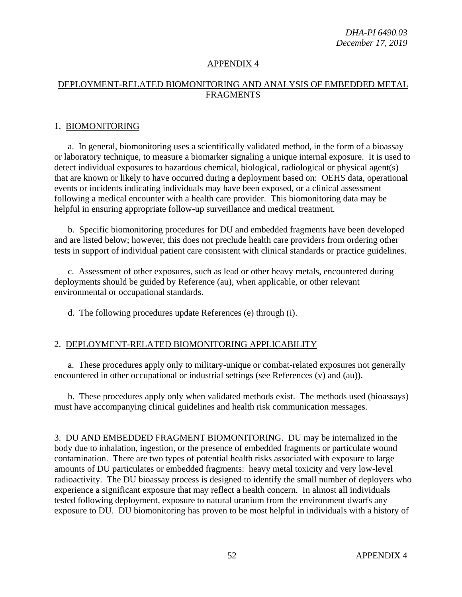### DEPLOYMENT-RELATED BIOMONITORING AND ANALYSIS OF EMBEDDED METAL FRAGMENTS

#### 1. BIOMONITORING

a. In general, biomonitoring uses a scientifically validated method, in the form of a bioassay or laboratory technique, to measure a biomarker signaling a unique internal exposure. It is used to detect individual exposures to hazardous chemical, biological, radiological or physical agent(s) that are known or likely to have occurred during a deployment based on: OEHS data, operational events or incidents indicating individuals may have been exposed, or a clinical assessment following a medical encounter with a health care provider. This biomonitoring data may be helpful in ensuring appropriate follow-up surveillance and medical treatment.

b. Specific biomonitoring procedures for DU and embedded fragments have been developed and are listed below; however, this does not preclude health care providers from ordering other tests in support of individual patient care consistent with clinical standards or practice guidelines.

c. Assessment of other exposures, such as lead or other heavy metals, encountered during deployments should be guided by Reference (au), when applicable, or other relevant environmental or occupational standards.

d. The following procedures update References (e) through (i).

#### 2. DEPLOYMENT-RELATED BIOMONITORING APPLICABILITY

a. These procedures apply only to military-unique or combat-related exposures not generally encountered in other occupational or industrial settings (see References (v) and (au)).

b. These procedures apply only when validated methods exist. The methods used (bioassays) must have accompanying clinical guidelines and health risk communication messages.

3. DU AND EMBEDDED FRAGMENT BIOMONITORING. DU may be internalized in the body due to inhalation, ingestion, or the presence of embedded fragments or particulate wound contamination. There are two types of potential health risks associated with exposure to large amounts of DU particulates or embedded fragments: heavy metal toxicity and very low-level radioactivity. The DU bioassay process is designed to identify the small number of deployers who experience a significant exposure that may reflect a health concern. In almost all individuals tested following deployment, exposure to natural uranium from the environment dwarfs any exposure to DU. DU biomonitoring has proven to be most helpful in individuals with a history of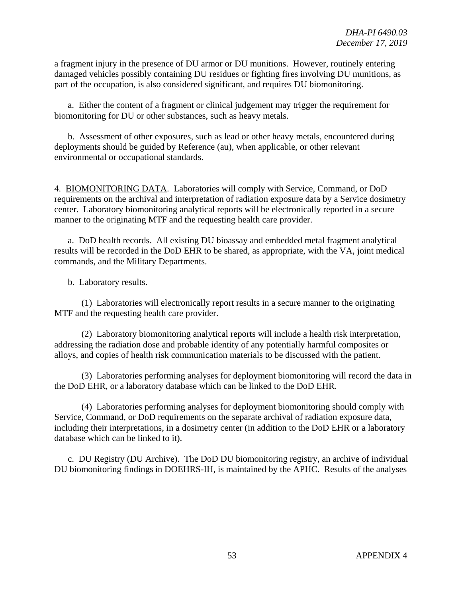a fragment injury in the presence of DU armor or DU munitions. However, routinely entering damaged vehicles possibly containing DU residues or fighting fires involving DU munitions, as part of the occupation, is also considered significant, and requires DU biomonitoring.

a. Either the content of a fragment or clinical judgement may trigger the requirement for biomonitoring for DU or other substances, such as heavy metals.

b. Assessment of other exposures, such as lead or other heavy metals, encountered during deployments should be guided by Reference (au), when applicable, or other relevant environmental or occupational standards.

4. BIOMONITORING DATA. Laboratories will comply with Service, Command, or DoD requirements on the archival and interpretation of radiation exposure data by a Service dosimetry center. Laboratory biomonitoring analytical reports will be electronically reported in a secure manner to the originating MTF and the requesting health care provider.

a. DoD health records. All existing DU bioassay and embedded metal fragment analytical results will be recorded in the DoD EHR to be shared, as appropriate, with the VA, joint medical commands, and the Military Departments.

b. Laboratory results.

(1) Laboratories will electronically report results in a secure manner to the originating MTF and the requesting health care provider.

(2) Laboratory biomonitoring analytical reports will include a health risk interpretation, addressing the radiation dose and probable identity of any potentially harmful composites or alloys, and copies of health risk communication materials to be discussed with the patient.

(3) Laboratories performing analyses for deployment biomonitoring will record the data in the DoD EHR, or a laboratory database which can be linked to the DoD EHR.

(4) Laboratories performing analyses for deployment biomonitoring should comply with Service, Command, or DoD requirements on the separate archival of radiation exposure data, including their interpretations, in a dosimetry center (in addition to the DoD EHR or a laboratory database which can be linked to it).

c. DU Registry (DU Archive). The DoD DU biomonitoring registry, an archive of individual DU biomonitoring findings in DOEHRS-IH, is maintained by the APHC. Results of the analyses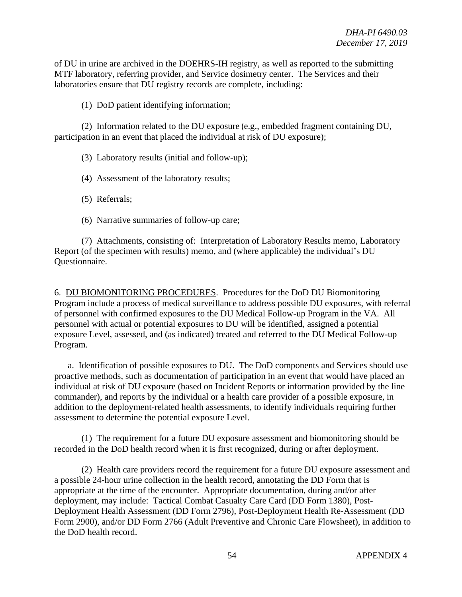of DU in urine are archived in the DOEHRS-IH registry, as well as reported to the submitting MTF laboratory, referring provider, and Service dosimetry center. The Services and their laboratories ensure that DU registry records are complete, including:

(1) DoD patient identifying information;

(2) Information related to the DU exposure (e.g., embedded fragment containing DU, participation in an event that placed the individual at risk of DU exposure);

(3) Laboratory results (initial and follow-up);

(4) Assessment of the laboratory results;

(5) Referrals;

(6) Narrative summaries of follow-up care;

(7) Attachments, consisting of: Interpretation of Laboratory Results memo, Laboratory Report (of the specimen with results) memo, and (where applicable) the individual's DU Questionnaire.

6. DU BIOMONITORING PROCEDURES. Procedures for the DoD DU Biomonitoring Program include a process of medical surveillance to address possible DU exposures, with referral of personnel with confirmed exposures to the DU Medical Follow-up Program in the VA. All personnel with actual or potential exposures to DU will be identified, assigned a potential exposure Level, assessed, and (as indicated) treated and referred to the DU Medical Follow-up Program.

a. Identification of possible exposures to DU. The DoD components and Services should use proactive methods, such as documentation of participation in an event that would have placed an individual at risk of DU exposure (based on Incident Reports or information provided by the line commander), and reports by the individual or a health care provider of a possible exposure, in addition to the deployment-related health assessments, to identify individuals requiring further assessment to determine the potential exposure Level.

(1) The requirement for a future DU exposure assessment and biomonitoring should be recorded in the DoD health record when it is first recognized, during or after deployment.

(2) Health care providers record the requirement for a future DU exposure assessment and a possible 24-hour urine collection in the health record, annotating the DD Form that is appropriate at the time of the encounter. Appropriate documentation, during and/or after deployment, may include: Tactical Combat Casualty Care Card (DD Form 1380), Post-Deployment Health Assessment (DD Form 2796), Post-Deployment Health Re-Assessment (DD Form 2900), and/or DD Form 2766 (Adult Preventive and Chronic Care Flowsheet), in addition to the DoD health record.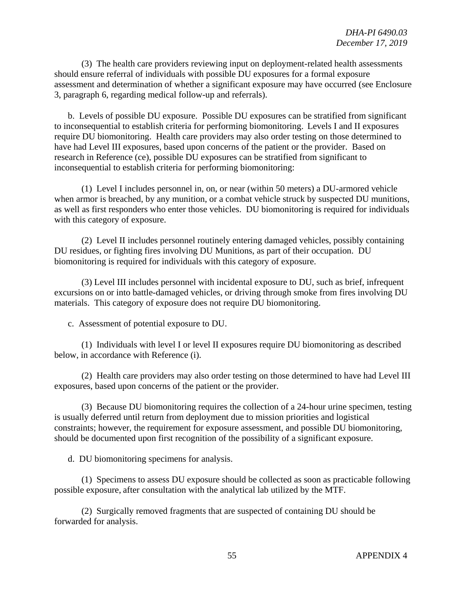(3) The health care providers reviewing input on deployment-related health assessments should ensure referral of individuals with possible DU exposures for a formal exposure assessment and determination of whether a significant exposure may have occurred (see Enclosure 3, paragraph 6, regarding medical follow-up and referrals).

b. Levels of possible DU exposure. Possible DU exposures can be stratified from significant to inconsequential to establish criteria for performing biomonitoring. Levels I and II exposures require DU biomonitoring. Health care providers may also order testing on those determined to have had Level III exposures, based upon concerns of the patient or the provider. Based on research in Reference (ce), possible DU exposures can be stratified from significant to inconsequential to establish criteria for performing biomonitoring:

(1) Level I includes personnel in, on, or near (within 50 meters) a DU-armored vehicle when armor is breached, by any munition, or a combat vehicle struck by suspected DU munitions, as well as first responders who enter those vehicles. DU biomonitoring is required for individuals with this category of exposure.

(2) Level II includes personnel routinely entering damaged vehicles, possibly containing DU residues, or fighting fires involving DU Munitions, as part of their occupation. DU biomonitoring is required for individuals with this category of exposure.

(3) Level III includes personnel with incidental exposure to DU, such as brief, infrequent excursions on or into battle-damaged vehicles, or driving through smoke from fires involving DU materials. This category of exposure does not require DU biomonitoring.

c. Assessment of potential exposure to DU.

(1) Individuals with level I or level II exposures require DU biomonitoring as described below, in accordance with Reference (i).

(2) Health care providers may also order testing on those determined to have had Level III exposures, based upon concerns of the patient or the provider.

(3) Because DU biomonitoring requires the collection of a 24-hour urine specimen, testing is usually deferred until return from deployment due to mission priorities and logistical constraints; however, the requirement for exposure assessment, and possible DU biomonitoring, should be documented upon first recognition of the possibility of a significant exposure.

d. DU biomonitoring specimens for analysis.

(1) Specimens to assess DU exposure should be collected as soon as practicable following possible exposure, after consultation with the analytical lab utilized by the MTF.

(2) Surgically removed fragments that are suspected of containing DU should be forwarded for analysis.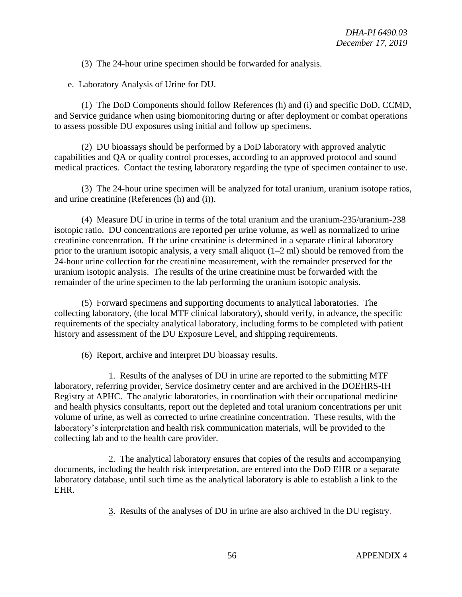(3) The 24-hour urine specimen should be forwarded for analysis.

e. Laboratory Analysis of Urine for DU.

(1) The DoD Components should follow References (h) and (i) and specific DoD, CCMD, and Service guidance when using biomonitoring during or after deployment or combat operations to assess possible DU exposures using initial and follow up specimens.

(2) DU bioassays should be performed by a DoD laboratory with approved analytic capabilities and QA or quality control processes, according to an approved protocol and sound medical practices. Contact the testing laboratory regarding the type of specimen container to use.

(3) The 24-hour urine specimen will be analyzed for total uranium, uranium isotope ratios, and urine creatinine (References (h) and (i)).

(4) Measure DU in urine in terms of the total uranium and the uranium-235/uranium-238 isotopic ratio. DU concentrations are reported per urine volume, as well as normalized to urine creatinine concentration. If the urine creatinine is determined in a separate clinical laboratory prior to the uranium isotopic analysis, a very small aliquot (1–2 ml) should be removed from the 24-hour urine collection for the creatinine measurement, with the remainder preserved for the uranium isotopic analysis. The results of the urine creatinine must be forwarded with the remainder of the urine specimen to the lab performing the uranium isotopic analysis.

(5) Forward specimens and supporting documents to analytical laboratories. The collecting laboratory, (the local MTF clinical laboratory), should verify, in advance, the specific requirements of the specialty analytical laboratory, including forms to be completed with patient history and assessment of the DU Exposure Level, and shipping requirements.

(6) Report, archive and interpret DU bioassay results.

1. Results of the analyses of DU in urine are reported to the submitting MTF laboratory, referring provider, Service dosimetry center and are archived in the DOEHRS-IH Registry at APHC. The analytic laboratories, in coordination with their occupational medicine and health physics consultants, report out the depleted and total uranium concentrations per unit volume of urine, as well as corrected to urine creatinine concentration. These results, with the laboratory's interpretation and health risk communication materials, will be provided to the collecting lab and to the health care provider.

2. The analytical laboratory ensures that copies of the results and accompanying documents, including the health risk interpretation, are entered into the DoD EHR or a separate laboratory database, until such time as the analytical laboratory is able to establish a link to the EHR.

3. Results of the analyses of DU in urine are also archived in the DU registry.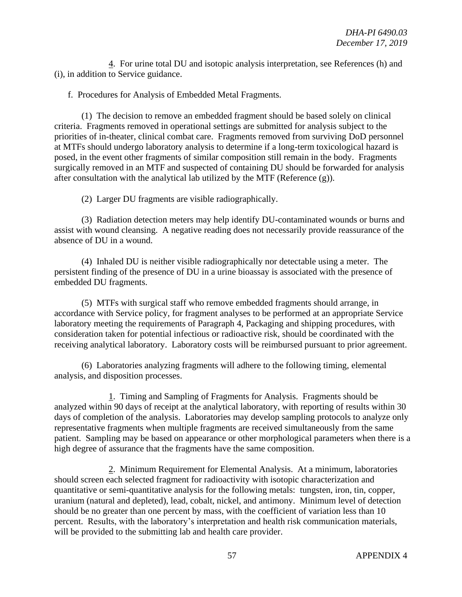4. For urine total DU and isotopic analysis interpretation, see References (h) and (i), in addition to Service guidance.

f. Procedures for Analysis of Embedded Metal Fragments.

(1) The decision to remove an embedded fragment should be based solely on clinical criteria. Fragments removed in operational settings are submitted for analysis subject to the priorities of in-theater, clinical combat care. Fragments removed from surviving DoD personnel at MTFs should undergo laboratory analysis to determine if a long-term toxicological hazard is posed, in the event other fragments of similar composition still remain in the body. Fragments surgically removed in an MTF and suspected of containing DU should be forwarded for analysis after consultation with the analytical lab utilized by the MTF (Reference (g)).

(2) Larger DU fragments are visible radiographically.

(3) Radiation detection meters may help identify DU-contaminated wounds or burns and assist with wound cleansing. A negative reading does not necessarily provide reassurance of the absence of DU in a wound.

(4) Inhaled DU is neither visible radiographically nor detectable using a meter. The persistent finding of the presence of DU in a urine bioassay is associated with the presence of embedded DU fragments.

(5) MTFs with surgical staff who remove embedded fragments should arrange, in accordance with Service policy, for fragment analyses to be performed at an appropriate Service laboratory meeting the requirements of Paragraph 4, Packaging and shipping procedures, with consideration taken for potential infectious or radioactive risk, should be coordinated with the receiving analytical laboratory. Laboratory costs will be reimbursed pursuant to prior agreement.

(6) Laboratories analyzing fragments will adhere to the following timing, elemental analysis, and disposition processes.

1. Timing and Sampling of Fragments for Analysis. Fragments should be analyzed within 90 days of receipt at the analytical laboratory, with reporting of results within 30 days of completion of the analysis. Laboratories may develop sampling protocols to analyze only representative fragments when multiple fragments are received simultaneously from the same patient. Sampling may be based on appearance or other morphological parameters when there is a high degree of assurance that the fragments have the same composition.

2. Minimum Requirement for Elemental Analysis. At a minimum, laboratories should screen each selected fragment for radioactivity with isotopic characterization and quantitative or semi-quantitative analysis for the following metals: tungsten, iron, tin, copper, uranium (natural and depleted), lead, cobalt, nickel, and antimony. Minimum level of detection should be no greater than one percent by mass, with the coefficient of variation less than 10 percent. Results, with the laboratory's interpretation and health risk communication materials, will be provided to the submitting lab and health care provider.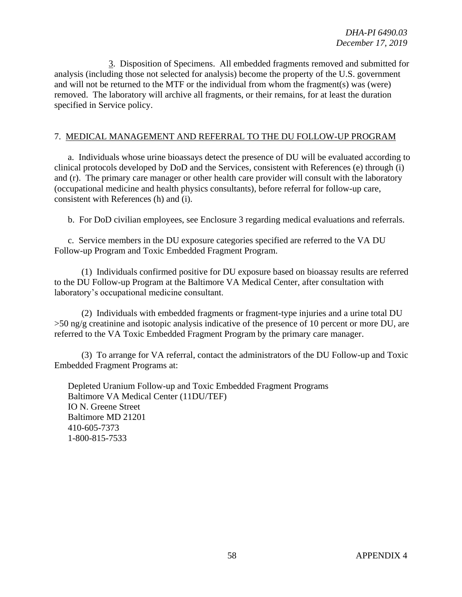3. Disposition of Specimens. All embedded fragments removed and submitted for analysis (including those not selected for analysis) become the property of the U.S. government and will not be returned to the MTF or the individual from whom the fragment(s) was (were) removed. The laboratory will archive all fragments, or their remains, for at least the duration specified in Service policy.

### 7. MEDICAL MANAGEMENT AND REFERRAL TO THE DU FOLLOW-UP PROGRAM

a. Individuals whose urine bioassays detect the presence of DU will be evaluated according to clinical protocols developed by DoD and the Services, consistent with References (e) through (i) and (r). The primary care manager or other health care provider will consult with the laboratory (occupational medicine and health physics consultants), before referral for follow-up care, consistent with References (h) and (i).

b. For DoD civilian employees, see Enclosure 3 regarding medical evaluations and referrals.

c. Service members in the DU exposure categories specified are referred to the VA DU Follow-up Program and Toxic Embedded Fragment Program.

(1) Individuals confirmed positive for DU exposure based on bioassay results are referred to the DU Follow-up Program at the Baltimore VA Medical Center, after consultation with laboratory's occupational medicine consultant.

(2) Individuals with embedded fragments or fragment-type injuries and a urine total DU >50 ng/g creatinine and isotopic analysis indicative of the presence of 10 percent or more DU, are referred to the VA Toxic Embedded Fragment Program by the primary care manager.

(3) To arrange for VA referral, contact the administrators of the DU Follow-up and Toxic Embedded Fragment Programs at:

Depleted Uranium Follow-up and Toxic Embedded Fragment Programs Baltimore VA Medical Center (11DU/TEF) IO N. Greene Street Baltimore MD 21201 410-605-7373 1-800-815-7533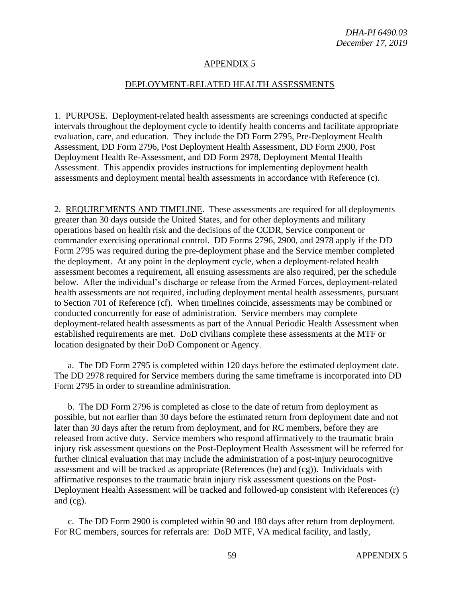#### DEPLOYMENT-RELATED HEALTH ASSESSMENTS

1. PURPOSE. Deployment-related health assessments are screenings conducted at specific intervals throughout the deployment cycle to identify health concerns and facilitate appropriate evaluation, care, and education. They include the DD Form 2795, Pre-Deployment Health Assessment, DD Form 2796, Post Deployment Health Assessment, DD Form 2900, Post Deployment Health Re-Assessment, and DD Form 2978, Deployment Mental Health Assessment. This appendix provides instructions for implementing deployment health assessments and deployment mental health assessments in accordance with Reference (c).

2. REQUIREMENTS AND TIMELINE. These assessments are required for all deployments greater than 30 days outside the United States, and for other deployments and military operations based on health risk and the decisions of the CCDR, Service component or commander exercising operational control. DD Forms 2796, 2900, and 2978 apply if the DD Form 2795 was required during the pre-deployment phase and the Service member completed the deployment. At any point in the deployment cycle, when a deployment-related health assessment becomes a requirement, all ensuing assessments are also required, per the schedule below. After the individual's discharge or release from the Armed Forces, deployment-related health assessments are not required, including deployment mental health assessments, pursuant to Section 701 of Reference (cf). When timelines coincide, assessments may be combined or conducted concurrently for ease of administration. Service members may complete deployment-related health assessments as part of the Annual Periodic Health Assessment when established requirements are met. DoD civilians complete these assessments at the MTF or location designated by their DoD Component or Agency.

a. The DD Form 2795 is completed within 120 days before the estimated deployment date. The DD 2978 required for Service members during the same timeframe is incorporated into DD Form 2795 in order to streamline administration.

b. The DD Form 2796 is completed as close to the date of return from deployment as possible, but not earlier than 30 days before the estimated return from deployment date and not later than 30 days after the return from deployment, and for RC members, before they are released from active duty. Service members who respond affirmatively to the traumatic brain injury risk assessment questions on the Post-Deployment Health Assessment will be referred for further clinical evaluation that may include the administration of a post-injury neurocognitive assessment and will be tracked as appropriate (References (be) and (cg)). Individuals with affirmative responses to the traumatic brain injury risk assessment questions on the Post-Deployment Health Assessment will be tracked and followed-up consistent with References (r) and (cg).

c. The DD Form 2900 is completed within 90 and 180 days after return from deployment. For RC members, sources for referrals are: DoD MTF, VA medical facility, and lastly,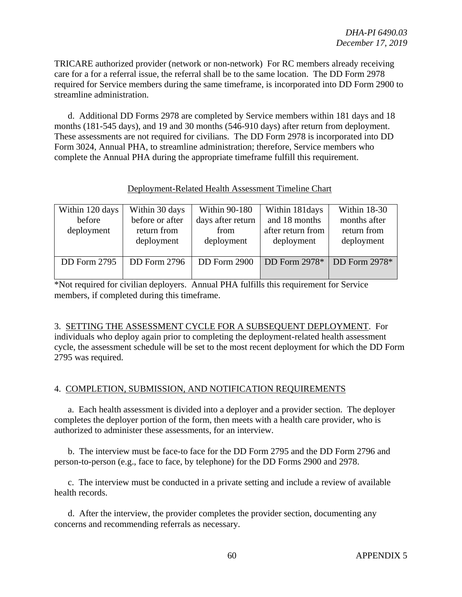TRICARE authorized provider (network or non-network) For RC members already receiving care for a for a referral issue, the referral shall be to the same location. The DD Form 2978 required for Service members during the same timeframe, is incorporated into DD Form 2900 to streamline administration.

d. Additional DD Forms 2978 are completed by Service members within 181 days and 18 months (181-545 days), and 19 and 30 months (546-910 days) after return from deployment. These assessments are not required for civilians. The DD Form 2978 is incorporated into DD Form 3024, Annual PHA, to streamline administration; therefore, Service members who complete the Annual PHA during the appropriate timeframe fulfill this requirement.

| Deployment-Related Health Assessment Timeline Chart |  |
|-----------------------------------------------------|--|
|-----------------------------------------------------|--|

| Within 120 days     | Within 30 days      | <b>Within 90-180</b> | Within 181days    | Within 18-30    |
|---------------------|---------------------|----------------------|-------------------|-----------------|
| before              | before or after     | days after return    | and 18 months     | months after    |
| deployment          | return from         | from                 | after return from | return from     |
|                     | deployment          | deployment           | deployment        | deployment      |
|                     |                     |                      |                   |                 |
| <b>DD</b> Form 2795 | <b>DD</b> Form 2796 | DD Form 2900         | DD Form $2978*$   | DD Form $2978*$ |
|                     |                     |                      |                   |                 |

\*Not required for civilian deployers. Annual PHA fulfills this requirement for Service members, if completed during this timeframe.

3. SETTING THE ASSESSMENT CYCLE FOR A SUBSEQUENT DEPLOYMENT. For individuals who deploy again prior to completing the deployment-related health assessment cycle, the assessment schedule will be set to the most recent deployment for which the DD Form 2795 was required.

### 4. COMPLETION, SUBMISSION, AND NOTIFICATION REQUIREMENTS

a. Each health assessment is divided into a deployer and a provider section. The deployer completes the deployer portion of the form, then meets with a health care provider, who is authorized to administer these assessments, for an interview.

b. The interview must be face-to face for the DD Form 2795 and the DD Form 2796 and person-to-person (e.g., face to face, by telephone) for the DD Forms 2900 and 2978.

c. The interview must be conducted in a private setting and include a review of available health records.

d. After the interview, the provider completes the provider section, documenting any concerns and recommending referrals as necessary.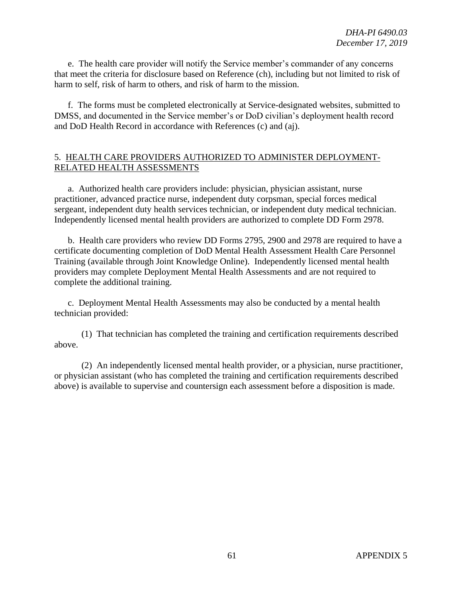e. The health care provider will notify the Service member's commander of any concerns that meet the criteria for disclosure based on Reference (ch), including but not limited to risk of harm to self, risk of harm to others, and risk of harm to the mission.

f. The forms must be completed electronically at Service-designated websites, submitted to DMSS, and documented in the Service member's or DoD civilian's deployment health record and DoD Health Record in accordance with References (c) and (aj).

### 5. HEALTH CARE PROVIDERS AUTHORIZED TO ADMINISTER DEPLOYMENT-RELATED HEALTH ASSESSMENTS

a. Authorized health care providers include: physician, physician assistant, nurse practitioner, advanced practice nurse, independent duty corpsman, special forces medical sergeant, independent duty health services technician, or independent duty medical technician. Independently licensed mental health providers are authorized to complete DD Form 2978.

b. Health care providers who review DD Forms 2795, 2900 and 2978 are required to have a certificate documenting completion of DoD Mental Health Assessment Health Care Personnel Training (available through Joint Knowledge Online). Independently licensed mental health providers may complete Deployment Mental Health Assessments and are not required to complete the additional training.

c. Deployment Mental Health Assessments may also be conducted by a mental health technician provided:

(1) That technician has completed the training and certification requirements described above.

(2) An independently licensed mental health provider, or a physician, nurse practitioner, or physician assistant (who has completed the training and certification requirements described above) is available to supervise and countersign each assessment before a disposition is made.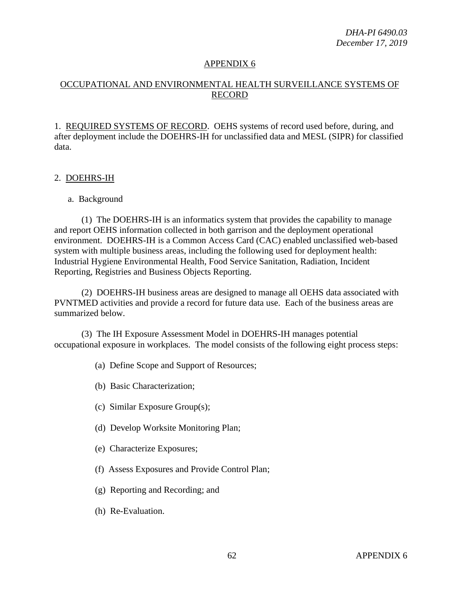# OCCUPATIONAL AND ENVIRONMENTAL HEALTH SURVEILLANCE SYSTEMS OF RECORD

1. REQUIRED SYSTEMS OF RECORD. OEHS systems of record used before, during, and after deployment include the DOEHRS-IH for unclassified data and MESL (SIPR) for classified data.

#### 2. DOEHRS-IH

#### a. Background

(1) The DOEHRS-IH is an informatics system that provides the capability to manage and report OEHS information collected in both garrison and the deployment operational environment. DOEHRS-IH is a Common Access Card (CAC) enabled unclassified web-based system with multiple business areas, including the following used for deployment health: Industrial Hygiene Environmental Health, Food Service Sanitation, Radiation, Incident Reporting, Registries and Business Objects Reporting.

(2) DOEHRS-IH business areas are designed to manage all OEHS data associated with PVNTMED activities and provide a record for future data use. Each of the business areas are summarized below.

(3) The IH Exposure Assessment Model in DOEHRS-IH manages potential occupational exposure in workplaces. The model consists of the following eight process steps:

- (a) Define Scope and Support of Resources;
- (b) Basic Characterization;
- (c) Similar Exposure Group(s);
- (d) Develop Worksite Monitoring Plan;
- (e) Characterize Exposures;
- (f) Assess Exposures and Provide Control Plan;
- (g) Reporting and Recording; and
- (h) Re-Evaluation.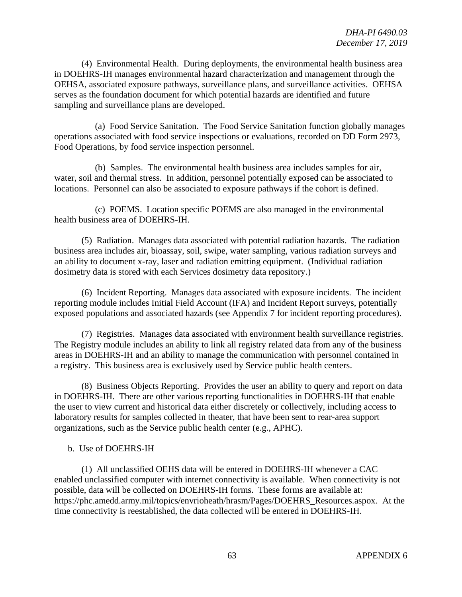(4) Environmental Health. During deployments, the environmental health business area in DOEHRS-IH manages environmental hazard characterization and management through the OEHSA, associated exposure pathways, surveillance plans, and surveillance activities. OEHSA serves as the foundation document for which potential hazards are identified and future sampling and surveillance plans are developed.

(a) Food Service Sanitation. The Food Service Sanitation function globally manages operations associated with food service inspections or evaluations, recorded on DD Form 2973, Food Operations, by food service inspection personnel.

(b) Samples. The environmental health business area includes samples for air, water, soil and thermal stress. In addition, personnel potentially exposed can be associated to locations. Personnel can also be associated to exposure pathways if the cohort is defined.

(c) POEMS. Location specific POEMS are also managed in the environmental health business area of DOEHRS-IH.

(5) Radiation. Manages data associated with potential radiation hazards. The radiation business area includes air, bioassay, soil, swipe, water sampling, various radiation surveys and an ability to document x-ray, laser and radiation emitting equipment. (Individual radiation dosimetry data is stored with each Services dosimetry data repository.)

(6) Incident Reporting. Manages data associated with exposure incidents. The incident reporting module includes Initial Field Account (IFA) and Incident Report surveys, potentially exposed populations and associated hazards (see Appendix 7 for incident reporting procedures).

(7) Registries. Manages data associated with environment health surveillance registries. The Registry module includes an ability to link all registry related data from any of the business areas in DOEHRS-IH and an ability to manage the communication with personnel contained in a registry. This business area is exclusively used by Service public health centers.

(8) Business Objects Reporting. Provides the user an ability to query and report on data in DOEHRS-IH. There are other various reporting functionalities in DOEHRS-IH that enable the user to view current and historical data either discretely or collectively, including access to laboratory results for samples collected in theater, that have been sent to rear-area support organizations, such as the Service public health center (e.g., APHC).

#### b. Use of DOEHRS-IH

(1) All unclassified OEHS data will be entered in DOEHRS-IH whenever a CAC enabled unclassified computer with internet connectivity is available. When connectivity is not possible, data will be collected on DOEHRS-IH forms. These forms are available at: https://phc.amedd.army.mil/topics/envrioheath/hrasm/Pages/DOEHRS\_Resources.aspox. At the time connectivity is reestablished, the data collected will be entered in DOEHRS-IH.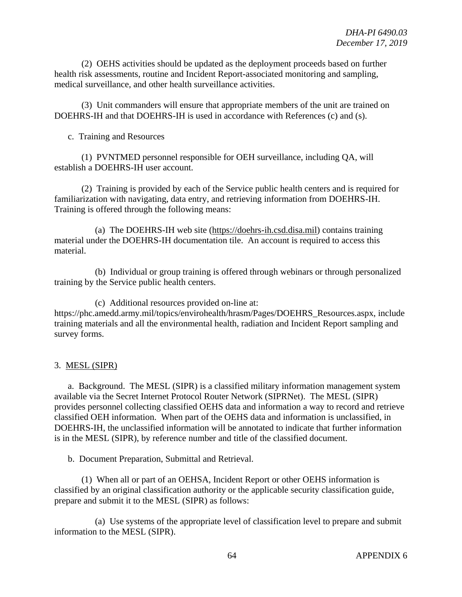(2) OEHS activities should be updated as the deployment proceeds based on further health risk assessments, routine and Incident Report-associated monitoring and sampling, medical surveillance, and other health surveillance activities.

(3) Unit commanders will ensure that appropriate members of the unit are trained on DOEHRS-IH and that DOEHRS-IH is used in accordance with References (c) and (s).

c. Training and Resources

(1) PVNTMED personnel responsible for OEH surveillance, including QA, will establish a DOEHRS-IH user account.

(2) Training is provided by each of the Service public health centers and is required for familiarization with navigating, data entry, and retrieving information from DOEHRS-IH. Training is offered through the following means:

(a) The DOEHRS-IH web site [\(https://doehrs-ih.csd.disa.mil\)](https://doehrs-ih.csd.disa.mil/) contains training material under the DOEHRS-IH documentation tile. An account is required to access this material.

(b) Individual or group training is offered through webinars or through personalized training by the Service public health centers.

(c) Additional resources provided on-line at: https://phc.amedd.army.mil/topics/envirohealth/hrasm/Pages/DOEHRS\_Resources.aspx, include training materials and all the environmental health, radiation and Incident Report sampling and survey forms.

### 3. MESL (SIPR)

a. Background. The MESL (SIPR) is a classified military information management system available via the Secret Internet Protocol Router Network (SIPRNet). The MESL (SIPR) provides personnel collecting classified OEHS data and information a way to record and retrieve classified OEH information. When part of the OEHS data and information is unclassified, in DOEHRS-IH, the unclassified information will be annotated to indicate that further information is in the MESL (SIPR), by reference number and title of the classified document.

b. Document Preparation, Submittal and Retrieval.

(1) When all or part of an OEHSA, Incident Report or other OEHS information is classified by an original classification authority or the applicable security classification guide, prepare and submit it to the MESL (SIPR) as follows:

(a) Use systems of the appropriate level of classification level to prepare and submit information to the MESL (SIPR).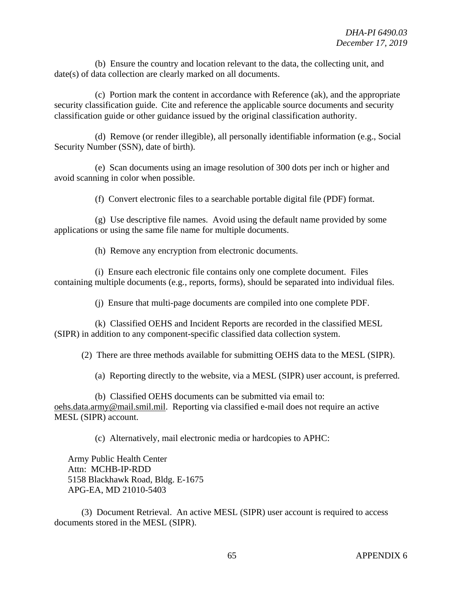(b) Ensure the country and location relevant to the data, the collecting unit, and date(s) of data collection are clearly marked on all documents.

(c) Portion mark the content in accordance with Reference (ak), and the appropriate security classification guide. Cite and reference the applicable source documents and security classification guide or other guidance issued by the original classification authority.

(d) Remove (or render illegible), all personally identifiable information (e.g., Social Security Number (SSN), date of birth).

(e) Scan documents using an image resolution of 300 dots per inch or higher and avoid scanning in color when possible.

(f) Convert electronic files to a searchable portable digital file (PDF) format.

(g) Use descriptive file names. Avoid using the default name provided by some applications or using the same file name for multiple documents.

(h) Remove any encryption from electronic documents.

(i) Ensure each electronic file contains only one complete document. Files containing multiple documents (e.g., reports, forms), should be separated into individual files.

(j) Ensure that multi-page documents are compiled into one complete PDF.

(k) Classified OEHS and Incident Reports are recorded in the classified MESL (SIPR) in addition to any component-specific classified data collection system.

(2) There are three methods available for submitting OEHS data to the MESL (SIPR).

(a) Reporting directly to the website, via a MESL (SIPR) user account, is preferred.

(b) Classified OEHS documents can be submitted via email to: [oehs.data.army@mail.smil.mil.](mailto:oehs.data.army@mail.smil.mil) Reporting via classified e-mail does not require an active MESL (SIPR) account.

(c) Alternatively, mail electronic media or hardcopies to APHC:

Army Public Health Center Attn: MCHB-IP-RDD 5158 Blackhawk Road, Bldg. E-1675 APG-EA, MD 21010-5403

(3) Document Retrieval. An active MESL (SIPR) user account is required to access documents stored in the MESL (SIPR).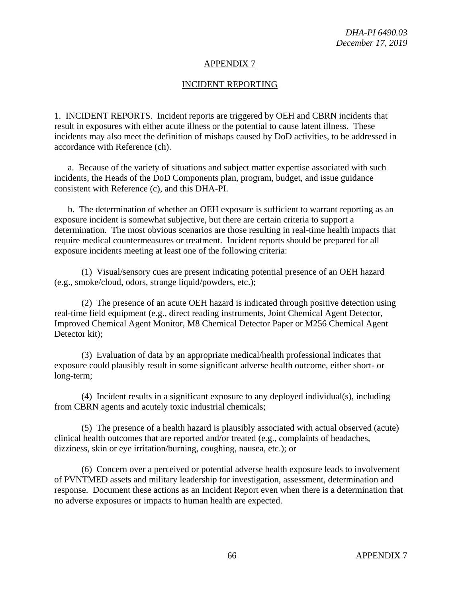### INCIDENT REPORTING

1. INCIDENT REPORTS. Incident reports are triggered by OEH and CBRN incidents that result in exposures with either acute illness or the potential to cause latent illness. These incidents may also meet the definition of mishaps caused by DoD activities, to be addressed in accordance with Reference (ch).

a. Because of the variety of situations and subject matter expertise associated with such incidents, the Heads of the DoD Components plan, program, budget, and issue guidance consistent with Reference (c), and this DHA-PI.

b. The determination of whether an OEH exposure is sufficient to warrant reporting as an exposure incident is somewhat subjective, but there are certain criteria to support a determination. The most obvious scenarios are those resulting in real-time health impacts that require medical countermeasures or treatment. Incident reports should be prepared for all exposure incidents meeting at least one of the following criteria:

(1) Visual/sensory cues are present indicating potential presence of an OEH hazard (e.g., smoke/cloud, odors, strange liquid/powders, etc.);

(2) The presence of an acute OEH hazard is indicated through positive detection using real-time field equipment (e.g., direct reading instruments, Joint Chemical Agent Detector, Improved Chemical Agent Monitor, M8 Chemical Detector Paper or M256 Chemical Agent Detector kit);

(3) Evaluation of data by an appropriate medical/health professional indicates that exposure could plausibly result in some significant adverse health outcome, either short- or long-term;

(4) Incident results in a significant exposure to any deployed individual(s), including from CBRN agents and acutely toxic industrial chemicals;

(5) The presence of a health hazard is plausibly associated with actual observed (acute) clinical health outcomes that are reported and/or treated (e.g., complaints of headaches, dizziness, skin or eye irritation/burning, coughing, nausea, etc.); or

(6) Concern over a perceived or potential adverse health exposure leads to involvement of PVNTMED assets and military leadership for investigation, assessment, determination and response. Document these actions as an Incident Report even when there is a determination that no adverse exposures or impacts to human health are expected.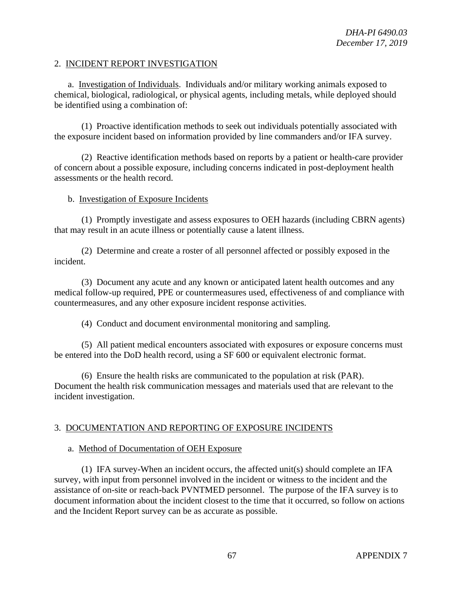### 2. INCIDENT REPORT INVESTIGATION

a. Investigation of Individuals. Individuals and/or military working animals exposed to chemical, biological, radiological, or physical agents, including metals, while deployed should be identified using a combination of:

(1) Proactive identification methods to seek out individuals potentially associated with the exposure incident based on information provided by line commanders and/or IFA survey.

(2) Reactive identification methods based on reports by a patient or health-care provider of concern about a possible exposure, including concerns indicated in post-deployment health assessments or the health record.

### b. Investigation of Exposure Incidents

(1) Promptly investigate and assess exposures to OEH hazards (including CBRN agents) that may result in an acute illness or potentially cause a latent illness.

(2) Determine and create a roster of all personnel affected or possibly exposed in the incident.

(3) Document any acute and any known or anticipated latent health outcomes and any medical follow-up required, PPE or countermeasures used, effectiveness of and compliance with countermeasures, and any other exposure incident response activities.

(4) Conduct and document environmental monitoring and sampling.

(5) All patient medical encounters associated with exposures or exposure concerns must be entered into the DoD health record, using a SF 600 or equivalent electronic format.

(6) Ensure the health risks are communicated to the population at risk (PAR). Document the health risk communication messages and materials used that are relevant to the incident investigation.

### 3. DOCUMENTATION AND REPORTING OF EXPOSURE INCIDENTS

#### a. Method of Documentation of OEH Exposure

(1) IFA survey-When an incident occurs, the affected unit(s) should complete an IFA survey, with input from personnel involved in the incident or witness to the incident and the assistance of on-site or reach-back PVNTMED personnel. The purpose of the IFA survey is to document information about the incident closest to the time that it occurred, so follow on actions and the Incident Report survey can be as accurate as possible.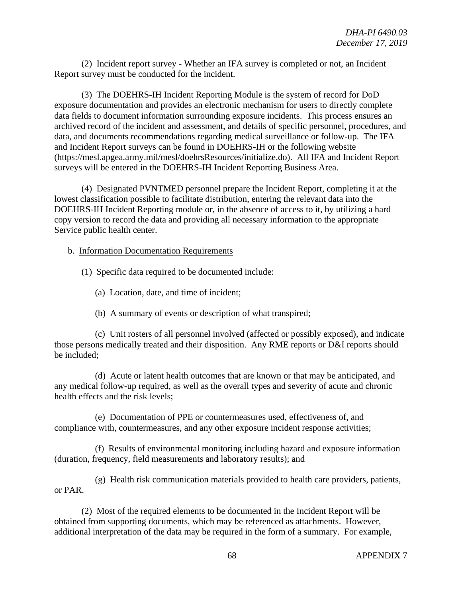(2) Incident report survey - Whether an IFA survey is completed or not, an Incident Report survey must be conducted for the incident.

(3) The DOEHRS-IH Incident Reporting Module is the system of record for DoD exposure documentation and provides an electronic mechanism for users to directly complete data fields to document information surrounding exposure incidents. This process ensures an archived record of the incident and assessment, and details of specific personnel, procedures, and data, and documents recommendations regarding medical surveillance or follow-up. The IFA and Incident Report surveys can be found in DOEHRS-IH or the following website [\(https://mesl.apgea.army.mil/mesl/doehrsResources/initialize.do\)](https://mesl.apgea.army.mil/mesl/doehrsResources/initialize.do). All IFA and Incident Report surveys will be entered in the DOEHRS-IH Incident Reporting Business Area.

(4) Designated PVNTMED personnel prepare the Incident Report, completing it at the lowest classification possible to facilitate distribution, entering the relevant data into the DOEHRS-IH Incident Reporting module or, in the absence of access to it, by utilizing a hard copy version to record the data and providing all necessary information to the appropriate Service public health center.

b. Information Documentation Requirements

(1) Specific data required to be documented include:

(a) Location, date, and time of incident;

(b) A summary of events or description of what transpired;

(c) Unit rosters of all personnel involved (affected or possibly exposed), and indicate those persons medically treated and their disposition. Any RME reports or D&I reports should be included;

(d) Acute or latent health outcomes that are known or that may be anticipated, and any medical follow-up required, as well as the overall types and severity of acute and chronic health effects and the risk levels;

(e) Documentation of PPE or countermeasures used, effectiveness of, and compliance with, countermeasures, and any other exposure incident response activities;

(f) Results of environmental monitoring including hazard and exposure information (duration, frequency, field measurements and laboratory results); and

(g) Health risk communication materials provided to health care providers, patients, or PAR.

(2) Most of the required elements to be documented in the Incident Report will be obtained from supporting documents, which may be referenced as attachments. However, additional interpretation of the data may be required in the form of a summary. For example,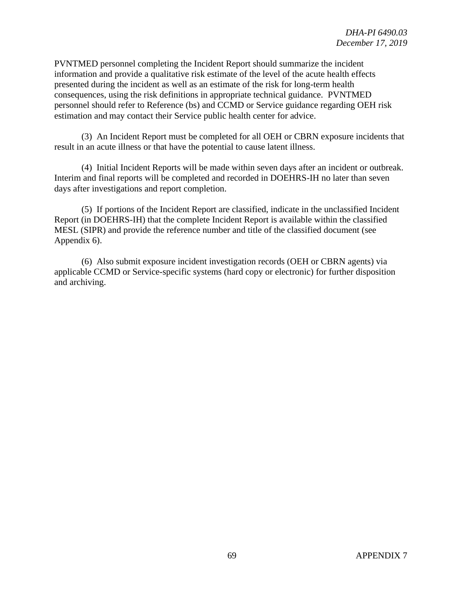PVNTMED personnel completing the Incident Report should summarize the incident information and provide a qualitative risk estimate of the level of the acute health effects presented during the incident as well as an estimate of the risk for long-term health consequences, using the risk definitions in appropriate technical guidance. PVNTMED personnel should refer to Reference (bs) and CCMD or Service guidance regarding OEH risk estimation and may contact their Service public health center for advice.

(3) An Incident Report must be completed for all OEH or CBRN exposure incidents that result in an acute illness or that have the potential to cause latent illness.

(4) Initial Incident Reports will be made within seven days after an incident or outbreak. Interim and final reports will be completed and recorded in DOEHRS-IH no later than seven days after investigations and report completion.

(5) If portions of the Incident Report are classified, indicate in the unclassified Incident Report (in DOEHRS-IH) that the complete Incident Report is available within the classified MESL (SIPR) and provide the reference number and title of the classified document (see Appendix 6).

(6) Also submit exposure incident investigation records (OEH or CBRN agents) via applicable CCMD or Service-specific systems (hard copy or electronic) for further disposition and archiving.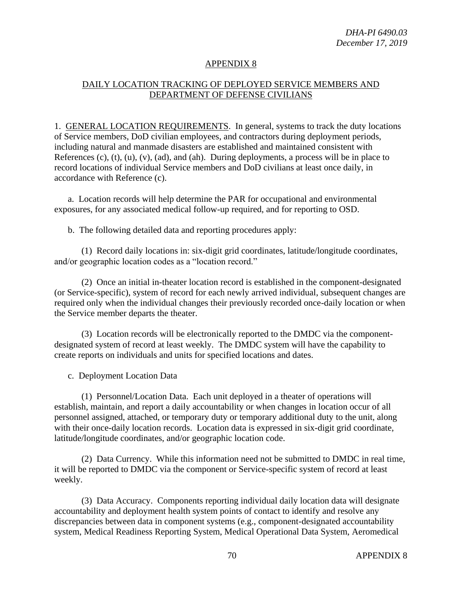# DAILY LOCATION TRACKING OF DEPLOYED SERVICE MEMBERS AND DEPARTMENT OF DEFENSE CIVILIANS

1. GENERAL LOCATION REQUIREMENTS. In general, systems to track the duty locations of Service members, DoD civilian employees, and contractors during deployment periods, including natural and manmade disasters are established and maintained consistent with References  $(c)$ ,  $(t)$ ,  $(u)$ ,  $(v)$ ,  $(ad)$ , and  $(ah)$ . During deployments, a process will be in place to record locations of individual Service members and DoD civilians at least once daily, in accordance with Reference (c).

a. Location records will help determine the PAR for occupational and environmental exposures, for any associated medical follow-up required, and for reporting to OSD.

b. The following detailed data and reporting procedures apply:

(1) Record daily locations in: six-digit grid coordinates, latitude/longitude coordinates, and/or geographic location codes as a "location record."

(2) Once an initial in-theater location record is established in the component-designated (or Service-specific), system of record for each newly arrived individual, subsequent changes are required only when the individual changes their previously recorded once-daily location or when the Service member departs the theater.

(3) Location records will be electronically reported to the DMDC via the componentdesignated system of record at least weekly. The DMDC system will have the capability to create reports on individuals and units for specified locations and dates.

c. Deployment Location Data

(1) Personnel/Location Data. Each unit deployed in a theater of operations will establish, maintain, and report a daily accountability or when changes in location occur of all personnel assigned, attached, or temporary duty or temporary additional duty to the unit, along with their once-daily location records. Location data is expressed in six-digit grid coordinate, latitude/longitude coordinates, and/or geographic location code.

(2) Data Currency. While this information need not be submitted to DMDC in real time, it will be reported to DMDC via the component or Service-specific system of record at least weekly.

(3) Data Accuracy. Components reporting individual daily location data will designate accountability and deployment health system points of contact to identify and resolve any discrepancies between data in component systems (e.g., component-designated accountability system, Medical Readiness Reporting System, Medical Operational Data System, Aeromedical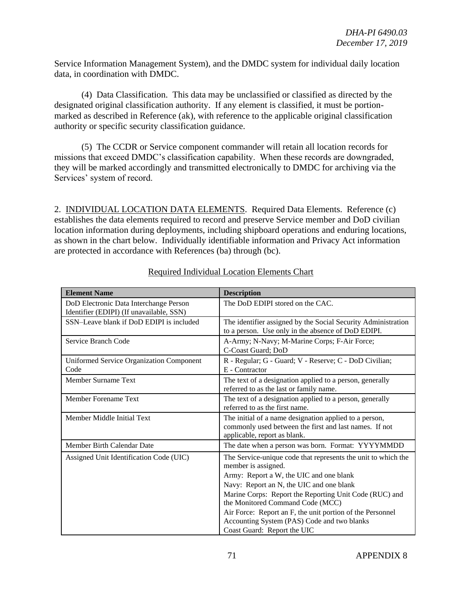Service Information Management System), and the DMDC system for individual daily location data, in coordination with DMDC.

(4) Data Classification. This data may be unclassified or classified as directed by the designated original classification authority. If any element is classified, it must be portionmarked as described in Reference (ak), with reference to the applicable original classification authority or specific security classification guidance.

(5) The CCDR or Service component commander will retain all location records for missions that exceed DMDC's classification capability. When these records are downgraded, they will be marked accordingly and transmitted electronically to DMDC for archiving via the Services' system of record.

2. INDIVIDUAL LOCATION DATA ELEMENTS. Required Data Elements. Reference (c) establishes the data elements required to record and preserve Service member and DoD civilian location information during deployments, including shipboard operations and enduring locations, as shown in the chart below. Individually identifiable information and Privacy Act information are protected in accordance with References (ba) through (bc).

| <b>Element Name</b>                                                                | <b>Description</b>                                                                                                                               |
|------------------------------------------------------------------------------------|--------------------------------------------------------------------------------------------------------------------------------------------------|
| DoD Electronic Data Interchange Person<br>Identifier (EDIPI) (If unavailable, SSN) | The DoD EDIPI stored on the CAC.                                                                                                                 |
| SSN-Leave blank if DoD EDIPI is included                                           | The identifier assigned by the Social Security Administration<br>to a person. Use only in the absence of DoD EDIPI.                              |
| Service Branch Code                                                                | A-Army; N-Navy; M-Marine Corps; F-Air Force;<br>C-Coast Guard; DoD                                                                               |
| <b>Uniformed Service Organization Component</b><br>Code                            | R - Regular; G - Guard; V - Reserve; C - DoD Civilian;<br>E - Contractor                                                                         |
| Member Surname Text                                                                | The text of a designation applied to a person, generally<br>referred to as the last or family name.                                              |
| Member Forename Text                                                               | The text of a designation applied to a person, generally<br>referred to as the first name.                                                       |
| Member Middle Initial Text                                                         | The initial of a name designation applied to a person,<br>commonly used between the first and last names. If not<br>applicable, report as blank. |
| Member Birth Calendar Date                                                         | The date when a person was born. Format: YYYYMMDD                                                                                                |
| Assigned Unit Identification Code (UIC)                                            | The Service-unique code that represents the unit to which the<br>member is assigned.                                                             |
|                                                                                    | Army: Report a W, the UIC and one blank                                                                                                          |
|                                                                                    | Navy: Report an N, the UIC and one blank                                                                                                         |
|                                                                                    | Marine Corps: Report the Reporting Unit Code (RUC) and<br>the Monitored Command Code (MCC)                                                       |
|                                                                                    | Air Force: Report an F, the unit portion of the Personnel                                                                                        |
|                                                                                    | Accounting System (PAS) Code and two blanks                                                                                                      |
|                                                                                    | Coast Guard: Report the UIC                                                                                                                      |

# Required Individual Location Elements Chart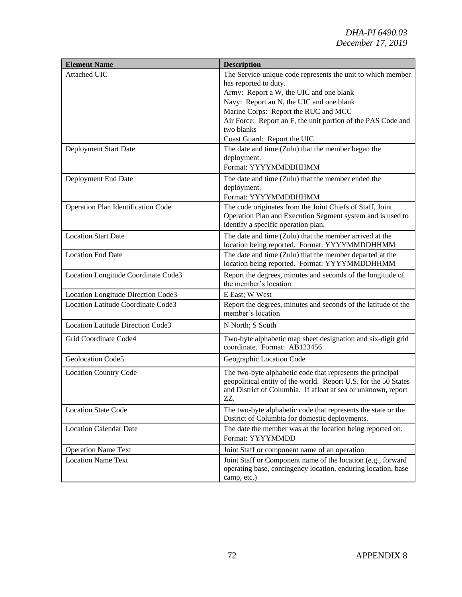| <b>Element Name</b>                 | <b>Description</b>                                                                                                                                                                                                                                                                                                               |
|-------------------------------------|----------------------------------------------------------------------------------------------------------------------------------------------------------------------------------------------------------------------------------------------------------------------------------------------------------------------------------|
| Attached UIC                        | The Service-unique code represents the unit to which member<br>has reported to duty.<br>Army: Report a W, the UIC and one blank<br>Navy: Report an N, the UIC and one blank<br>Marine Corps: Report the RUC and MCC<br>Air Force: Report an F, the unit portion of the PAS Code and<br>two blanks<br>Coast Guard: Report the UIC |
| Deployment Start Date               | The date and time (Zulu) that the member began the<br>deployment.<br>Format: YYYYMMDDHHMM                                                                                                                                                                                                                                        |
| Deployment End Date                 | The date and time (Zulu) that the member ended the<br>deployment.<br>Format: YYYYMMDDHHMM                                                                                                                                                                                                                                        |
| Operation Plan Identification Code  | The code originates from the Joint Chiefs of Staff, Joint<br>Operation Plan and Execution Segment system and is used to<br>identify a specific operation plan.                                                                                                                                                                   |
| <b>Location Start Date</b>          | The date and time (Zulu) that the member arrived at the<br>location being reported. Format: YYYYMMDDHHMM                                                                                                                                                                                                                         |
| <b>Location End Date</b>            | The date and time (Zulu) that the member departed at the<br>location being reported. Format: YYYYMMDDHHMM                                                                                                                                                                                                                        |
| Location Longitude Coordinate Code3 | Report the degrees, minutes and seconds of the longitude of<br>the member's location                                                                                                                                                                                                                                             |
| Location Longitude Direction Code3  | E East; W West                                                                                                                                                                                                                                                                                                                   |
| Location Latitude Coordinate Code3  | Report the degrees, minutes and seconds of the latitude of the<br>member's location                                                                                                                                                                                                                                              |
| Location Latitude Direction Code3   | N North; S South                                                                                                                                                                                                                                                                                                                 |
| Grid Coordinate Code4               | Two-byte alphabetic map sheet designation and six-digit grid<br>coordinate. Format: AB123456                                                                                                                                                                                                                                     |
| Geolocation Code5                   | Geographic Location Code                                                                                                                                                                                                                                                                                                         |
| <b>Location Country Code</b>        | The two-byte alphabetic code that represents the principal<br>geopolitical entity of the world. Report U.S. for the 50 States<br>and District of Columbia. If afloat at sea or unknown, report<br>ZZ.                                                                                                                            |
| <b>Location State Code</b>          | The two-byte alphabetic code that represents the state or the<br>District of Columbia for domestic deployments.                                                                                                                                                                                                                  |
| <b>Location Calendar Date</b>       | The date the member was at the location being reported on.<br>Format: YYYYMMDD                                                                                                                                                                                                                                                   |
| <b>Operation Name Text</b>          | Joint Staff or component name of an operation                                                                                                                                                                                                                                                                                    |
| <b>Location Name Text</b>           | Joint Staff or Component name of the location (e.g., forward<br>operating base, contingency location, enduring location, base<br>camp, etc.)                                                                                                                                                                                     |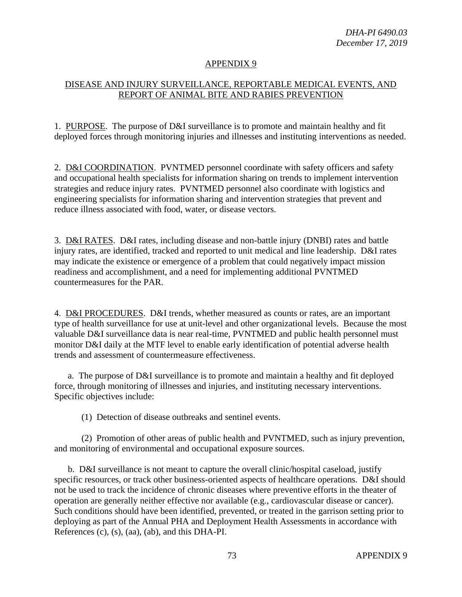## APPENDIX 9

## DISEASE AND INJURY SURVEILLANCE, REPORTABLE MEDICAL EVENTS, AND REPORT OF ANIMAL BITE AND RABIES PREVENTION

1. PURPOSE. The purpose of D&I surveillance is to promote and maintain healthy and fit deployed forces through monitoring injuries and illnesses and instituting interventions as needed.

2. D&I COORDINATION. PVNTMED personnel coordinate with safety officers and safety and occupational health specialists for information sharing on trends to implement intervention strategies and reduce injury rates. PVNTMED personnel also coordinate with logistics and engineering specialists for information sharing and intervention strategies that prevent and reduce illness associated with food, water, or disease vectors.

3. D&I RATES. D&I rates, including disease and non-battle injury (DNBI) rates and battle injury rates, are identified, tracked and reported to unit medical and line leadership. D&I rates may indicate the existence or emergence of a problem that could negatively impact mission readiness and accomplishment, and a need for implementing additional PVNTMED countermeasures for the PAR.

4. D&I PROCEDURES. D&I trends, whether measured as counts or rates, are an important type of health surveillance for use at unit-level and other organizational levels. Because the most valuable D&I surveillance data is near real-time, PVNTMED and public health personnel must monitor D&I daily at the MTF level to enable early identification of potential adverse health trends and assessment of countermeasure effectiveness.

a. The purpose of D&I surveillance is to promote and maintain a healthy and fit deployed force, through monitoring of illnesses and injuries, and instituting necessary interventions. Specific objectives include:

(1) Detection of disease outbreaks and sentinel events.

(2) Promotion of other areas of public health and PVNTMED, such as injury prevention, and monitoring of environmental and occupational exposure sources.

b. D&I surveillance is not meant to capture the overall clinic/hospital caseload, justify specific resources, or track other business-oriented aspects of healthcare operations. D&I should not be used to track the incidence of chronic diseases where preventive efforts in the theater of operation are generally neither effective nor available (e.g., cardiovascular disease or cancer). Such conditions should have been identified, prevented, or treated in the garrison setting prior to deploying as part of the Annual PHA and Deployment Health Assessments in accordance with References (c), (s), (aa), (ab), and this DHA-PI.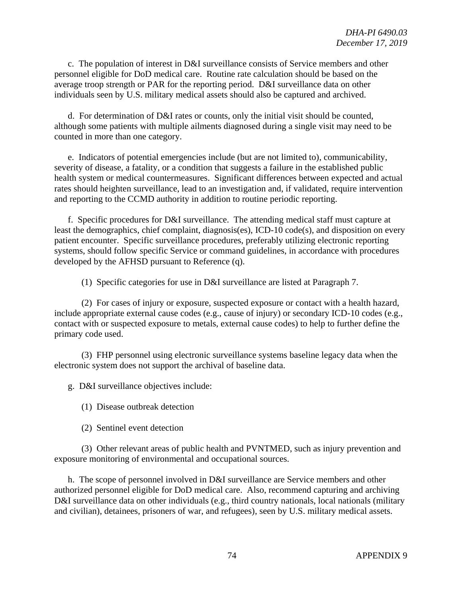c. The population of interest in D&I surveillance consists of Service members and other personnel eligible for DoD medical care. Routine rate calculation should be based on the average troop strength or PAR for the reporting period. D&I surveillance data on other individuals seen by U.S. military medical assets should also be captured and archived.

d. For determination of D&I rates or counts, only the initial visit should be counted, although some patients with multiple ailments diagnosed during a single visit may need to be counted in more than one category.

e. Indicators of potential emergencies include (but are not limited to), communicability, severity of disease, a fatality, or a condition that suggests a failure in the established public health system or medical countermeasures. Significant differences between expected and actual rates should heighten surveillance, lead to an investigation and, if validated, require intervention and reporting to the CCMD authority in addition to routine periodic reporting.

f. Specific procedures for D&I surveillance. The attending medical staff must capture at least the demographics, chief complaint, diagnosis(es), ICD-10 code(s), and disposition on every patient encounter. Specific surveillance procedures, preferably utilizing electronic reporting systems, should follow specific Service or command guidelines, in accordance with procedures developed by the AFHSD pursuant to Reference (q).

(1) Specific categories for use in D&I surveillance are listed at Paragraph 7.

(2) For cases of injury or exposure, suspected exposure or contact with a health hazard, include appropriate external cause codes (e.g., cause of injury) or secondary ICD-10 codes (e.g., contact with or suspected exposure to metals, external cause codes) to help to further define the primary code used.

(3) FHP personnel using electronic surveillance systems baseline legacy data when the electronic system does not support the archival of baseline data.

g. D&I surveillance objectives include:

- (1) Disease outbreak detection
- (2) Sentinel event detection

(3) Other relevant areas of public health and PVNTMED, such as injury prevention and exposure monitoring of environmental and occupational sources.

h. The scope of personnel involved in D&I surveillance are Service members and other authorized personnel eligible for DoD medical care. Also, recommend capturing and archiving D&I surveillance data on other individuals (e.g., third country nationals, local nationals (military and civilian), detainees, prisoners of war, and refugees), seen by U.S. military medical assets.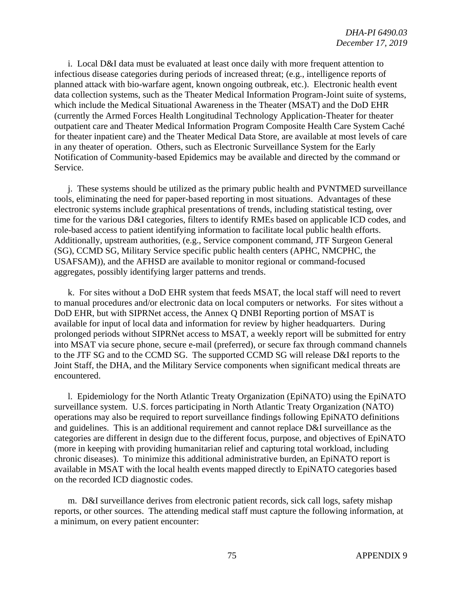i. Local D&I data must be evaluated at least once daily with more frequent attention to infectious disease categories during periods of increased threat; (e.g., intelligence reports of planned attack with bio-warfare agent, known ongoing outbreak, etc.). Electronic health event data collection systems, such as the Theater Medical Information Program-Joint suite of systems, which include the Medical Situational Awareness in the Theater (MSAT) and the DoD EHR (currently the Armed Forces Health Longitudinal Technology Application-Theater for theater outpatient care and Theater Medical Information Program Composite Health Care System Caché for theater inpatient care) and the Theater Medical Data Store, are available at most levels of care in any theater of operation. Others, such as Electronic Surveillance System for the Early Notification of Community-based Epidemics may be available and directed by the command or Service.

j. These systems should be utilized as the primary public health and PVNTMED surveillance tools, eliminating the need for paper-based reporting in most situations. Advantages of these electronic systems include graphical presentations of trends, including statistical testing, over time for the various D&I categories, filters to identify RMEs based on applicable ICD codes, and role-based access to patient identifying information to facilitate local public health efforts. Additionally, upstream authorities, (e.g., Service component command, JTF Surgeon General (SG), CCMD SG, Military Service specific public health centers (APHC, NMCPHC, the USAFSAM)), and the AFHSD are available to monitor regional or command-focused aggregates, possibly identifying larger patterns and trends.

k. For sites without a DoD EHR system that feeds MSAT, the local staff will need to revert to manual procedures and/or electronic data on local computers or networks. For sites without a DoD EHR, but with SIPRNet access, the Annex Q DNBI Reporting portion of MSAT is available for input of local data and information for review by higher headquarters. During prolonged periods without SIPRNet access to MSAT, a weekly report will be submitted for entry into MSAT via secure phone, secure e-mail (preferred), or secure fax through command channels to the JTF SG and to the CCMD SG. The supported CCMD SG will release D&I reports to the Joint Staff, the DHA, and the Military Service components when significant medical threats are encountered.

l. Epidemiology for the North Atlantic Treaty Organization (EpiNATO) using the EpiNATO surveillance system. U.S. forces participating in North Atlantic Treaty Organization (NATO) operations may also be required to report surveillance findings following EpiNATO definitions and guidelines. This is an additional requirement and cannot replace D&I surveillance as the categories are different in design due to the different focus, purpose, and objectives of EpiNATO (more in keeping with providing humanitarian relief and capturing total workload, including chronic diseases). To minimize this additional administrative burden, an EpiNATO report is available in MSAT with the local health events mapped directly to EpiNATO categories based on the recorded ICD diagnostic codes.

m. D&I surveillance derives from electronic patient records, sick call logs, safety mishap reports, or other sources. The attending medical staff must capture the following information, at a minimum, on every patient encounter: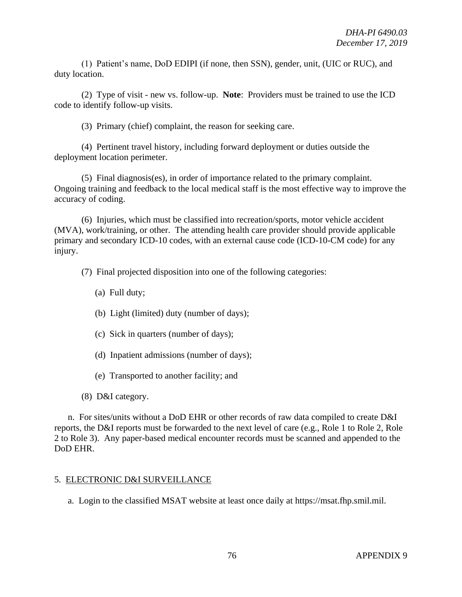(1) Patient's name, DoD EDIPI (if none, then SSN), gender, unit, (UIC or RUC), and duty location.

(2) Type of visit - new vs. follow-up. **Note**: Providers must be trained to use the ICD code to identify follow-up visits.

(3) Primary (chief) complaint, the reason for seeking care.

(4) Pertinent travel history, including forward deployment or duties outside the deployment location perimeter.

(5) Final diagnosis(es), in order of importance related to the primary complaint. Ongoing training and feedback to the local medical staff is the most effective way to improve the accuracy of coding.

(6) Injuries, which must be classified into recreation/sports, motor vehicle accident (MVA), work/training, or other. The attending health care provider should provide applicable primary and secondary ICD-10 codes, with an external cause code (ICD-10-CM code) for any injury.

(7) Final projected disposition into one of the following categories:

- (a) Full duty;
- (b) Light (limited) duty (number of days);
- (c) Sick in quarters (number of days);
- (d) Inpatient admissions (number of days);
- (e) Transported to another facility; and
- (8) D&I category.

n. For sites/units without a DoD EHR or other records of raw data compiled to create D&I reports, the D&I reports must be forwarded to the next level of care (e.g., Role 1 to Role 2, Role 2 to Role 3). Any paper-based medical encounter records must be scanned and appended to the DoD EHR.

## 5. ELECTRONIC D&I SURVEILLANCE

a. Login to the classified MSAT website at least once daily at https://msat.fhp.smil.mil.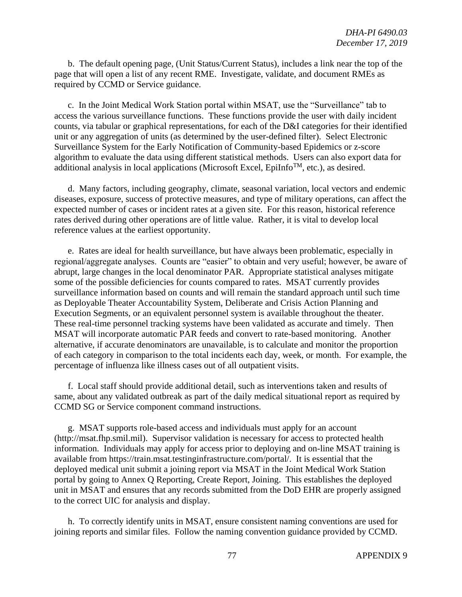b. The default opening page, (Unit Status/Current Status), includes a link near the top of the page that will open a list of any recent RME. Investigate, validate, and document RMEs as required by CCMD or Service guidance.

c. In the Joint Medical Work Station portal within MSAT, use the "Surveillance" tab to access the various surveillance functions. These functions provide the user with daily incident counts, via tabular or graphical representations, for each of the D&I categories for their identified unit or any aggregation of units (as determined by the user-defined filter). Select Electronic Surveillance System for the Early Notification of Community-based Epidemics or z-score algorithm to evaluate the data using different statistical methods. Users can also export data for additional analysis in local applications (Microsoft Excel, EpiInfo<sup>TM</sup>, etc.), as desired.

d. Many factors, including geography, climate, seasonal variation, local vectors and endemic diseases, exposure, success of protective measures, and type of military operations, can affect the expected number of cases or incident rates at a given site. For this reason, historical reference rates derived during other operations are of little value. Rather, it is vital to develop local reference values at the earliest opportunity.

e. Rates are ideal for health surveillance, but have always been problematic, especially in regional/aggregate analyses. Counts are "easier" to obtain and very useful; however, be aware of abrupt, large changes in the local denominator PAR. Appropriate statistical analyses mitigate some of the possible deficiencies for counts compared to rates. MSAT currently provides surveillance information based on counts and will remain the standard approach until such time as Deployable Theater Accountability System, Deliberate and Crisis Action Planning and Execution Segments, or an equivalent personnel system is available throughout the theater. These real-time personnel tracking systems have been validated as accurate and timely. Then MSAT will incorporate automatic PAR feeds and convert to rate-based monitoring. Another alternative, if accurate denominators are unavailable, is to calculate and monitor the proportion of each category in comparison to the total incidents each day, week, or month. For example, the percentage of influenza like illness cases out of all outpatient visits.

f. Local staff should provide additional detail, such as interventions taken and results of same, about any validated outbreak as part of the daily medical situational report as required by CCMD SG or Service component command instructions.

g. MSAT supports role-based access and individuals must apply for an account (http://msat.fhp.smil.mil). Supervisor validation is necessary for access to protected health information. Individuals may apply for access prior to deploying and on-line MSAT training is available from https://train.msat.testinginfrastructure.com/portal/. It is essential that the deployed medical unit submit a joining report via MSAT in the Joint Medical Work Station portal by going to Annex Q Reporting, Create Report, Joining. This establishes the deployed unit in MSAT and ensures that any records submitted from the DoD EHR are properly assigned to the correct UIC for analysis and display.

h. To correctly identify units in MSAT, ensure consistent naming conventions are used for joining reports and similar files. Follow the naming convention guidance provided by CCMD.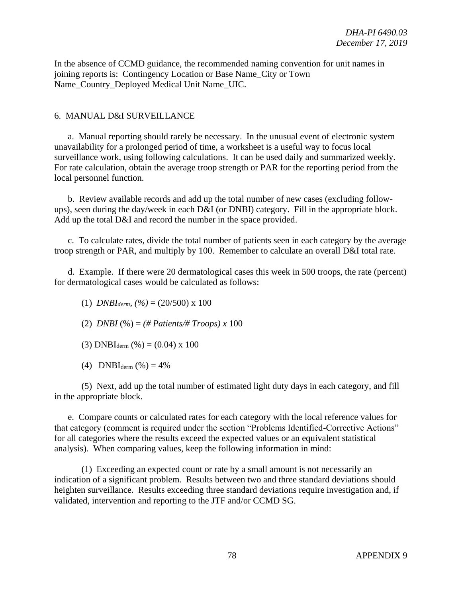In the absence of CCMD guidance, the recommended naming convention for unit names in joining reports is: Contingency Location or Base Name\_City or Town Name\_Country\_Deployed Medical Unit Name\_UIC.

## 6. MANUAL D&I SURVEILLANCE

a. Manual reporting should rarely be necessary. In the unusual event of electronic system unavailability for a prolonged period of time, a worksheet is a useful way to focus local surveillance work, using following calculations. It can be used daily and summarized weekly. For rate calculation, obtain the average troop strength or PAR for the reporting period from the local personnel function.

b. Review available records and add up the total number of new cases (excluding followups), seen during the day/week in each D&I (or DNBI) category. Fill in the appropriate block. Add up the total D&I and record the number in the space provided.

c. To calculate rates, divide the total number of patients seen in each category by the average troop strength or PAR, and multiply by 100. Remember to calculate an overall D&I total rate.

d. Example. If there were 20 dermatological cases this week in 500 troops, the rate (percent) for dermatological cases would be calculated as follows:

- (1) *DNBI*<sub>derm</sub>,  $(\% ) = (20/500) \times 100$
- (2) *DNBI* (%) = *(# Patients/# Troops) x* 100
- (3)  $DNBI_{\text{derm}} (\% ) = (0.04) \times 100$
- (4)  $DNBI_{\text{derm}} (\% ) = 4\%$

(5) Next, add up the total number of estimated light duty days in each category, and fill in the appropriate block.

e. Compare counts or calculated rates for each category with the local reference values for that category (comment is required under the section "Problems Identified-Corrective Actions" for all categories where the results exceed the expected values or an equivalent statistical analysis). When comparing values, keep the following information in mind:

(1) Exceeding an expected count or rate by a small amount is not necessarily an indication of a significant problem. Results between two and three standard deviations should heighten surveillance. Results exceeding three standard deviations require investigation and, if validated, intervention and reporting to the JTF and/or CCMD SG.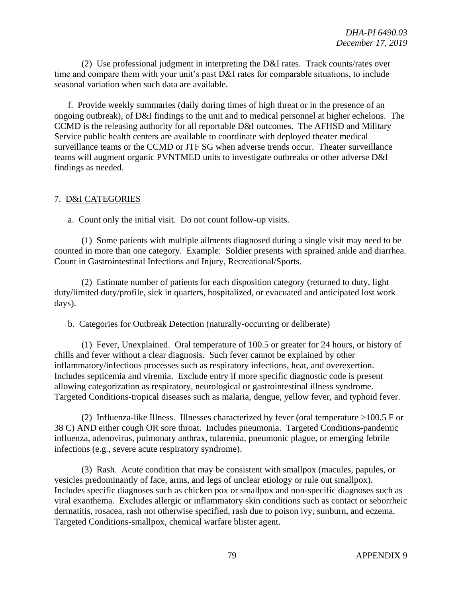(2) Use professional judgment in interpreting the D&I rates. Track counts/rates over time and compare them with your unit's past D&I rates for comparable situations, to include seasonal variation when such data are available.

f. Provide weekly summaries (daily during times of high threat or in the presence of an ongoing outbreak), of D&I findings to the unit and to medical personnel at higher echelons. The CCMD is the releasing authority for all reportable D&I outcomes. The AFHSD and Military Service public health centers are available to coordinate with deployed theater medical surveillance teams or the CCMD or JTF SG when adverse trends occur. Theater surveillance teams will augment organic PVNTMED units to investigate outbreaks or other adverse D&I findings as needed.

### 7. D&I CATEGORIES

a. Count only the initial visit. Do not count follow-up visits.

(1) Some patients with multiple ailments diagnosed during a single visit may need to be counted in more than one category. Example: Soldier presents with sprained ankle and diarrhea. Count in Gastrointestinal Infections and Injury, Recreational/Sports.

(2) Estimate number of patients for each disposition category (returned to duty, light duty/limited duty/profile, sick in quarters, hospitalized, or evacuated and anticipated lost work days).

b. Categories for Outbreak Detection (naturally-occurring or deliberate)

(1) Fever, Unexplained. Oral temperature of 100.5 or greater for 24 hours, or history of chills and fever without a clear diagnosis. Such fever cannot be explained by other inflammatory/infectious processes such as respiratory infections, heat, and overexertion. Includes septicemia and viremia. Exclude entry if more specific diagnostic code is present allowing categorization as respiratory, neurological or gastrointestinal illness syndrome. Targeted Conditions-tropical diseases such as malaria, dengue, yellow fever, and typhoid fever.

(2) Influenza-like Illness. Illnesses characterized by fever (oral temperature >100.5 F or 38 C) AND either cough OR sore throat. Includes pneumonia. Targeted Conditions-pandemic influenza, adenovirus, pulmonary anthrax, tularemia, pneumonic plague, or emerging febrile infections (e.g., severe acute respiratory syndrome).

(3) Rash. Acute condition that may be consistent with smallpox (macules, papules, or vesicles predominantly of face, arms, and legs of unclear etiology or rule out smallpox). Includes specific diagnoses such as chicken pox or smallpox and non-specific diagnoses such as viral exanthema. Excludes allergic or inflammatory skin conditions such as contact or seborrheic dermatitis, rosacea, rash not otherwise specified, rash due to poison ivy, sunburn, and eczema. Targeted Conditions-smallpox, chemical warfare blister agent.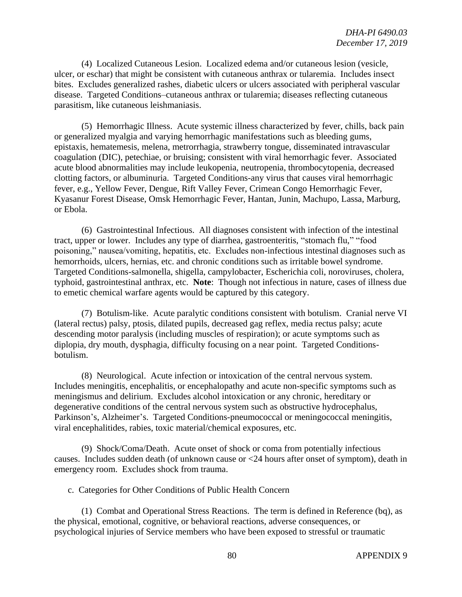(4) Localized Cutaneous Lesion. Localized edema and/or cutaneous lesion (vesicle, ulcer, or eschar) that might be consistent with cutaneous anthrax or tularemia. Includes insect bites. Excludes generalized rashes, diabetic ulcers or ulcers associated with peripheral vascular disease. Targeted Conditions–cutaneous anthrax or tularemia; diseases reflecting cutaneous parasitism, like cutaneous leishmaniasis.

(5) Hemorrhagic Illness. Acute systemic illness characterized by fever, chills, back pain or generalized myalgia and varying hemorrhagic manifestations such as bleeding gums, epistaxis, hematemesis, melena, metrorrhagia, strawberry tongue, disseminated intravascular coagulation (DIC), petechiae, or bruising; consistent with viral hemorrhagic fever. Associated acute blood abnormalities may include leukopenia, neutropenia, thrombocytopenia, decreased clotting factors, or albuminuria. Targeted Conditions-any virus that causes viral hemorrhagic fever, e.g., Yellow Fever, Dengue, Rift Valley Fever, Crimean Congo Hemorrhagic Fever, Kyasanur Forest Disease, Omsk Hemorrhagic Fever, Hantan, Junin, Machupo, Lassa, Marburg, or Ebola.

(6) Gastrointestinal Infectious. All diagnoses consistent with infection of the intestinal tract, upper or lower. Includes any type of diarrhea, gastroenteritis, "stomach flu," "food poisoning," nausea/vomiting, hepatitis, etc. Excludes non-infectious intestinal diagnoses such as hemorrhoids, ulcers, hernias, etc. and chronic conditions such as irritable bowel syndrome. Targeted Conditions-salmonella, shigella, campylobacter, Escherichia coli, noroviruses, cholera, typhoid, gastrointestinal anthrax, etc. **Note**: Though not infectious in nature, cases of illness due to emetic chemical warfare agents would be captured by this category.

(7) Botulism-like. Acute paralytic conditions consistent with botulism. Cranial nerve VI (lateral rectus) palsy, ptosis, dilated pupils, decreased gag reflex, media rectus palsy; acute descending motor paralysis (including muscles of respiration); or acute symptoms such as diplopia, dry mouth, dysphagia, difficulty focusing on a near point. Targeted Conditionsbotulism.

(8) Neurological. Acute infection or intoxication of the central nervous system. Includes meningitis, encephalitis, or encephalopathy and acute non-specific symptoms such as meningismus and delirium. Excludes alcohol intoxication or any chronic, hereditary or degenerative conditions of the central nervous system such as obstructive hydrocephalus, Parkinson's, Alzheimer's. Targeted Conditions-pneumococcal or meningococcal meningitis, viral encephalitides, rabies, toxic material/chemical exposures, etc.

(9) Shock/Coma/Death. Acute onset of shock or coma from potentially infectious causes. Includes sudden death (of unknown cause or <24 hours after onset of symptom), death in emergency room. Excludes shock from trauma.

c. Categories for Other Conditions of Public Health Concern

(1) Combat and Operational Stress Reactions. The term is defined in Reference (bq), as the physical, emotional, cognitive, or behavioral reactions, adverse consequences, or psychological injuries of Service members who have been exposed to stressful or traumatic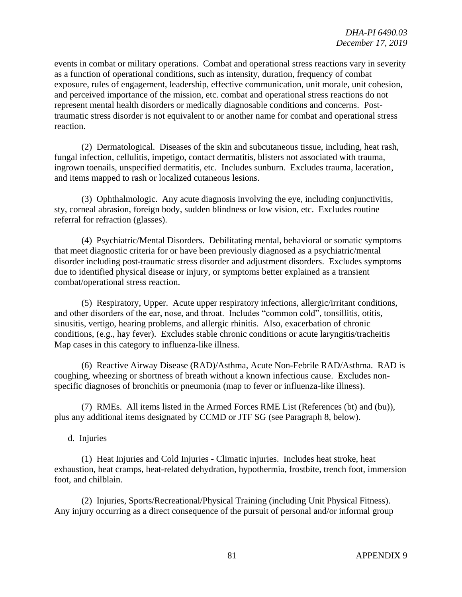events in combat or military operations. Combat and operational stress reactions vary in severity as a function of operational conditions, such as intensity, duration, frequency of combat exposure, rules of engagement, leadership, effective communication, unit morale, unit cohesion, and perceived importance of the mission, etc. combat and operational stress reactions do not represent mental health disorders or medically diagnosable conditions and concerns. Posttraumatic stress disorder is not equivalent to or another name for combat and operational stress reaction.

(2) Dermatological. Diseases of the skin and subcutaneous tissue, including, heat rash, fungal infection, cellulitis, impetigo, contact dermatitis, blisters not associated with trauma, ingrown toenails, unspecified dermatitis, etc. Includes sunburn. Excludes trauma, laceration, and items mapped to rash or localized cutaneous lesions.

(3) Ophthalmologic. Any acute diagnosis involving the eye, including conjunctivitis, sty, corneal abrasion, foreign body, sudden blindness or low vision, etc. Excludes routine referral for refraction (glasses).

(4) Psychiatric/Mental Disorders. Debilitating mental, behavioral or somatic symptoms that meet diagnostic criteria for or have been previously diagnosed as a psychiatric/mental disorder including post-traumatic stress disorder and adjustment disorders. Excludes symptoms due to identified physical disease or injury, or symptoms better explained as a transient combat/operational stress reaction.

(5) Respiratory, Upper. Acute upper respiratory infections, allergic/irritant conditions, and other disorders of the ear, nose, and throat. Includes "common cold", tonsillitis, otitis, sinusitis, vertigo, hearing problems, and allergic rhinitis. Also, exacerbation of chronic conditions, (e.g., hay fever). Excludes stable chronic conditions or acute laryngitis/tracheitis Map cases in this category to influenza-like illness.

(6) Reactive Airway Disease (RAD)/Asthma, Acute Non-Febrile RAD/Asthma. RAD is coughing, wheezing or shortness of breath without a known infectious cause. Excludes nonspecific diagnoses of bronchitis or pneumonia (map to fever or influenza-like illness).

(7) RMEs. All items listed in the Armed Forces RME List (References (bt) and (bu)), plus any additional items designated by CCMD or JTF SG (see Paragraph 8, below).

d. Injuries

(1) Heat Injuries and Cold Injuries - Climatic injuries. Includes heat stroke, heat exhaustion, heat cramps, heat-related dehydration, hypothermia, frostbite, trench foot, immersion foot, and chilblain.

(2) Injuries, Sports/Recreational/Physical Training (including Unit Physical Fitness). Any injury occurring as a direct consequence of the pursuit of personal and/or informal group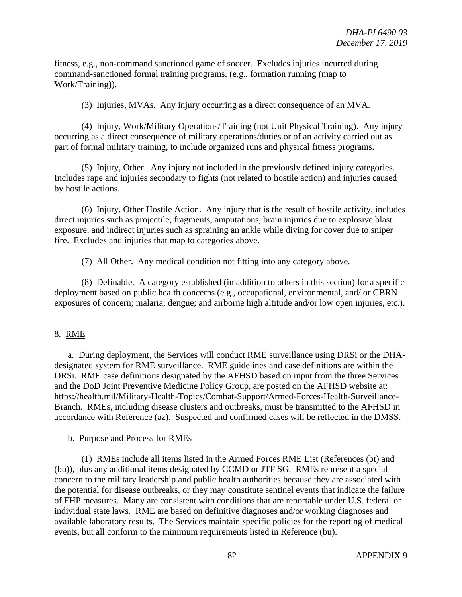fitness, e.g., non-command sanctioned game of soccer. Excludes injuries incurred during command-sanctioned formal training programs, (e.g., formation running (map to Work/Training)).

(3) Injuries, MVAs. Any injury occurring as a direct consequence of an MVA.

(4) Injury, Work/Military Operations/Training (not Unit Physical Training). Any injury occurring as a direct consequence of military operations/duties or of an activity carried out as part of formal military training, to include organized runs and physical fitness programs.

(5) Injury, Other. Any injury not included in the previously defined injury categories. Includes rape and injuries secondary to fights (not related to hostile action) and injuries caused by hostile actions.

(6) Injury, Other Hostile Action. Any injury that is the result of hostile activity, includes direct injuries such as projectile, fragments, amputations, brain injuries due to explosive blast exposure, and indirect injuries such as spraining an ankle while diving for cover due to sniper fire. Excludes and injuries that map to categories above.

(7) All Other. Any medical condition not fitting into any category above.

(8) Definable. A category established (in addition to others in this section) for a specific deployment based on public health concerns (e.g., occupational, environmental, and/ or CBRN exposures of concern; malaria; dengue; and airborne high altitude and/or low open injuries, etc.).

## 8. RME

a. During deployment, the Services will conduct RME surveillance using DRSi or the DHAdesignated system for RME surveillance. RME guidelines and case definitions are within the DRSi. RME case definitions designated by the AFHSD based on input from the three Services and the DoD Joint Preventive Medicine Policy Group, are posted on the AFHSD website at: https://health.mil/Military-Health-Topics/Combat-Support/Armed-Forces-Health-Surveillance-Branch. RMEs, including disease clusters and outbreaks, must be transmitted to the AFHSD in accordance with Reference (az). Suspected and confirmed cases will be reflected in the DMSS.

### b. Purpose and Process for RMEs

(1) RMEs include all items listed in the Armed Forces RME List (References (bt) and (bu)), plus any additional items designated by CCMD or JTF SG. RMEs represent a special concern to the military leadership and public health authorities because they are associated with the potential for disease outbreaks, or they may constitute sentinel events that indicate the failure of FHP measures. Many are consistent with conditions that are reportable under U.S. federal or individual state laws. RME are based on definitive diagnoses and/or working diagnoses and available laboratory results. The Services maintain specific policies for the reporting of medical events, but all conform to the minimum requirements listed in Reference (bu).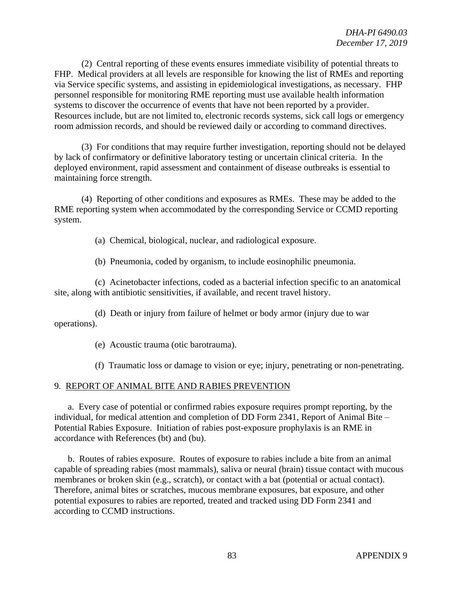(2) Central reporting of these events ensures immediate visibility of potential threats to FHP. Medical providers at all levels are responsible for knowing the list of RMEs and reporting via Service specific systems, and assisting in epidemiological investigations, as necessary. FHP personnel responsible for monitoring RME reporting must use available health information systems to discover the occurrence of events that have not been reported by a provider. Resources include, but are not limited to, electronic records systems, sick call logs or emergency room admission records, and should be reviewed daily or according to command directives.

(3) For conditions that may require further investigation, reporting should not be delayed by lack of confirmatory or definitive laboratory testing or uncertain clinical criteria. In the deployed environment, rapid assessment and containment of disease outbreaks is essential to maintaining force strength.

(4) Reporting of other conditions and exposures as RMEs. These may be added to the RME reporting system when accommodated by the corresponding Service or CCMD reporting system.

(a) Chemical, biological, nuclear, and radiological exposure.

(b) Pneumonia, coded by organism, to include eosinophilic pneumonia.

(c) Acinetobacter infections, coded as a bacterial infection specific to an anatomical site, along with antibiotic sensitivities, if available, and recent travel history.

(d) Death or injury from failure of helmet or body armor (injury due to war operations).

(e) Acoustic trauma (otic barotrauma).

(f) Traumatic loss or damage to vision or eye; injury, penetrating or non-penetrating.

#### 9. REPORT OF ANIMAL BITE AND RABIES PREVENTION

a. Every case of potential or confirmed rabies exposure requires prompt reporting, by the individual, for medical attention and completion of DD Form 2341, Report of Animal Bite – Potential Rabies Exposure. Initiation of rabies post-exposure prophylaxis is an RME in accordance with References (bt) and (bu).

b. Routes of rabies exposure. Routes of exposure to rabies include a bite from an animal capable of spreading rabies (most mammals), saliva or neural (brain) tissue contact with mucous membranes or broken skin (e.g., scratch), or contact with a bat (potential or actual contact). Therefore, animal bites or scratches, mucous membrane exposures, bat exposure, and other potential exposures to rabies are reported, treated and tracked using DD Form 2341 and according to CCMD instructions.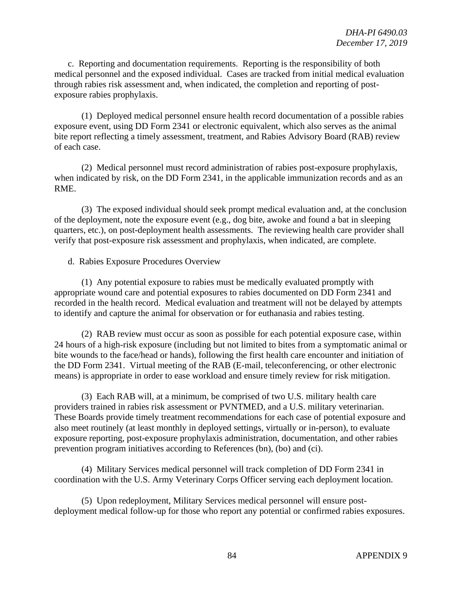c. Reporting and documentation requirements. Reporting is the responsibility of both medical personnel and the exposed individual. Cases are tracked from initial medical evaluation through rabies risk assessment and, when indicated, the completion and reporting of postexposure rabies prophylaxis.

(1) Deployed medical personnel ensure health record documentation of a possible rabies exposure event, using DD Form 2341 or electronic equivalent, which also serves as the animal bite report reflecting a timely assessment, treatment, and Rabies Advisory Board (RAB) review of each case.

(2) Medical personnel must record administration of rabies post-exposure prophylaxis, when indicated by risk, on the DD Form 2341, in the applicable immunization records and as an RME.

(3) The exposed individual should seek prompt medical evaluation and, at the conclusion of the deployment, note the exposure event (e.g., dog bite, awoke and found a bat in sleeping quarters, etc.), on post-deployment health assessments. The reviewing health care provider shall verify that post-exposure risk assessment and prophylaxis, when indicated, are complete.

d. Rabies Exposure Procedures Overview

(1) Any potential exposure to rabies must be medically evaluated promptly with appropriate wound care and potential exposures to rabies documented on DD Form 2341 and recorded in the health record. Medical evaluation and treatment will not be delayed by attempts to identify and capture the animal for observation or for euthanasia and rabies testing.

(2) RAB review must occur as soon as possible for each potential exposure case, within 24 hours of a high-risk exposure (including but not limited to bites from a symptomatic animal or bite wounds to the face/head or hands), following the first health care encounter and initiation of the DD Form 2341. Virtual meeting of the RAB (E-mail, teleconferencing, or other electronic means) is appropriate in order to ease workload and ensure timely review for risk mitigation.

(3) Each RAB will, at a minimum, be comprised of two U.S. military health care providers trained in rabies risk assessment or PVNTMED, and a U.S. military veterinarian. These Boards provide timely treatment recommendations for each case of potential exposure and also meet routinely (at least monthly in deployed settings, virtually or in-person), to evaluate exposure reporting, post-exposure prophylaxis administration, documentation, and other rabies prevention program initiatives according to References (bn), (bo) and (ci).

(4) Military Services medical personnel will track completion of DD Form 2341 in coordination with the U.S. Army Veterinary Corps Officer serving each deployment location.

(5) Upon redeployment, Military Services medical personnel will ensure postdeployment medical follow-up for those who report any potential or confirmed rabies exposures.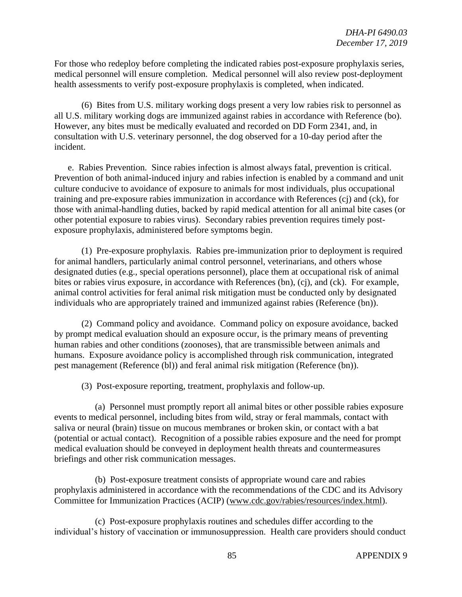For those who redeploy before completing the indicated rabies post-exposure prophylaxis series, medical personnel will ensure completion. Medical personnel will also review post-deployment health assessments to verify post-exposure prophylaxis is completed, when indicated.

(6) Bites from U.S. military working dogs present a very low rabies risk to personnel as all U.S. military working dogs are immunized against rabies in accordance with Reference (bo). However, any bites must be medically evaluated and recorded on DD Form 2341, and, in consultation with U.S. veterinary personnel, the dog observed for a 10-day period after the incident.

e. Rabies Prevention. Since rabies infection is almost always fatal, prevention is critical. Prevention of both animal-induced injury and rabies infection is enabled by a command and unit culture conducive to avoidance of exposure to animals for most individuals, plus occupational training and pre-exposure rabies immunization in accordance with References (cj) and (ck), for those with animal-handling duties, backed by rapid medical attention for all animal bite cases (or other potential exposure to rabies virus). Secondary rabies prevention requires timely postexposure prophylaxis, administered before symptoms begin.

(1) Pre-exposure prophylaxis. Rabies pre-immunization prior to deployment is required for animal handlers, particularly animal control personnel, veterinarians, and others whose designated duties (e.g., special operations personnel), place them at occupational risk of animal bites or rabies virus exposure, in accordance with References (bn), (cj), and (ck). For example, animal control activities for feral animal risk mitigation must be conducted only by designated individuals who are appropriately trained and immunized against rabies (Reference (bn)).

(2) Command policy and avoidance. Command policy on exposure avoidance, backed by prompt medical evaluation should an exposure occur, is the primary means of preventing human rabies and other conditions (zoonoses), that are transmissible between animals and humans. Exposure avoidance policy is accomplished through risk communication, integrated pest management (Reference (bl)) and feral animal risk mitigation (Reference (bn)).

(3) Post-exposure reporting, treatment, prophylaxis and follow-up.

(a) Personnel must promptly report all animal bites or other possible rabies exposure events to medical personnel, including bites from wild, stray or feral mammals, contact with saliva or neural (brain) tissue on mucous membranes or broken skin, or contact with a bat (potential or actual contact). Recognition of a possible rabies exposure and the need for prompt medical evaluation should be conveyed in deployment health threats and countermeasures briefings and other risk communication messages.

(b) Post-exposure treatment consists of appropriate wound care and rabies prophylaxis administered in accordance with the recommendations of the CDC and its Advisory Committee for Immunization Practices (ACIP) [\(www.cdc.gov/rabies/resources/index.html\)](http://www.cdc.gov/rabies/resources/index.html).

(c) Post-exposure prophylaxis routines and schedules differ according to the individual's history of vaccination or immunosuppression. Health care providers should conduct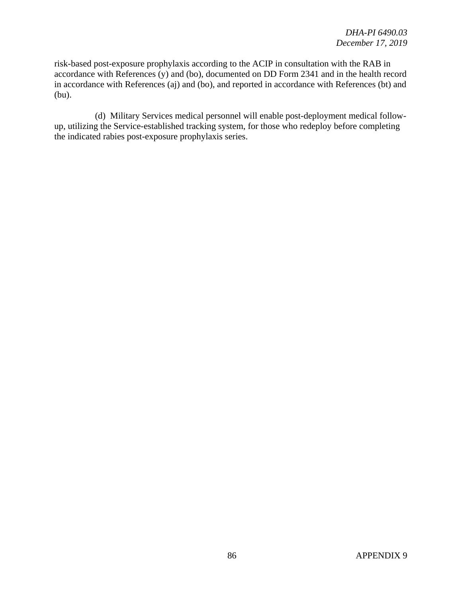risk-based post-exposure prophylaxis according to the ACIP in consultation with the RAB in accordance with References (y) and (bo), documented on DD Form 2341 and in the health record in accordance with References (aj) and (bo), and reported in accordance with References (bt) and (bu).

(d) Military Services medical personnel will enable post-deployment medical followup, utilizing the Service-established tracking system, for those who redeploy before completing the indicated rabies post-exposure prophylaxis series.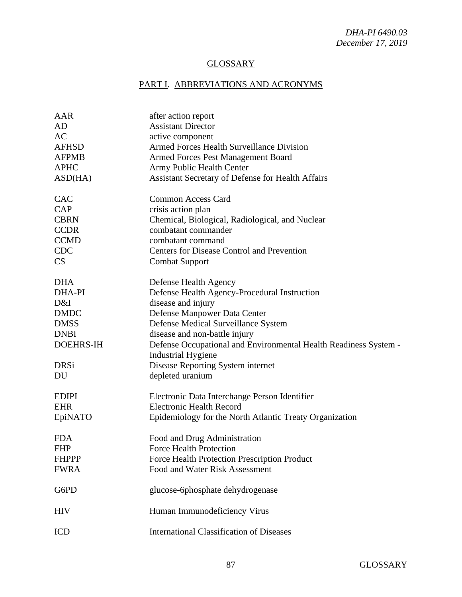## **GLOSSARY**

## PART I. ABBREVIATIONS AND ACRONYMS

| AAR              | after action report                                                                           |
|------------------|-----------------------------------------------------------------------------------------------|
| AD               | <b>Assistant Director</b>                                                                     |
| AC               | active component                                                                              |
| <b>AFHSD</b>     | Armed Forces Health Surveillance Division                                                     |
| <b>AFPMB</b>     | <b>Armed Forces Pest Management Board</b>                                                     |
| <b>APHC</b>      | Army Public Health Center                                                                     |
| ASD(HA)          | Assistant Secretary of Defense for Health Affairs                                             |
| <b>CAC</b>       | <b>Common Access Card</b>                                                                     |
| CAP              | crisis action plan                                                                            |
| <b>CBRN</b>      | Chemical, Biological, Radiological, and Nuclear                                               |
| <b>CCDR</b>      | combatant commander                                                                           |
| <b>CCMD</b>      | combatant command                                                                             |
| <b>CDC</b>       | <b>Centers for Disease Control and Prevention</b>                                             |
| CS               | <b>Combat Support</b>                                                                         |
| <b>DHA</b>       | Defense Health Agency                                                                         |
| DHA-PI           | Defense Health Agency-Procedural Instruction                                                  |
| D&I              | disease and injury                                                                            |
| <b>DMDC</b>      | Defense Manpower Data Center                                                                  |
| <b>DMSS</b>      | Defense Medical Surveillance System                                                           |
| <b>DNBI</b>      | disease and non-battle injury                                                                 |
| <b>DOEHRS-IH</b> | Defense Occupational and Environmental Health Readiness System -<br><b>Industrial Hygiene</b> |
| <b>DRSi</b>      | Disease Reporting System internet                                                             |
| DU               | depleted uranium                                                                              |
| <b>EDIPI</b>     | Electronic Data Interchange Person Identifier                                                 |
| <b>EHR</b>       | <b>Electronic Health Record</b>                                                               |
| EpiNATO          | Epidemiology for the North Atlantic Treaty Organization                                       |
| <b>FDA</b>       | Food and Drug Administration                                                                  |
| <b>FHP</b>       | <b>Force Health Protection</b>                                                                |
| <b>FHPPP</b>     | Force Health Protection Prescription Product                                                  |
| <b>FWRA</b>      | Food and Water Risk Assessment                                                                |
| G6PD             | glucose-6phosphate dehydrogenase                                                              |
| <b>HIV</b>       | Human Immunodeficiency Virus                                                                  |
| ICD              | <b>International Classification of Diseases</b>                                               |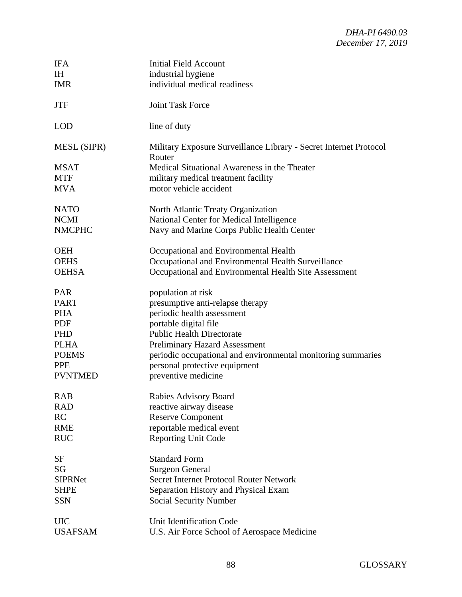| <b>IFA</b>         | <b>Initial Field Account</b>                                                |
|--------------------|-----------------------------------------------------------------------------|
| <b>IH</b>          | industrial hygiene                                                          |
| <b>IMR</b>         | individual medical readiness                                                |
| <b>JTF</b>         | <b>Joint Task Force</b>                                                     |
| <b>LOD</b>         | line of duty                                                                |
| <b>MESL (SIPR)</b> | Military Exposure Surveillance Library - Secret Internet Protocol<br>Router |
| <b>MSAT</b>        | Medical Situational Awareness in the Theater                                |
| <b>MTF</b>         | military medical treatment facility                                         |
| <b>MVA</b>         | motor vehicle accident                                                      |
| <b>NATO</b>        | North Atlantic Treaty Organization                                          |
| <b>NCMI</b>        | National Center for Medical Intelligence                                    |
| <b>NMCPHC</b>      | Navy and Marine Corps Public Health Center                                  |
| <b>OEH</b>         | Occupational and Environmental Health                                       |
| <b>OEHS</b>        | Occupational and Environmental Health Surveillance                          |
| <b>OEHSA</b>       | Occupational and Environmental Health Site Assessment                       |
| <b>PAR</b>         | population at risk                                                          |
| <b>PART</b>        | presumptive anti-relapse therapy                                            |
| <b>PHA</b>         | periodic health assessment                                                  |
| <b>PDF</b>         | portable digital file                                                       |
| <b>PHD</b>         | <b>Public Health Directorate</b>                                            |
| <b>PLHA</b>        | <b>Preliminary Hazard Assessment</b>                                        |
| <b>POEMS</b>       | periodic occupational and environmental monitoring summaries                |
| <b>PPE</b>         | personal protective equipment                                               |
| <b>PVNTMED</b>     | preventive medicine                                                         |
| <b>RAB</b>         | Rabies Advisory Board                                                       |
| <b>RAD</b>         | reactive airway disease                                                     |
| <b>RC</b>          | <b>Reserve Component</b>                                                    |
| <b>RME</b>         | reportable medical event                                                    |
| <b>RUC</b>         | <b>Reporting Unit Code</b>                                                  |
| <b>SF</b>          | <b>Standard Form</b>                                                        |
| SG                 | <b>Surgeon General</b>                                                      |
| <b>SIPRNet</b>     | <b>Secret Internet Protocol Router Network</b>                              |
| <b>SHPE</b>        | Separation History and Physical Exam                                        |
| <b>SSN</b>         | Social Security Number                                                      |
| <b>UIC</b>         | Unit Identification Code                                                    |
| <b>USAFSAM</b>     | U.S. Air Force School of Aerospace Medicine                                 |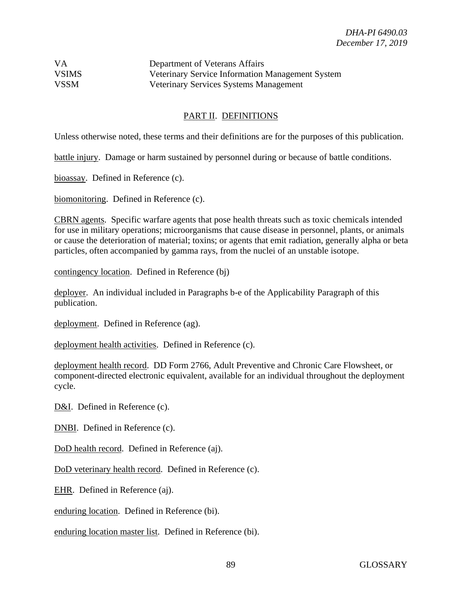| <b>VA</b>    | Department of Veterans Affairs                   |
|--------------|--------------------------------------------------|
| <b>VSIMS</b> | Veterinary Service Information Management System |
| <b>VSSM</b>  | <b>Veterinary Services Systems Management</b>    |

## PART II. DEFINITIONS

Unless otherwise noted, these terms and their definitions are for the purposes of this publication.

battle injury. Damage or harm sustained by personnel during or because of battle conditions.

bioassay. Defined in Reference (c).

biomonitoring. Defined in Reference (c).

CBRN agents. Specific warfare agents that pose health threats such as toxic chemicals intended for use in military operations; microorganisms that cause disease in personnel, plants, or animals or cause the deterioration of material; toxins; or agents that emit radiation, generally alpha or beta particles, often accompanied by gamma rays, from the nuclei of an unstable isotope.

contingency location. Defined in Reference (bj)

deployer. An individual included in Paragraphs b-e of the Applicability Paragraph of this publication.

deployment. Defined in Reference (ag).

deployment health activities. Defined in Reference (c).

deployment health record. DD Form 2766, Adult Preventive and Chronic Care Flowsheet, or component-directed electronic equivalent, available for an individual throughout the deployment cycle.

D&I. Defined in Reference (c).

DNBI. Defined in Reference (c).

DoD health record.Defined in Reference (aj).

DoD veterinary health record. Defined in Reference (c).

EHR. Defined in Reference (aj).

enduring location. Defined in Reference (bi).

enduring location master list. Defined in Reference (bi).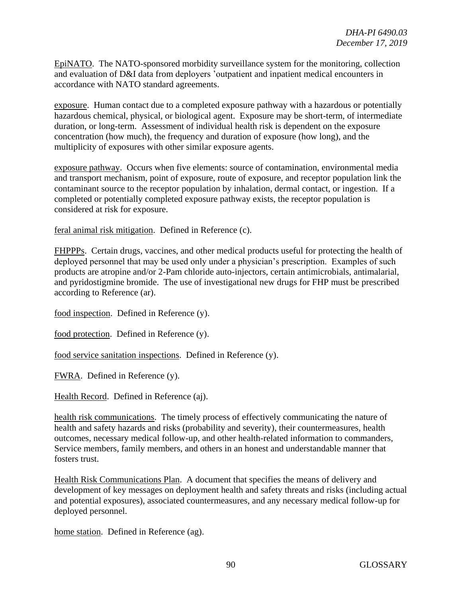EpiNATO. The NATO-sponsored morbidity surveillance system for the monitoring, collection and evaluation of D&I data from deployers 'outpatient and inpatient medical encounters in accordance with NATO standard agreements.

exposure. Human contact due to a completed exposure pathway with a hazardous or potentially hazardous chemical, physical, or biological agent. Exposure may be short-term, of intermediate duration, or long-term. Assessment of individual health risk is dependent on the exposure concentration (how much), the frequency and duration of exposure (how long), and the multiplicity of exposures with other similar exposure agents.

exposure pathway. Occurs when five elements: source of contamination, environmental media and transport mechanism, point of exposure, route of exposure, and receptor population link the contaminant source to the receptor population by inhalation, dermal contact, or ingestion. If a completed or potentially completed exposure pathway exists, the receptor population is considered at risk for exposure.

feral animal risk mitigation. Defined in Reference (c).

FHPPPs. Certain drugs, vaccines, and other medical products useful for protecting the health of deployed personnel that may be used only under a physician's prescription. Examples of such products are atropine and/or 2-Pam chloride auto-injectors, certain antimicrobials, antimalarial, and pyridostigmine bromide. The use of investigational new drugs for FHP must be prescribed according to Reference (ar).

food inspection. Defined in Reference (y).

food protection. Defined in Reference (y).

food service sanitation inspections. Defined in Reference (y).

FWRA. Defined in Reference (y).

Health Record. Defined in Reference (aj).

health risk communications. The timely process of effectively communicating the nature of health and safety hazards and risks (probability and severity), their countermeasures, health outcomes, necessary medical follow-up, and other health-related information to commanders, Service members, family members, and others in an honest and understandable manner that fosters trust.

Health Risk Communications Plan. A document that specifies the means of delivery and development of key messages on deployment health and safety threats and risks (including actual and potential exposures), associated countermeasures, and any necessary medical follow-up for deployed personnel.

home station. Defined in Reference (ag).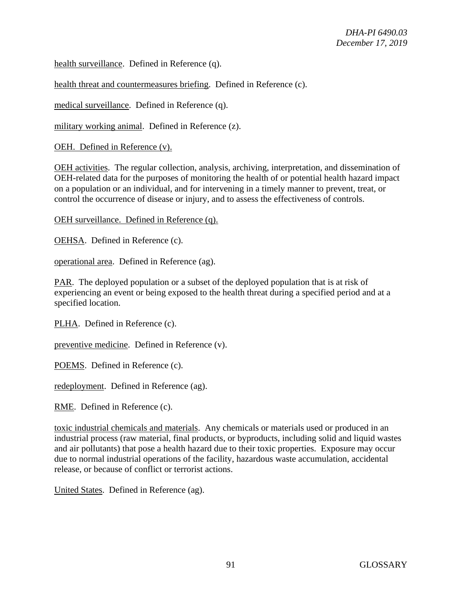health surveillance. Defined in Reference (q).

health threat and countermeasures briefing. Defined in Reference (c).

medical surveillance. Defined in Reference (q).

military working animal. Defined in Reference (z).

OEH. Defined in Reference (v).

OEH activities. The regular collection, analysis, archiving, interpretation, and dissemination of OEH-related data for the purposes of monitoring the health of or potential health hazard impact on a population or an individual, and for intervening in a timely manner to prevent, treat, or control the occurrence of disease or injury, and to assess the effectiveness of controls.

OEH surveillance. Defined in Reference (q).

OEHSA. Defined in Reference (c).

operational area. Defined in Reference (ag).

PAR. The deployed population or a subset of the deployed population that is at risk of experiencing an event or being exposed to the health threat during a specified period and at a specified location.

PLHA. Defined in Reference (c).

preventive medicine. Defined in Reference (v).

POEMS. Defined in Reference (c).

redeployment. Defined in Reference (ag).

RME. Defined in Reference (c).

toxic industrial chemicals and materials. Any chemicals or materials used or produced in an industrial process (raw material, final products, or byproducts, including solid and liquid wastes and air pollutants) that pose a health hazard due to their toxic properties. Exposure may occur due to normal industrial operations of the facility, hazardous waste accumulation, accidental release, or because of conflict or terrorist actions.

United States. Defined in Reference (ag).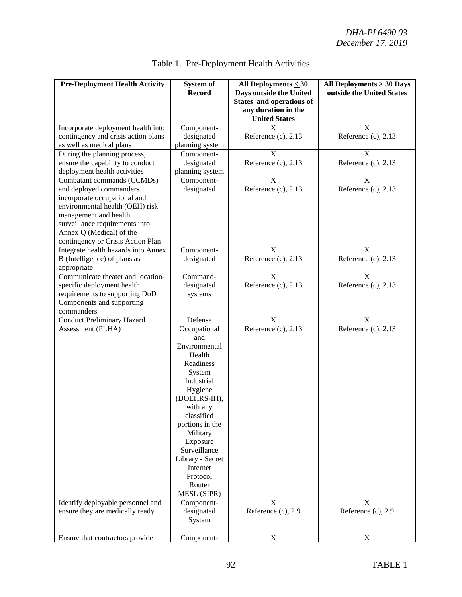| <b>Pre-Deployment Health Activity</b>                                                                                                                                                                                                                | <b>System of</b><br><b>Record</b>                                                                                                                                                                                                                                                   | All Deployments < 30<br>Days outside the United<br>States and operations of<br>any duration in the<br><b>United States</b> | All Deployments > 30 Days<br>outside the United States |
|------------------------------------------------------------------------------------------------------------------------------------------------------------------------------------------------------------------------------------------------------|-------------------------------------------------------------------------------------------------------------------------------------------------------------------------------------------------------------------------------------------------------------------------------------|----------------------------------------------------------------------------------------------------------------------------|--------------------------------------------------------|
| Incorporate deployment health into<br>contingency and crisis action plans<br>as well as medical plans                                                                                                                                                | Component-<br>designated<br>planning system                                                                                                                                                                                                                                         | X<br>Reference $(c)$ , 2.13                                                                                                | X<br>Reference (c), 2.13                               |
| During the planning process,<br>ensure the capability to conduct<br>deployment health activities                                                                                                                                                     | Component-<br>designated<br>planning system                                                                                                                                                                                                                                         | X<br>Reference $(c)$ , 2.13                                                                                                | X<br>Reference (c), 2.13                               |
| Combatant commands (CCMDs)<br>and deployed commanders<br>incorporate occupational and<br>environmental health (OEH) risk<br>management and health<br>surveillance requirements into<br>Annex Q (Medical) of the<br>contingency or Crisis Action Plan | Component-<br>designated                                                                                                                                                                                                                                                            | X<br>Reference $(c)$ , 2.13                                                                                                | X<br>Reference $(c)$ , 2.13                            |
| Integrate health hazards into Annex<br>B (Intelligence) of plans as<br>appropriate                                                                                                                                                                   | Component-<br>designated                                                                                                                                                                                                                                                            | X<br>Reference $(c)$ , 2.13                                                                                                | X<br>Reference $(c)$ , 2.13                            |
| Communicate theater and location-<br>specific deployment health<br>requirements to supporting DoD<br>Components and supporting<br>commanders                                                                                                         | Command-<br>designated<br>systems                                                                                                                                                                                                                                                   | X<br>Reference $(c)$ , 2.13                                                                                                | X<br>Reference $(c)$ , 2.13                            |
| <b>Conduct Preliminary Hazard</b><br>Assessment (PLHA)                                                                                                                                                                                               | Defense<br>Occupational<br>and<br>Environmental<br>Health<br>Readiness<br>System<br>Industrial<br>Hygiene<br>(DOEHRS-IH),<br>with any<br>classified<br>portions in the<br>Military<br>Exposure<br>Surveillance<br>Library - Secret<br>Internet<br>Protocol<br>Router<br>MESL (SIPR) | $\overline{X}$<br>Reference $(c)$ , 2.13                                                                                   | $\mathbf X$<br>Reference $(c)$ , 2.13                  |
| Identify deployable personnel and<br>ensure they are medically ready                                                                                                                                                                                 | Component-<br>designated<br>System                                                                                                                                                                                                                                                  | X<br>Reference (c), 2.9                                                                                                    | X<br>Reference (c), 2.9                                |
| Ensure that contractors provide                                                                                                                                                                                                                      | Component-                                                                                                                                                                                                                                                                          | X                                                                                                                          | X                                                      |

# Table 1. Pre-Deployment Health Activities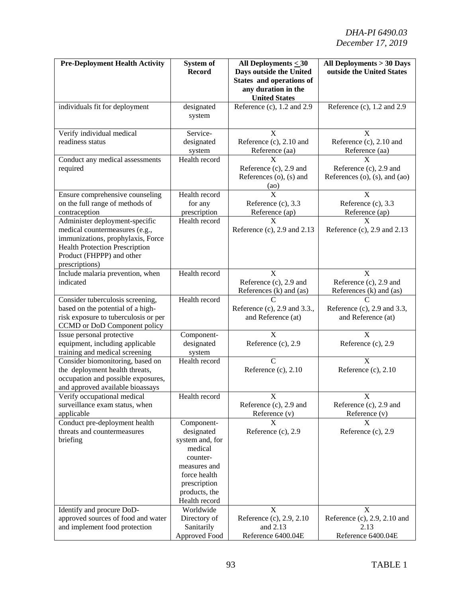| <b>Pre-Deployment Health Activity</b>                                                                   | System of<br><b>Record</b>     | All Deployments < 30<br>Days outside the United<br>States and operations of | All Deployments > 30 Days<br>outside the United States                           |
|---------------------------------------------------------------------------------------------------------|--------------------------------|-----------------------------------------------------------------------------|----------------------------------------------------------------------------------|
|                                                                                                         |                                | any duration in the<br><b>United States</b>                                 |                                                                                  |
| individuals fit for deployment                                                                          | designated<br>system           | Reference (c), 1.2 and 2.9                                                  | Reference (c), 1.2 and 2.9                                                       |
| Verify individual medical                                                                               | Service-                       | $\overline{\mathrm{X}}$                                                     | $\overline{\mathrm{X}}$                                                          |
| readiness status                                                                                        | designated<br>system           | Reference (c), 2.10 and<br>Reference (aa)                                   | Reference (c), 2.10 and<br>Reference (aa)                                        |
| Conduct any medical assessments                                                                         | Health record                  | X                                                                           | X                                                                                |
| required                                                                                                |                                | Reference (c), 2.9 and<br>References (o), (s) and<br>(a <sub>0</sub> )      | Reference (c), 2.9 and<br>References (o), $(s)$ , and $(ao)$                     |
| Ensure comprehensive counseling                                                                         | Health record                  | $\overline{\mathrm{X}}$                                                     | $\mathbf X$                                                                      |
| on the full range of methods of                                                                         | for any                        | Reference (c), 3.3                                                          | Reference (c), 3.3                                                               |
| contraception                                                                                           | prescription                   | Reference (ap)                                                              | Reference (ap)                                                                   |
| Administer deployment-specific<br>medical countermeasures (e.g.,                                        | Health record                  | X<br>Reference $(c)$ , 2.9 and 2.13                                         | X<br>Reference $(c)$ , 2.9 and 2.13                                              |
| immunizations, prophylaxis, Force<br><b>Health Protection Prescription</b><br>Product (FHPPP) and other |                                |                                                                             |                                                                                  |
| prescriptions)                                                                                          |                                |                                                                             |                                                                                  |
| Include malaria prevention, when<br>indicated                                                           | Health record                  | X<br>Reference (c), 2.9 and<br>References (k) and (as)                      | $\overline{\mathrm{X}}$<br>Reference (c), 2.9 and<br>References $(k)$ and $(as)$ |
| Consider tuberculosis screening,                                                                        | Health record                  | $\overline{C}$                                                              | $\overline{C}$                                                                   |
| based on the potential of a high-                                                                       |                                | Reference (c), 2.9 and 3.3.,                                                | Reference (c), 2.9 and 3.3,                                                      |
| risk exposure to tuberculosis or per                                                                    |                                | and Reference (at)                                                          | and Reference (at)                                                               |
| CCMD or DoD Component policy                                                                            |                                |                                                                             |                                                                                  |
| Issue personal protective                                                                               | Component-                     | X                                                                           | X                                                                                |
| equipment, including applicable<br>training and medical screening                                       | designated                     | Reference (c), 2.9                                                          | Reference (c), 2.9                                                               |
| Consider biomonitoring, based on                                                                        | system<br>Health record        | $\mathcal{C}$                                                               | X                                                                                |
| the deployment health threats,                                                                          |                                | Reference $(c)$ , 2.10                                                      | Reference (c), 2.10                                                              |
| occupation and possible exposures,                                                                      |                                |                                                                             |                                                                                  |
| and approved available bioassays                                                                        |                                |                                                                             |                                                                                  |
| Verify occupational medical                                                                             | Health record                  | X                                                                           | X                                                                                |
| surveillance exam status, when                                                                          |                                | Reference (c), 2.9 and                                                      | Reference (c), 2.9 and                                                           |
| applicable                                                                                              |                                | Reference (v)                                                               | Reference (v)<br>X                                                               |
| Conduct pre-deployment health<br>threats and countermeasures                                            | Component-<br>designated       | X<br>Reference (c), 2.9                                                     | Reference (c), 2.9                                                               |
| briefing                                                                                                | system and, for                |                                                                             |                                                                                  |
|                                                                                                         | medical                        |                                                                             |                                                                                  |
|                                                                                                         | counter-                       |                                                                             |                                                                                  |
|                                                                                                         | measures and                   |                                                                             |                                                                                  |
|                                                                                                         | force health                   |                                                                             |                                                                                  |
|                                                                                                         | prescription                   |                                                                             |                                                                                  |
|                                                                                                         | products, the<br>Health record |                                                                             |                                                                                  |
| Identify and procure DoD-                                                                               | Worldwide                      | X                                                                           | X                                                                                |
| approved sources of food and water                                                                      | Directory of                   | Reference (c), 2.9, 2.10                                                    | Reference (c), 2.9, 2.10 and                                                     |
| and implement food protection                                                                           | Sanitarily<br>Approved Food    | and 2.13<br>Reference 6400.04E                                              | 2.13<br>Reference 6400.04E                                                       |
|                                                                                                         |                                |                                                                             |                                                                                  |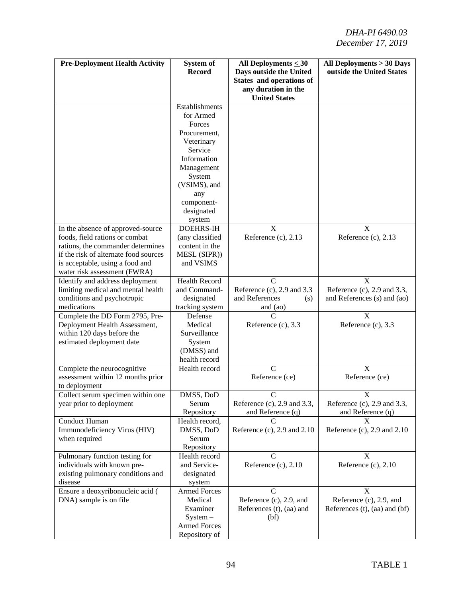| <b>Pre-Deployment Health Activity</b>                                                                                                                                                                                | System of<br><b>Record</b>                                                                                 | All Deployments $\leq 30$<br>Days outside the United<br>States and operations of<br>any duration in the<br><b>United States</b> | All Deployments > 30 Days<br>outside the United States               |
|----------------------------------------------------------------------------------------------------------------------------------------------------------------------------------------------------------------------|------------------------------------------------------------------------------------------------------------|---------------------------------------------------------------------------------------------------------------------------------|----------------------------------------------------------------------|
|                                                                                                                                                                                                                      | Establishments<br>for Armed<br>Forces<br>Procurement,<br>Veterinary                                        |                                                                                                                                 |                                                                      |
|                                                                                                                                                                                                                      | Service<br>Information<br>Management<br>System<br>(VSIMS), and<br>any<br>component-                        |                                                                                                                                 |                                                                      |
| In the absence of approved-source<br>foods, field rations or combat<br>rations, the commander determines<br>if the risk of alternate food sources<br>is acceptable, using a food and<br>water risk assessment (FWRA) | designated<br>system<br><b>DOEHRS-IH</b><br>(any classified<br>content in the<br>MESL (SIPR))<br>and VSIMS | $\boldsymbol{\mathrm{X}}$<br>Reference $(c)$ , 2.13                                                                             | X<br>Reference $(c)$ , 2.13                                          |
| Identify and address deployment<br>limiting medical and mental health<br>conditions and psychotropic<br>medications                                                                                                  | <b>Health Record</b><br>and Command-<br>designated<br>tracking system                                      | $\mathcal{C}$<br>Reference $(c)$ , 2.9 and 3.3<br>and References<br>(s)<br>and (ao)                                             | X<br>Reference (c), 2.9 and 3.3,<br>and References (s) and (ao)      |
| Complete the DD Form 2795, Pre-<br>Deployment Health Assessment,<br>within 120 days before the<br>estimated deployment date                                                                                          | Defense<br>Medical<br>Surveillance<br>System<br>(DMSS) and<br>health record                                | Reference $(c)$ , 3.3                                                                                                           | X<br>Reference (c), 3.3                                              |
| Complete the neurocognitive<br>assessment within 12 months prior<br>to deployment                                                                                                                                    | Health record                                                                                              | $\mathsf{C}$<br>Reference (ce)                                                                                                  | $\boldsymbol{X}$<br>Reference (ce)                                   |
| Collect serum specimen within one<br>year prior to deployment                                                                                                                                                        | DMSS, DoD<br>Serum<br>Repository                                                                           | Reference (c), 2.9 and 3.3,<br>and Reference $(q)$                                                                              | X<br>Reference $(c)$ , 2.9 and 3.3,<br>and Reference (q)             |
| <b>Conduct Human</b><br>Immunodeficiency Virus (HIV)<br>when required                                                                                                                                                | Health record,<br>DMSS, DoD<br>Serum<br>Repository                                                         | Reference $(c)$ , 2.9 and 2.10                                                                                                  | X<br>Reference (c), $2.9$ and $2.10$                                 |
| Pulmonary function testing for<br>individuals with known pre-<br>existing pulmonary conditions and<br>disease                                                                                                        | Health record<br>and Service-<br>designated<br>system                                                      | C<br>Reference (c), 2.10                                                                                                        | X<br>Reference (c), 2.10                                             |
| Ensure a deoxyribonucleic acid (<br>DNA) sample is on file                                                                                                                                                           | <b>Armed Forces</b><br>Medical<br>Examiner<br>$System -$<br><b>Armed Forces</b><br>Repository of           | C<br>Reference (c), 2.9, and<br>References (t), (aa) and<br>(bf)                                                                | X<br>Reference (c), 2.9, and<br>References $(t)$ , $(aa)$ and $(bf)$ |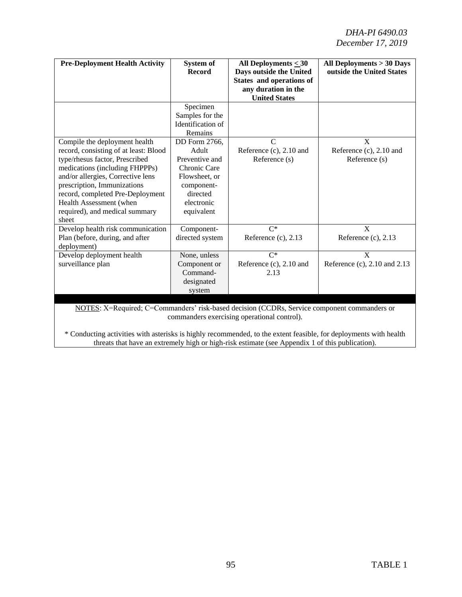*DHA-PI 6490.03 December 17, 2019* 

| <b>Pre-Deployment Health Activity</b>                                                                                                                                                                                                                                                                                    | System of<br><b>Record</b>                                                                                                             | All Deployments $\leq 30$<br>Days outside the United<br>States and operations of<br>any duration in the<br><b>United States</b> | All Deployments > 30 Days<br>outside the United States |
|--------------------------------------------------------------------------------------------------------------------------------------------------------------------------------------------------------------------------------------------------------------------------------------------------------------------------|----------------------------------------------------------------------------------------------------------------------------------------|---------------------------------------------------------------------------------------------------------------------------------|--------------------------------------------------------|
|                                                                                                                                                                                                                                                                                                                          | Specimen<br>Samples for the<br>Identification of<br>Remains                                                                            |                                                                                                                                 |                                                        |
| Compile the deployment health<br>record, consisting of at least: Blood<br>type/rhesus factor, Prescribed<br>medications (including FHPPPs)<br>and/or allergies, Corrective lens<br>prescription, Immunizations<br>record, completed Pre-Deployment<br>Health Assessment (when<br>required), and medical summary<br>sheet | DD Form 2766.<br>Adult<br>Preventive and<br><b>Chronic Care</b><br>Flowsheet, or<br>component-<br>directed<br>electronic<br>equivalent | $\mathcal{C}$<br>Reference (c), 2.10 and<br>Reference (s)                                                                       | X<br>Reference (c), 2.10 and<br>Reference (s)          |
| Develop health risk communication<br>Plan (before, during, and after<br>deployment)                                                                                                                                                                                                                                      | Component-<br>directed system                                                                                                          | $C^*$<br>Reference $(c)$ , 2.13                                                                                                 | $\mathbf{X}$<br>Reference $(c)$ , 2.13                 |
| Develop deployment health<br>surveillance plan                                                                                                                                                                                                                                                                           | None, unless<br>Component or<br>Command-<br>designated<br>system                                                                       | $C^*$<br>Reference (c), 2.10 and<br>2.13                                                                                        | $\mathbf{X}$<br>Reference (c), 2.10 and 2.13           |

NOTES: X=Required; C=Commanders' risk-based decision (CCDRs, Service component commanders or commanders exercising operational control).

\* Conducting activities with asterisks is highly recommended, to the extent feasible, for deployments with health threats that have an extremely high or high-risk estimate (see Appendix 1 of this publication).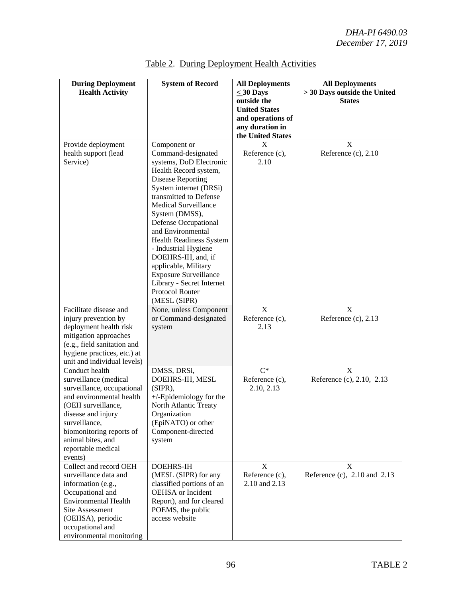| <b>During Deployment</b><br><b>Health Activity</b>                                                                                                                                                                                               | <b>System of Record</b>                                                                                                                                                                                                                                                                                                                                                                                                                                                      | <b>All Deployments</b><br>$<$ 30 Days<br>outside the<br><b>United States</b><br>and operations of | <b>All Deployments</b><br>> 30 Days outside the United<br><b>States</b> |
|--------------------------------------------------------------------------------------------------------------------------------------------------------------------------------------------------------------------------------------------------|------------------------------------------------------------------------------------------------------------------------------------------------------------------------------------------------------------------------------------------------------------------------------------------------------------------------------------------------------------------------------------------------------------------------------------------------------------------------------|---------------------------------------------------------------------------------------------------|-------------------------------------------------------------------------|
|                                                                                                                                                                                                                                                  |                                                                                                                                                                                                                                                                                                                                                                                                                                                                              | any duration in<br>the United States                                                              |                                                                         |
| Provide deployment<br>health support (lead<br>Service)                                                                                                                                                                                           | Component or<br>Command-designated<br>systems, DoD Electronic<br>Health Record system,<br><b>Disease Reporting</b><br>System internet (DRSi)<br>transmitted to Defense<br><b>Medical Surveillance</b><br>System (DMSS),<br>Defense Occupational<br>and Environmental<br><b>Health Readiness System</b><br>- Industrial Hygiene<br>DOEHRS-IH, and, if<br>applicable, Military<br><b>Exposure Surveillance</b><br>Library - Secret Internet<br>Protocol Router<br>(MESL (SIPR) | X<br>Reference (c),<br>2.10                                                                       | X<br>Reference (c), 2.10                                                |
| Facilitate disease and<br>injury prevention by<br>deployment health risk<br>mitigation approaches<br>(e.g., field sanitation and<br>hygiene practices, etc.) at<br>unit and individual levels)                                                   | None, unless Component<br>or Command-designated<br>system                                                                                                                                                                                                                                                                                                                                                                                                                    | X<br>Reference (c),<br>2.13                                                                       | $\mathbf{X}$<br>Reference (c), 2.13                                     |
| Conduct health<br>surveillance (medical<br>surveillance, occupational<br>and environmental health<br>(OEH surveillance,<br>disease and injury<br>surveillance,<br>biomonitoring reports of<br>animal bites, and<br>reportable medical<br>events) | DMSS, DRSi,<br>DOEHRS-IH, MESL<br>(SIPR),<br>$+/-$ Epidemiology for the<br>North Atlantic Treaty<br>Organization<br>(EpiNATO) or other<br>Component-directed<br>system                                                                                                                                                                                                                                                                                                       | $C^*$<br>Reference (c),<br>2.10, 2.13                                                             | X<br>Reference (c), 2.10, 2.13                                          |
| Collect and record OEH<br>surveillance data and<br>information (e.g.,<br>Occupational and<br><b>Environmental Health</b><br><b>Site Assessment</b><br>(OEHSA), periodic<br>occupational and<br>environmental monitoring                          | <b>DOEHRS-IH</b><br>(MESL (SIPR) for any<br>classified portions of an<br>OEHSA or Incident<br>Report), and for cleared<br>POEMS, the public<br>access website                                                                                                                                                                                                                                                                                                                | X<br>Reference (c),<br>2.10 and 2.13                                                              | X<br>Reference (c), 2.10 and 2.13                                       |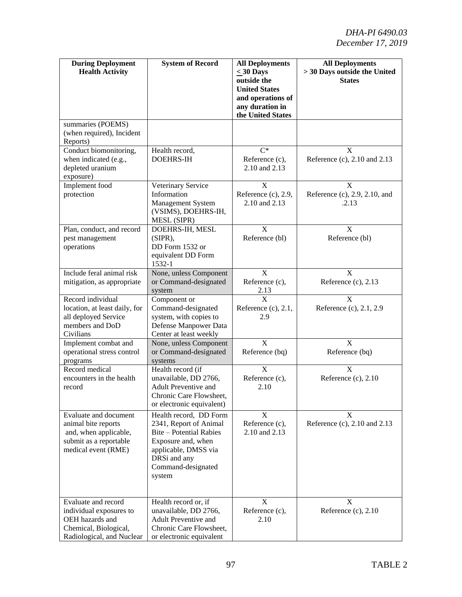| <b>During Deployment</b><br><b>Health Activity</b>                                                                      | <b>System of Record</b>                                                                                                                                                          | <b>All Deployments</b><br>$\leq 30$ Days<br>outside the<br><b>United States</b><br>and operations of<br>any duration in<br>the United States | <b>All Deployments</b><br>> 30 Days outside the United<br><b>States</b> |
|-------------------------------------------------------------------------------------------------------------------------|----------------------------------------------------------------------------------------------------------------------------------------------------------------------------------|----------------------------------------------------------------------------------------------------------------------------------------------|-------------------------------------------------------------------------|
| summaries (POEMS)<br>(when required), Incident<br>Reports)                                                              |                                                                                                                                                                                  |                                                                                                                                              |                                                                         |
| Conduct biomonitoring,<br>when indicated (e.g.,<br>depleted uranium<br>exposure)                                        | Health record,<br><b>DOEHRS-IH</b>                                                                                                                                               | $C^*$<br>Reference (c),<br>2.10 and 2.13                                                                                                     | X<br>Reference (c), 2.10 and 2.13                                       |
| Implement food<br>protection                                                                                            | Veterinary Service<br>Information<br>Management System<br>(VSIMS), DOEHRS-IH,<br>MESL (SIPR)                                                                                     | $\overline{\mathbf{X}}$<br>Reference (c), 2.9,<br>2.10 and 2.13                                                                              | $\mathbf X$<br>Reference (c), 2.9, 2.10, and<br>.2.13                   |
| Plan, conduct, and record<br>pest management<br>operations                                                              | DOEHRS-IH, MESL<br>(SIPR),<br>DD Form 1532 or<br>equivalent DD Form<br>1532-1                                                                                                    | $\overline{\mathbf{X}}$<br>Reference (bl)                                                                                                    | $\overline{\mathrm{X}}$<br>Reference (bl)                               |
| Include feral animal risk<br>mitigation, as appropriate                                                                 | None, unless Component<br>or Command-designated<br>system                                                                                                                        | $\overline{X}$<br>Reference (c),<br>2.13                                                                                                     | $\overline{\mathrm{X}}$<br>Reference (c), 2.13                          |
| Record individual<br>location, at least daily, for<br>all deployed Service<br>members and DoD<br>Civilians              | Component or<br>Command-designated<br>system, with copies to<br>Defense Manpower Data<br>Center at least weekly                                                                  | X<br>Reference $(c)$ , 2.1,<br>2.9                                                                                                           | X<br>Reference (c), 2.1, 2.9                                            |
| Implement combat and<br>operational stress control<br>programs                                                          | None, unless Component<br>or Command-designated<br>systems                                                                                                                       | X<br>Reference (bq)                                                                                                                          | X<br>Reference (bq)                                                     |
| Record medical<br>encounters in the health<br>record                                                                    | Health record (if<br>unavailable, DD 2766,<br><b>Adult Preventive and</b><br>Chronic Care Flowsheet,<br>or electronic equivalent)                                                | $\overline{\mathbf{X}}$<br>Reference (c),<br>2.10                                                                                            | $\overline{\mathbf{x}}$<br>Reference (c), 2.10                          |
| Evaluate and document<br>animal bite reports<br>and, when applicable,<br>submit as a reportable<br>medical event (RME)  | Health record, DD Form<br>2341, Report of Animal<br><b>Bite – Potential Rabies</b><br>Exposure and, when<br>applicable, DMSS via<br>DRSi and any<br>Command-designated<br>system | $\boldsymbol{\mathrm{X}}$<br>Reference (c),<br>2.10 and 2.13                                                                                 | X<br>Reference (c), 2.10 and 2.13                                       |
| Evaluate and record<br>individual exposures to<br>OEH hazards and<br>Chemical, Biological,<br>Radiological, and Nuclear | Health record or, if<br>unavailable, DD 2766,<br><b>Adult Preventive and</b><br>Chronic Care Flowsheet,<br>or electronic equivalent                                              | X<br>Reference (c),<br>2.10                                                                                                                  | X<br>Reference (c), 2.10                                                |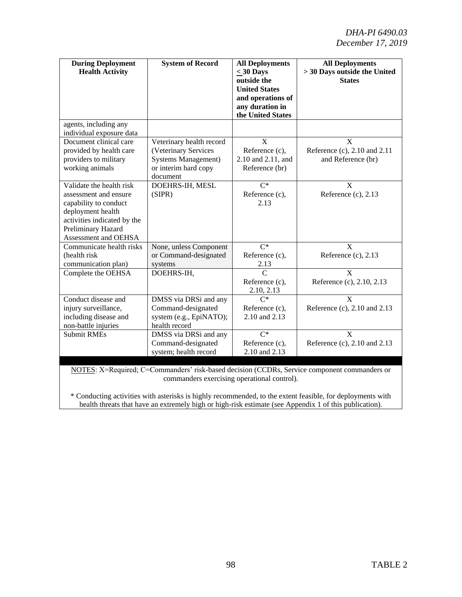| <b>During Deployment</b><br><b>Health Activity</b>                                                                                                                           | <b>System of Record</b>                                                                                             | <b>All Deployments</b><br>$<$ 30 Days<br>outside the<br><b>United States</b><br>and operations of<br>any duration in<br>the United States | <b>All Deployments</b><br>> 30 Days outside the United<br><b>States</b> |
|------------------------------------------------------------------------------------------------------------------------------------------------------------------------------|---------------------------------------------------------------------------------------------------------------------|-------------------------------------------------------------------------------------------------------------------------------------------|-------------------------------------------------------------------------|
| agents, including any<br>individual exposure data                                                                                                                            |                                                                                                                     |                                                                                                                                           |                                                                         |
| Document clinical care<br>provided by health care<br>providers to military<br>working animals                                                                                | Veterinary health record<br>(Veterinary Services<br><b>Systems Management</b> )<br>or interim hard copy<br>document | $\overline{\mathbf{x}}$<br>Reference (c),<br>2.10 and 2.11, and<br>Reference (br)                                                         | X<br>Reference (c), 2.10 and 2.11<br>and Reference (br)                 |
| Validate the health risk<br>assessment and ensure<br>capability to conduct<br>deployment health<br>activities indicated by the<br>Preliminary Hazard<br>Assessment and OEHSA | DOEHRS-IH, MESL<br>(SIPR)                                                                                           | $C^*$<br>Reference (c),<br>2.13                                                                                                           | $\mathbf{X}$<br>Reference $(c)$ , 2.13                                  |
| Communicate health risks<br>(health risk<br>communication plan)                                                                                                              | None, unless Component<br>or Command-designated<br>systems                                                          | $\overline{C^*}$<br>Reference (c),<br>2.13                                                                                                | $\overline{X}$<br>Reference (c), 2.13                                   |
| Complete the OEHSA                                                                                                                                                           | DOEHRS-IH,                                                                                                          | $\overline{C}$<br>Reference (c),<br>2.10, 2.13                                                                                            | $\overline{X}$<br>Reference (c), 2.10, 2.13                             |
| Conduct disease and<br>injury surveillance,<br>including disease and<br>non-battle injuries                                                                                  | DMSS via DRSi and any<br>Command-designated<br>system (e.g., EpiNATO);<br>health record                             | $\overline{C^*}$<br>Reference (c),<br>2.10 and 2.13                                                                                       | $\overline{X}$<br>Reference (c), 2.10 and 2.13                          |
| <b>Submit RMEs</b>                                                                                                                                                           | DMSS via DRSi and any<br>Command-designated<br>system; health record                                                | $C^*$<br>Reference (c),<br>2.10 and 2.13                                                                                                  | $\mathbf{X}$<br>Reference (c), 2.10 and 2.13                            |

NOTES: X=Required; C=Commanders' risk-based decision (CCDRs, Service component commanders or commanders exercising operational control).

\* Conducting activities with asterisks is highly recommended, to the extent feasible, for deployments with health threats that have an extremely high or high-risk estimate (see Appendix 1 of this publication).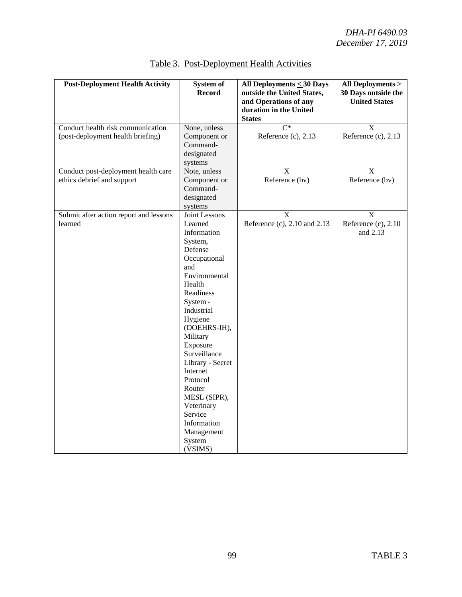| <b>Post-Deployment Health Activity</b>                                 | System of<br><b>Record</b>                                                                                                                                                                                                                                                                                                                                                 | All Deployments $\leq 30$ Days<br>outside the United States,<br>and Operations of any | All Deployments ><br>30 Days outside the<br><b>United States</b> |
|------------------------------------------------------------------------|----------------------------------------------------------------------------------------------------------------------------------------------------------------------------------------------------------------------------------------------------------------------------------------------------------------------------------------------------------------------------|---------------------------------------------------------------------------------------|------------------------------------------------------------------|
|                                                                        |                                                                                                                                                                                                                                                                                                                                                                            | duration in the United<br><b>States</b>                                               |                                                                  |
| Conduct health risk communication<br>(post-deployment health briefing) | None, unless<br>Component or<br>Command-<br>designated<br>systems                                                                                                                                                                                                                                                                                                          | $\overline{C^*}$<br>Reference (c), 2.13                                               | $\mathbf{X}$<br>Reference (c), 2.13                              |
| Conduct post-deployment health care<br>ethics debrief and support      | Note, unless<br>Component or<br>Command-<br>designated<br>systems                                                                                                                                                                                                                                                                                                          | $\mathbf X$<br>Reference (bv)                                                         | $\mathbf X$<br>Reference (bv)                                    |
| Submit after action report and lessons<br>learned                      | Joint Lessons<br>Learned<br>Information<br>System,<br>Defense<br>Occupational<br>and<br>Environmental<br>Health<br>Readiness<br>System -<br>Industrial<br>Hygiene<br>(DOEHRS-IH),<br>Military<br>Exposure<br>Surveillance<br>Library - Secret<br>Internet<br>Protocol<br>Router<br>MESL (SIPR),<br>Veterinary<br>Service<br>Information<br>Management<br>System<br>(VSIMS) | X<br>Reference (c), 2.10 and 2.13                                                     | X<br>Reference (c), 2.10<br>and 2.13                             |

# Table 3.Post-Deployment Health Activities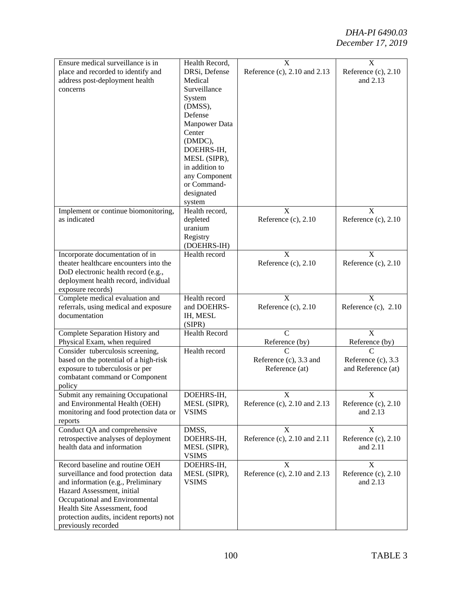| Ensure medical surveillance is in                               | Health Record,       | X                               | $\boldsymbol{\mathrm{X}}$ |
|-----------------------------------------------------------------|----------------------|---------------------------------|---------------------------|
| place and recorded to identify and                              | DRSi, Defense        | Reference (c), 2.10 and 2.13    | Reference $(c)$ , 2.10    |
| address post-deployment health                                  | Medical              |                                 | and 2.13                  |
| concerns                                                        | Surveillance         |                                 |                           |
|                                                                 | System               |                                 |                           |
|                                                                 |                      |                                 |                           |
|                                                                 | (DMSS),              |                                 |                           |
|                                                                 | Defense              |                                 |                           |
|                                                                 | Manpower Data        |                                 |                           |
|                                                                 | Center               |                                 |                           |
|                                                                 | (DMDC),              |                                 |                           |
|                                                                 | DOEHRS-IH,           |                                 |                           |
|                                                                 | MESL (SIPR),         |                                 |                           |
|                                                                 | in addition to       |                                 |                           |
|                                                                 | any Component        |                                 |                           |
|                                                                 | or Command-          |                                 |                           |
|                                                                 | designated           |                                 |                           |
|                                                                 | system               |                                 |                           |
| Implement or continue biomonitoring,                            | Health record,       | X                               | X                         |
| as indicated                                                    | depleted             | Reference $(c)$ , 2.10          | Reference $(c)$ , 2.10    |
|                                                                 | uranium              |                                 |                           |
|                                                                 | Registry             |                                 |                           |
|                                                                 | (DOEHRS-IH)          |                                 |                           |
| Incorporate documentation of in                                 | Health record        | X                               | X                         |
| theater healthcare encounters into the                          |                      | Reference $(c)$ , 2.10          | Reference $(c)$ , 2.10    |
| DoD electronic health record (e.g.,                             |                      |                                 |                           |
| deployment health record, individual                            |                      |                                 |                           |
| exposure records)                                               |                      |                                 |                           |
| Complete medical evaluation and                                 | Health record        | $\mathbf{X}$                    | $\mathbf{X}$              |
| referrals, using medical and exposure                           | and DOEHRS-          | Reference (c), 2.10             | Reference (c), 2.10       |
|                                                                 |                      |                                 |                           |
|                                                                 |                      |                                 |                           |
| documentation                                                   | IH, MESL             |                                 |                           |
|                                                                 | (SIPR)               | $\mathcal{C}$                   | $\mathbf{X}$              |
| Complete Separation History and                                 | <b>Health Record</b> |                                 |                           |
| Physical Exam, when required                                    |                      | Reference (by)                  | Reference (by)            |
| Consider tuberculosis screening,                                | Health record        |                                 |                           |
| based on the potential of a high-risk                           |                      | Reference (c), 3.3 and          | Reference (c), 3.3        |
| exposure to tuberculosis or per                                 |                      | Reference (at)                  | and Reference (at)        |
| combatant command or Component                                  |                      |                                 |                           |
| policy                                                          |                      |                                 |                           |
| Submit any remaining Occupational                               | DOEHRS-IH,           | Y                               | X                         |
| and Environmental Health (OEH)                                  | MESL (SIPR),         | Reference $(c)$ , 2.10 and 2.13 | Reference $(c)$ , 2.10    |
| monitoring and food protection data or                          | <b>VSIMS</b>         |                                 | and 2.13                  |
| reports                                                         |                      |                                 |                           |
| Conduct QA and comprehensive                                    | DMSS,                | X                               | X                         |
| retrospective analyses of deployment                            | DOEHRS-IH,           | Reference (c), 2.10 and 2.11    | Reference $(c)$ , 2.10    |
| health data and information                                     | MESL (SIPR),         |                                 | and 2.11                  |
|                                                                 | <b>VSIMS</b>         |                                 |                           |
| Record baseline and routine OEH                                 | DOEHRS-IH,           | X                               | $\boldsymbol{\mathrm{X}}$ |
| surveillance and food protection data                           | MESL (SIPR),         | Reference (c), 2.10 and 2.13    | Reference (c), 2.10       |
| and information (e.g., Preliminary                              | <b>VSIMS</b>         |                                 | and 2.13                  |
| Hazard Assessment, initial                                      |                      |                                 |                           |
| Occupational and Environmental                                  |                      |                                 |                           |
| Health Site Assessment, food                                    |                      |                                 |                           |
| protection audits, incident reports) not<br>previously recorded |                      |                                 |                           |